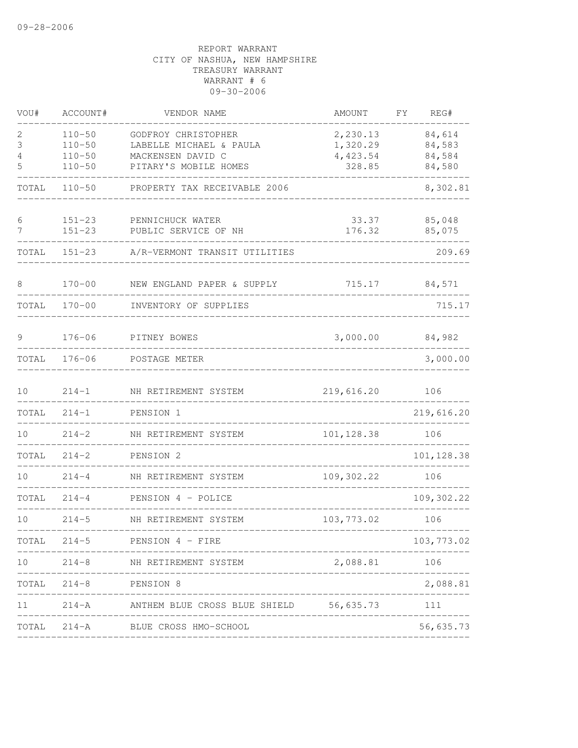| VOU#             | ACCOUNT#                                             | VENDOR NAME                                                                                  | AMOUNT                                     | FY | REG#                                 |
|------------------|------------------------------------------------------|----------------------------------------------------------------------------------------------|--------------------------------------------|----|--------------------------------------|
| 2<br>3<br>4<br>5 | $110 - 50$<br>$110 - 50$<br>$110 - 50$<br>$110 - 50$ | GODFROY CHRISTOPHER<br>LABELLE MICHAEL & PAULA<br>MACKENSEN DAVID C<br>PITARY'S MOBILE HOMES | 2,230.13<br>1,320.29<br>4,423.54<br>328.85 |    | 84,614<br>84,583<br>84,584<br>84,580 |
| TOTAL            | $110 - 50$                                           | PROPERTY TAX RECEIVABLE 2006                                                                 |                                            |    | 8,302.81                             |
| 6<br>7           | $151 - 23$<br>$151 - 23$                             | PENNICHUCK WATER<br>PUBLIC SERVICE OF NH                                                     | 33.37<br>176.32                            |    | 85,048<br>85,075                     |
| TOTAL            | $151 - 23$                                           | A/R-VERMONT TRANSIT UTILITIES                                                                |                                            |    | 209.69                               |
| 8                | $170 - 00$                                           | NEW ENGLAND PAPER & SUPPLY                                                                   | 715.17                                     |    | 84,571                               |
| TOTAL            | $170 - 00$                                           | INVENTORY OF SUPPLIES                                                                        |                                            |    | 715.17                               |
| 9                | $176 - 06$                                           | PITNEY BOWES                                                                                 | 3,000.00                                   |    | 84,982                               |
| TOTAL            | $176 - 06$                                           | POSTAGE METER                                                                                |                                            |    | 3,000.00                             |
| 10               | $214 - 1$                                            | NH RETIREMENT SYSTEM                                                                         | 219,616.20                                 |    | 106                                  |
| TOTAL            | $214 - 1$                                            | PENSION 1                                                                                    |                                            |    | 219,616.20                           |
| 10 <sup>°</sup>  | $214 - 2$                                            | NH RETIREMENT SYSTEM                                                                         | 101, 128.38                                |    | 106                                  |
| TOTAL            | $214 - 2$                                            | PENSION 2                                                                                    |                                            |    | 101, 128.38                          |
| 10               | $214 - 4$                                            | NH RETIREMENT SYSTEM                                                                         | 109,302.22                                 |    | 106                                  |
| TOTAL            | $214 - 4$                                            | PENSION 4 - POLICE                                                                           |                                            |    | 109,302.22                           |
| 10               | $214 - 5$                                            | NH RETIREMENT SYSTEM                                                                         | 103,773.02                                 |    | 106                                  |
| TOTAL            |                                                      | 214-5 PENSION 4 - FIRE                                                                       |                                            |    | 103,773.02                           |
| 10               |                                                      | 214-8 NH RETIREMENT SYSTEM                                                                   | 2,088.81                                   |    | 106                                  |
| TOTAL            |                                                      | 214-8 PENSION 8                                                                              |                                            |    | 2,088.81                             |
| 11               |                                                      | 214-A MITHEM BLUE CROSS BLUE SHIELD 56,635.73 111                                            |                                            |    |                                      |
| TOTAL            |                                                      | 214-A BLUE CROSS HMO-SCHOOL                                                                  | ______________________________             |    | 56,635.73                            |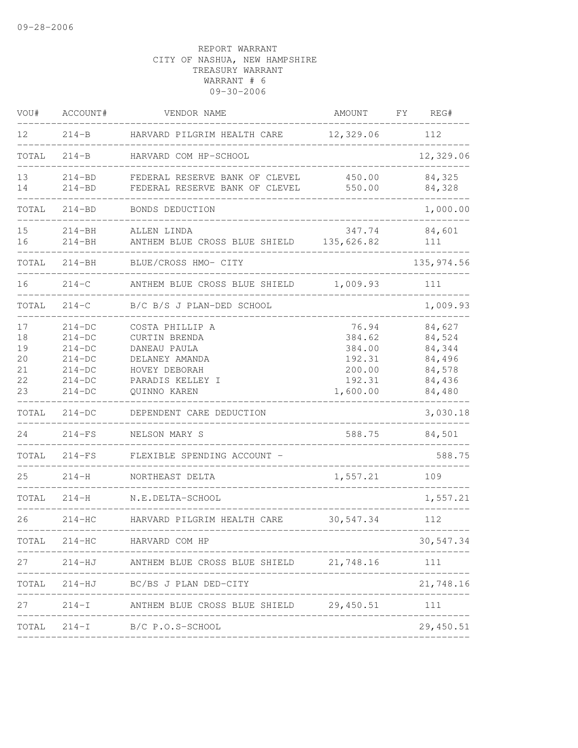| VOU#                                   | ACCOUNT#                                                                         | VENDOR NAME                                                                                                             | AMOUNT                                                              | FY. | REG#                                                               |
|----------------------------------------|----------------------------------------------------------------------------------|-------------------------------------------------------------------------------------------------------------------------|---------------------------------------------------------------------|-----|--------------------------------------------------------------------|
| 12 <sup>°</sup>                        | $214-B$                                                                          | HARVARD PILGRIM HEALTH CARE                                                                                             | 12,329.06                                                           |     | 112                                                                |
| TOTAL                                  | $214-B$                                                                          | HARVARD COM HP-SCHOOL                                                                                                   |                                                                     |     | 12,329.06                                                          |
| 13<br>14                               | $214 - BD$<br>$214 - BD$                                                         | FEDERAL RESERVE BANK OF CLEVEL<br>FEDERAL RESERVE BANK OF CLEVEL                                                        | 450.00<br>550.00                                                    |     | 84,325<br>84,328                                                   |
| TOTAL                                  | $214 - BD$                                                                       | BONDS DEDUCTION                                                                                                         |                                                                     |     | 1,000.00                                                           |
| 15<br>16                               | $214 - BH$<br>$214 - BH$                                                         | ALLEN LINDA<br>ANTHEM BLUE CROSS BLUE SHIELD                                                                            | 347.74<br>135,626.82                                                |     | 84,601<br>111                                                      |
| TOTAL                                  | $214 - BH$                                                                       | BLUE/CROSS HMO- CITY                                                                                                    |                                                                     |     | 135, 974.56                                                        |
| 16                                     | $214-C$                                                                          | ANTHEM BLUE CROSS BLUE SHIELD                                                                                           | 1,009.93                                                            |     | 111                                                                |
| TOTAL                                  | $214 - C$                                                                        | B/C B/S J PLAN-DED SCHOOL                                                                                               |                                                                     |     | 1,009.93                                                           |
| 17<br>18<br>19<br>20<br>21<br>22<br>23 | $214-DC$<br>$214-DC$<br>$214-DC$<br>$214-DC$<br>$214-DC$<br>$214-DC$<br>$214-DC$ | COSTA PHILLIP A<br>CURTIN BRENDA<br>DANEAU PAULA<br>DELANEY AMANDA<br>HOVEY DEBORAH<br>PARADIS KELLEY I<br>QUINNO KAREN | 76.94<br>384.62<br>384.00<br>192.31<br>200.00<br>192.31<br>1,600.00 |     | 84,627<br>84,524<br>84,344<br>84,496<br>84,578<br>84,436<br>84,480 |
| TOTAL                                  | $214-DC$                                                                         | DEPENDENT CARE DEDUCTION                                                                                                |                                                                     |     | 3,030.18                                                           |
| 24                                     | $214-FS$                                                                         | NELSON MARY S                                                                                                           | 588.75                                                              |     | 84,501                                                             |
| TOTAL                                  | $214-FS$                                                                         | FLEXIBLE SPENDING ACCOUNT -                                                                                             |                                                                     |     | 588.75                                                             |
| 25                                     | $214 - H$                                                                        | NORTHEAST DELTA                                                                                                         | 1,557.21                                                            |     | 109                                                                |
| TOTAL                                  | $214 - H$                                                                        | N.E.DELTA-SCHOOL                                                                                                        |                                                                     |     | 1,557.21                                                           |
| 26                                     | $214 - HC$                                                                       | HARVARD PILGRIM HEALTH CARE                                                                                             | 30,547.34                                                           |     | 112                                                                |
| TOTAL                                  |                                                                                  | 214-HC HARVARD COM HP                                                                                                   | -------------                                                       |     | 30,547.34                                                          |
| 27                                     |                                                                                  | 214-HJ ANTHEM BLUE CROSS BLUE SHIELD 21,748.16                                                                          |                                                                     |     | 111                                                                |
|                                        |                                                                                  | TOTAL 214-HJ BC/BS J PLAN DED-CITY                                                                                      |                                                                     |     | 21,748.16                                                          |
| 27                                     |                                                                                  | 214-I ANTHEM BLUE CROSS BLUE SHIELD 29,450.51 111                                                                       |                                                                     |     |                                                                    |
|                                        |                                                                                  | TOTAL 214-I B/C P.O.S-SCHOOL                                                                                            |                                                                     |     | 29,450.51                                                          |
|                                        |                                                                                  |                                                                                                                         |                                                                     |     |                                                                    |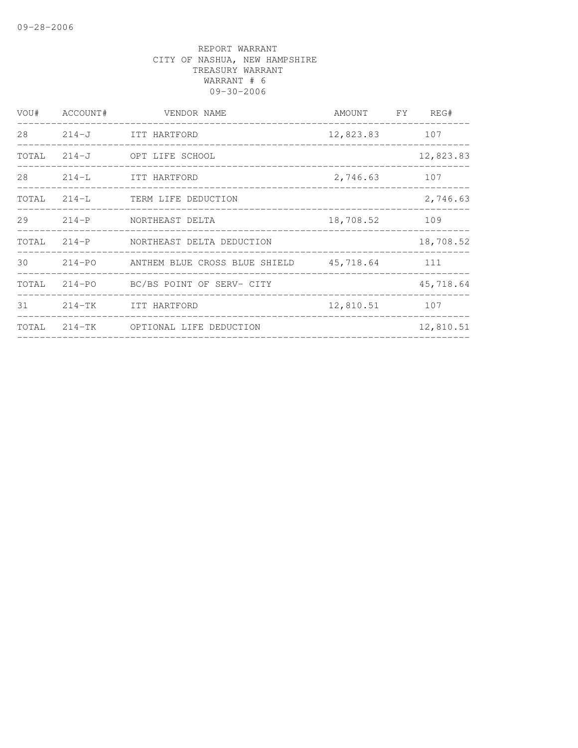| VOU#  | ACCOUNT# | VENDOR NAME                          | AMOUNT FY | REG#       |
|-------|----------|--------------------------------------|-----------|------------|
| 28    |          | 214-J ITT HARTFORD                   | 12,823.83 | 107        |
|       |          | TOTAL 214-J OPT LIFE SCHOOL          |           | 12,823.83  |
| 28    | $214-L$  | ITT HARTFORD                         | 2,746.63  | 107        |
|       |          | TOTAL 214-L TERM LIFE DEDUCTION      |           | 2,746.63   |
| 29    |          | 214-P NORTHEAST DELTA                | 18,708.52 | 109        |
| TOTAL |          | 214-P NORTHEAST DELTA DEDUCTION      |           | 18,708.52  |
| 30    |          |                                      |           | $\sim$ 111 |
| TOTAL |          | 214-PO BC/BS POINT OF SERV- CITY     |           | 45,718.64  |
|       |          | 31 214-TK ITT HARTFORD               | 12,810.51 | 107        |
|       |          | TOTAL 214-TK OPTIONAL LIFE DEDUCTION |           | 12,810.51  |
|       |          |                                      |           |            |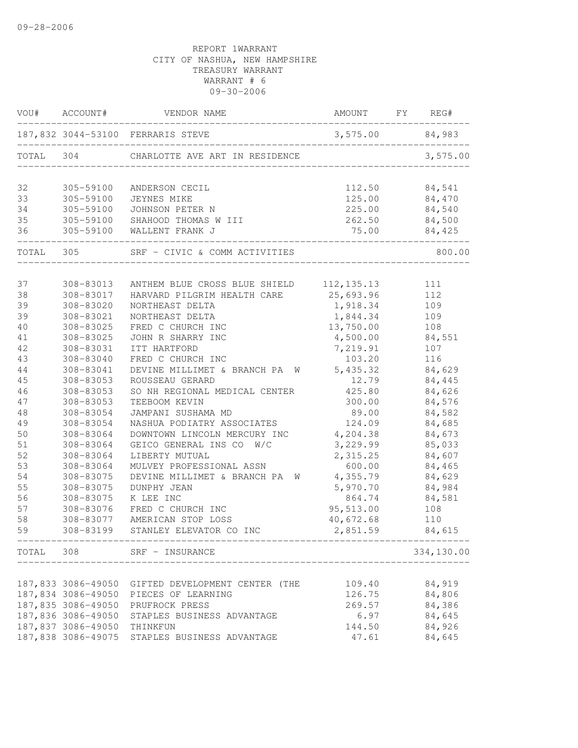|    |                             | VOU# ACCOUNT# VENDOR NAME                         | AMOUNT FY REG#    |            |
|----|-----------------------------|---------------------------------------------------|-------------------|------------|
|    |                             |                                                   | $3,575.00$ 84,983 |            |
|    |                             | TOTAL 304 CHARLOTTE AVE ART IN RESIDENCE          |                   | 3,575.00   |
| 32 | 305-59100                   | ANDERSON CECIL                                    | 112.50            | 84,541     |
| 33 | 305-59100                   | JEYNES MIKE                                       |                   | 84,470     |
| 34 | 305-59100                   | JOHNSON PETER N                                   | 125.00<br>225.00  | 84,540     |
| 35 |                             | 305-59100 SHAHOOD THOMAS W III                    | 262.50            | 84,500     |
| 36 |                             | 305-59100 WALLENT FRANK J                         | $75.00$ $84,425$  |            |
|    |                             | TOTAL 305 SRF - CIVIC & COMM ACTIVITIES           |                   | 800.00     |
| 37 | 308-83013                   | ANTHEM BLUE CROSS BLUE SHIELD 112, 135.13 111     |                   |            |
| 38 | 308-83017                   | HARVARD PILGRIM HEALTH CARE 25,693.96             |                   | 112        |
| 39 | 308-83020                   | NORTHEAST DELTA                                   | 1,918.34          | 109        |
| 39 | 308-83021                   | NORTHEAST DELTA                                   | 1,844.34          | 109        |
| 40 | 308-83025                   | FRED C CHURCH INC                                 | 13,750.00         | 108        |
| 41 | 308-83025                   | JOHN R SHARRY INC                                 | 4,500.00          | 84,551     |
| 42 | 308-83031                   | ITT HARTFORD                                      | 7,219.91          | 107        |
| 43 | 308-83040                   | FRED C CHURCH INC                                 | 103.20            | 116        |
| 44 | 308-83041                   | DEVINE MILLIMET & BRANCH PA W 5,435.32            |                   | 84,629     |
| 45 | 308-83053                   | ROUSSEAU GERARD                                   | 12.79             | 84,445     |
| 46 | 308-83053                   | SO NH REGIONAL MEDICAL CENTER                     | 425.80            | 84,626     |
| 47 | 308-83053                   | TEEBOOM KEVIN                                     | 300.00            | 84,576     |
| 48 | 308-83054                   | JAMPANI SUSHAMA MD                                | 89.00             | 84,582     |
| 49 | 308-83054                   | NASHUA PODIATRY ASSOCIATES                        | 124.09            | 84,685     |
| 50 | 308-83064                   | DOWNTOWN LINCOLN MERCURY INC 4, 204.38            |                   | 84,673     |
| 51 | 308-83064                   | GEICO GENERAL INS CO W/C                          | 3,229.99          | 85,033     |
| 52 | 308-83064                   | LIBERTY MUTUAL                                    | 2,315.25          | 84,607     |
| 53 | 308-83064                   | MULVEY PROFESSIONAL ASSN                          | 600.00            | 84,465     |
| 54 | 308-83075                   | DEVINE MILLIMET & BRANCH PA W                     | 4,355.79          | 84,629     |
| 55 | 308-83075                   | DUNPHY JEAN                                       | 5,970.70          | 84,984     |
| 56 | 308-83075                   | K LEE INC                                         | 864.74            | 84,581     |
| 57 | 308-83076                   | FRED C CHURCH INC                                 | 95,513.00         | 108        |
| 58 | 308-83077                   | AMERICAN STOP LOSS                                | 40,672.68         | 110        |
| 59 | 308-83199                   | STANLEY ELEVATOR CO INC                           | 2,851.59          | 84,615     |
|    |                             | TOTAL 308 SRF - INSURANCE                         |                   | 334,130.00 |
|    |                             |                                                   |                   |            |
|    |                             | 187,833 3086-49050 GIFTED DEVELOPMENT CENTER (THE | 109.40            | 84,919     |
|    |                             | 187,834 3086-49050 PIECES OF LEARNING             | 126.75            | 84,806     |
|    | 187,835 3086-49050          | PRUFROCK PRESS                                    | 269.57            | 84,386     |
|    | 187,836 3086-49050          | STAPLES BUSINESS ADVANTAGE                        | 6.97              | 84,645     |
|    | 187,837 3086-49050 THINKFUN |                                                   | 144.50            | 84,926     |
|    |                             | 187,838 3086-49075 STAPLES BUSINESS ADVANTAGE     | 47.61             | 84,645     |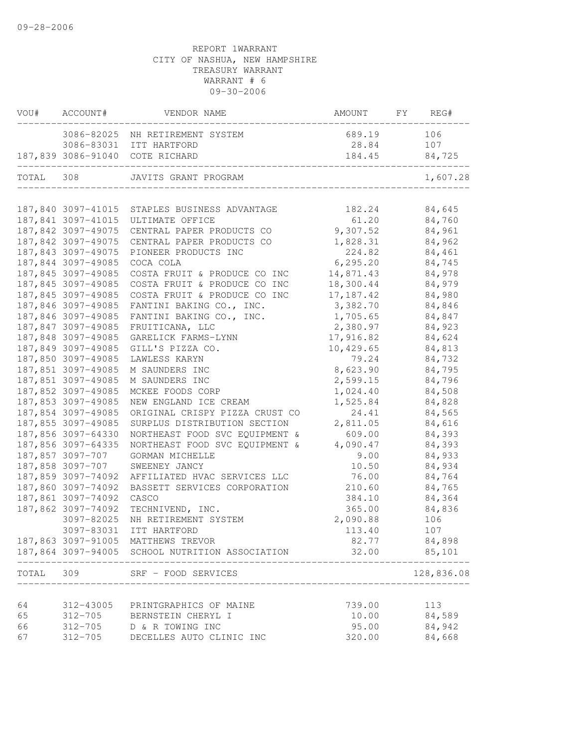|           | VOU# ACCOUNT#      | VENDOR NAME                                                                              | AMOUNT     | FY REG#    |
|-----------|--------------------|------------------------------------------------------------------------------------------|------------|------------|
|           |                    | 3086-82025 NH RETIREMENT SYSTEM                                                          | 689.19     | 106        |
|           |                    | 3086-83031 ITT HARTFORD                                                                  | 28.84      | 107        |
|           |                    | 187,839 3086-91040 COTE RICHARD<br>__________________________<br>_______________________ | 184.45     | 84,725     |
| TOTAL 308 |                    | JAVITS GRANT PROGRAM                                                                     |            | 1,607.28   |
|           |                    |                                                                                          |            |            |
|           |                    | 187,840 3097-41015 STAPLES BUSINESS ADVANTAGE                                            | 182.24     | 84,645     |
|           |                    | 187,841 3097-41015 ULTIMATE OFFICE                                                       | 61.20      | 84,760     |
|           | 187,842 3097-49075 | CENTRAL PAPER PRODUCTS CO                                                                | 9,307.52   | 84,961     |
|           | 187,842 3097-49075 | CENTRAL PAPER PRODUCTS CO                                                                | 1,828.31   | 84,962     |
|           | 187,843 3097-49075 | PIONEER PRODUCTS INC                                                                     | 224.82     | 84,461     |
|           | 187,844 3097-49085 | COCA COLA                                                                                | 6, 295.20  | 84,745     |
|           | 187,845 3097-49085 | COSTA FRUIT & PRODUCE CO INC                                                             | 14,871.43  | 84,978     |
|           | 187,845 3097-49085 | COSTA FRUIT & PRODUCE CO INC                                                             | 18,300.44  | 84,979     |
|           | 187,845 3097-49085 | COSTA FRUIT & PRODUCE CO INC                                                             | 17, 187.42 | 84,980     |
|           | 187,846 3097-49085 | FANTINI BAKING CO., INC.                                                                 | 3,382.70   | 84,846     |
|           | 187,846 3097-49085 | FANTINI BAKING CO., INC.                                                                 | 1,705.65   | 84,847     |
|           | 187,847 3097-49085 | FRUITICANA, LLC                                                                          | 2,380.97   | 84,923     |
|           | 187,848 3097-49085 | GARELICK FARMS-LYNN                                                                      | 17,916.82  | 84,624     |
|           | 187,849 3097-49085 | GILL'S PIZZA CO.                                                                         | 10,429.65  | 84,813     |
|           | 187,850 3097-49085 | LAWLESS KARYN                                                                            | 79.24      | 84,732     |
|           | 187,851 3097-49085 | M SAUNDERS INC                                                                           | 8,623.90   | 84,795     |
|           | 187,851 3097-49085 | M SAUNDERS INC                                                                           | 2,599.15   | 84,796     |
|           | 187,852 3097-49085 | MCKEE FOODS CORP                                                                         | 1,024.40   | 84,508     |
|           | 187,853 3097-49085 | NEW ENGLAND ICE CREAM                                                                    | 1,525.84   | 84,828     |
|           | 187,854 3097-49085 | ORIGINAL CRISPY PIZZA CRUST CO                                                           | 24.41      | 84,565     |
|           | 187,855 3097-49085 | SURPLUS DISTRIBUTION SECTION                                                             | 2,811.05   | 84,616     |
|           | 187,856 3097-64330 | NORTHEAST FOOD SVC EQUIPMENT &                                                           | 609.00     | 84,393     |
|           | 187,856 3097-64335 | NORTHEAST FOOD SVC EQUIPMENT &                                                           | 4,090.47   | 84,393     |
|           | 187,857 3097-707   | GORMAN MICHELLE                                                                          | 9.00       | 84,933     |
|           | 187,858 3097-707   | SWEENEY JANCY                                                                            | 10.50      | 84,934     |
|           | 187,859 3097-74092 | AFFILIATED HVAC SERVICES LLC                                                             | 76.00      | 84,764     |
|           | 187,860 3097-74092 | BASSETT SERVICES CORPORATION                                                             | 210.60     | 84,765     |
|           | 187,861 3097-74092 | CASCO                                                                                    | 384.10     | 84,364     |
|           | 187,862 3097-74092 | TECHNIVEND, INC.                                                                         | 365.00     | 84,836     |
|           | 3097-82025         | NH RETIREMENT SYSTEM                                                                     | 2,090.88   | 106        |
|           | 3097-83031         | ITT HARTFORD                                                                             | 113.40     | 107        |
|           |                    | 187,863 3097-91005 MATTHEWS TREVOR                                                       | 82.77      | 84,898     |
|           |                    | 187,864 3097-94005 SCHOOL NUTRITION ASSOCIATION                                          | 32.00      | 85,101     |
| TOTAL     | 309                | SRF - FOOD SERVICES                                                                      |            | 128,836.08 |
|           |                    |                                                                                          |            |            |
| 64        | 312-43005          | PRINTGRAPHICS OF MAINE                                                                   | 739.00     | 113        |
| 65        |                    | 312-705 BERNSTEIN CHERYL I                                                               | 10.00      | 84,589     |
| 66        |                    | 312-705 D & R TOWING INC                                                                 | 95.00      | 84,942     |
| 67        | 312-705            | DECELLES AUTO CLINIC INC                                                                 | 320.00     | 84,668     |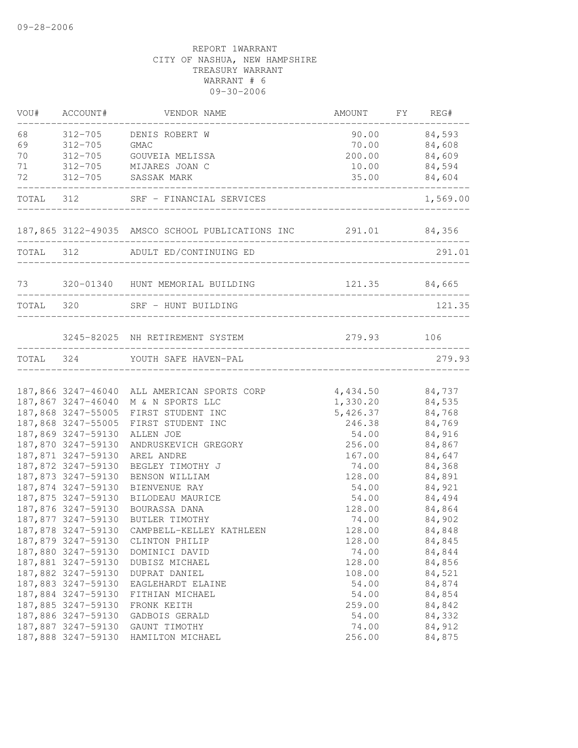| 84,593<br>68<br>$312 - 705$<br>90.00<br>DENIS ROBERT W<br>69<br>84,608<br>$312 - 705$<br><b>GMAC</b><br>70.00<br>84,609<br>70<br>$312 - 705$<br>GOUVEIA MELISSA<br>200.00<br>84,594<br>71<br>312-705<br>MIJARES JOAN C<br>10.00<br>72<br>$312 - 705$<br>SASSAK MARK<br>35.00<br>84,604<br>1,569.00<br>TOTAL<br>312<br>SRF - FINANCIAL SERVICES<br>187,865 3122-49035 AMSCO SCHOOL PUBLICATIONS INC 291.01 84,356<br>. _ _ _ _ _ _ _ _ _ _ _ _ _ _<br>312 ADULT ED/CONTINUING ED<br>291.01<br>TOTAL<br>______________________________<br>73<br>320-01340 HUNT MEMORIAL BUILDING<br>121.35 84,665<br>TOTAL 320<br>121.35<br>SRF - HUNT BUILDING<br>____________________<br>279.93<br>3245-82025 NH RETIREMENT SYSTEM<br>106<br>279.93<br>TOTAL 324 YOUTH SAFE HAVEN-PAL<br>187,866 3247-46040 ALL AMERICAN SPORTS CORP<br>4,434.50<br>84,737<br>1,330.20<br>187,867 3247-46040 M & N SPORTS LLC<br>84,535<br>187,868 3247-55005<br>5,426.37<br>84,768<br>FIRST STUDENT INC<br>187,868 3247-55005<br>246.38<br>84,769<br>FIRST STUDENT INC<br>187,869 3247-59130<br>84,916<br>ALLEN JOE<br>54.00<br>187,870 3247-59130<br>84,867<br>ANDRUSKEVICH GREGORY<br>256.00<br>187,871 3247-59130<br>84,647<br>AREL ANDRE<br>167.00<br>187,872 3247-59130<br>74.00<br>BEGLEY TIMOTHY J<br>84,368<br>187,873 3247-59130<br>84,891<br>BENSON WILLIAM<br>128.00<br>187,874 3247-59130<br>84,921<br>BIENVENUE RAY<br>54.00<br>187,875 3247-59130<br>BILODEAU MAURICE<br>54.00<br>84,494<br>187,876 3247-59130<br>128.00<br>84,864<br>BOURASSA DANA<br>187,877 3247-59130<br>84,902<br>BUTLER TIMOTHY<br>74.00<br>187,878 3247-59130<br>128.00<br>84,848<br>CAMPBELL-KELLEY KATHLEEN<br>187,879 3247-59130<br>128.00<br>84,845<br>CLINTON PHILIP<br>187,880 3247-59130<br>74.00<br>84,844<br>DOMINICI DAVID<br>187,881 3247-59130<br>128.00<br>84,856<br>DUBISZ MICHAEL<br>187,882 3247-59130<br>84,521<br>108.00<br>DUPRAT DANIEL<br>187,883 3247-59130<br>54.00<br>84,874<br>EAGLEHARDT ELAINE<br>187,884 3247-59130<br>54.00<br>84,854<br>FITHIAN MICHAEL<br>187,885 3247-59130<br>84,842<br>259.00<br>FRONK KEITH<br>187,886 3247-59130<br>84,332<br>54.00<br>GADBOIS GERALD<br>187,887 3247-59130<br>84,912<br>74.00<br>GAUNT TIMOTHY<br>187,888 3247-59130<br>256.00<br>84,875<br>HAMILTON MICHAEL | VOU# | ACCOUNT# | VENDOR NAME | AMOUNT FY REG# |  |
|-----------------------------------------------------------------------------------------------------------------------------------------------------------------------------------------------------------------------------------------------------------------------------------------------------------------------------------------------------------------------------------------------------------------------------------------------------------------------------------------------------------------------------------------------------------------------------------------------------------------------------------------------------------------------------------------------------------------------------------------------------------------------------------------------------------------------------------------------------------------------------------------------------------------------------------------------------------------------------------------------------------------------------------------------------------------------------------------------------------------------------------------------------------------------------------------------------------------------------------------------------------------------------------------------------------------------------------------------------------------------------------------------------------------------------------------------------------------------------------------------------------------------------------------------------------------------------------------------------------------------------------------------------------------------------------------------------------------------------------------------------------------------------------------------------------------------------------------------------------------------------------------------------------------------------------------------------------------------------------------------------------------------------------------------------------------------------------------------------------------------------------------------------------------------------------------------------------------------------------------------------------------------------------------|------|----------|-------------|----------------|--|
|                                                                                                                                                                                                                                                                                                                                                                                                                                                                                                                                                                                                                                                                                                                                                                                                                                                                                                                                                                                                                                                                                                                                                                                                                                                                                                                                                                                                                                                                                                                                                                                                                                                                                                                                                                                                                                                                                                                                                                                                                                                                                                                                                                                                                                                                                         |      |          |             |                |  |
|                                                                                                                                                                                                                                                                                                                                                                                                                                                                                                                                                                                                                                                                                                                                                                                                                                                                                                                                                                                                                                                                                                                                                                                                                                                                                                                                                                                                                                                                                                                                                                                                                                                                                                                                                                                                                                                                                                                                                                                                                                                                                                                                                                                                                                                                                         |      |          |             |                |  |
|                                                                                                                                                                                                                                                                                                                                                                                                                                                                                                                                                                                                                                                                                                                                                                                                                                                                                                                                                                                                                                                                                                                                                                                                                                                                                                                                                                                                                                                                                                                                                                                                                                                                                                                                                                                                                                                                                                                                                                                                                                                                                                                                                                                                                                                                                         |      |          |             |                |  |
|                                                                                                                                                                                                                                                                                                                                                                                                                                                                                                                                                                                                                                                                                                                                                                                                                                                                                                                                                                                                                                                                                                                                                                                                                                                                                                                                                                                                                                                                                                                                                                                                                                                                                                                                                                                                                                                                                                                                                                                                                                                                                                                                                                                                                                                                                         |      |          |             |                |  |
|                                                                                                                                                                                                                                                                                                                                                                                                                                                                                                                                                                                                                                                                                                                                                                                                                                                                                                                                                                                                                                                                                                                                                                                                                                                                                                                                                                                                                                                                                                                                                                                                                                                                                                                                                                                                                                                                                                                                                                                                                                                                                                                                                                                                                                                                                         |      |          |             |                |  |
|                                                                                                                                                                                                                                                                                                                                                                                                                                                                                                                                                                                                                                                                                                                                                                                                                                                                                                                                                                                                                                                                                                                                                                                                                                                                                                                                                                                                                                                                                                                                                                                                                                                                                                                                                                                                                                                                                                                                                                                                                                                                                                                                                                                                                                                                                         |      |          |             |                |  |
|                                                                                                                                                                                                                                                                                                                                                                                                                                                                                                                                                                                                                                                                                                                                                                                                                                                                                                                                                                                                                                                                                                                                                                                                                                                                                                                                                                                                                                                                                                                                                                                                                                                                                                                                                                                                                                                                                                                                                                                                                                                                                                                                                                                                                                                                                         |      |          |             |                |  |
|                                                                                                                                                                                                                                                                                                                                                                                                                                                                                                                                                                                                                                                                                                                                                                                                                                                                                                                                                                                                                                                                                                                                                                                                                                                                                                                                                                                                                                                                                                                                                                                                                                                                                                                                                                                                                                                                                                                                                                                                                                                                                                                                                                                                                                                                                         |      |          |             |                |  |
|                                                                                                                                                                                                                                                                                                                                                                                                                                                                                                                                                                                                                                                                                                                                                                                                                                                                                                                                                                                                                                                                                                                                                                                                                                                                                                                                                                                                                                                                                                                                                                                                                                                                                                                                                                                                                                                                                                                                                                                                                                                                                                                                                                                                                                                                                         |      |          |             |                |  |
|                                                                                                                                                                                                                                                                                                                                                                                                                                                                                                                                                                                                                                                                                                                                                                                                                                                                                                                                                                                                                                                                                                                                                                                                                                                                                                                                                                                                                                                                                                                                                                                                                                                                                                                                                                                                                                                                                                                                                                                                                                                                                                                                                                                                                                                                                         |      |          |             |                |  |
|                                                                                                                                                                                                                                                                                                                                                                                                                                                                                                                                                                                                                                                                                                                                                                                                                                                                                                                                                                                                                                                                                                                                                                                                                                                                                                                                                                                                                                                                                                                                                                                                                                                                                                                                                                                                                                                                                                                                                                                                                                                                                                                                                                                                                                                                                         |      |          |             |                |  |
|                                                                                                                                                                                                                                                                                                                                                                                                                                                                                                                                                                                                                                                                                                                                                                                                                                                                                                                                                                                                                                                                                                                                                                                                                                                                                                                                                                                                                                                                                                                                                                                                                                                                                                                                                                                                                                                                                                                                                                                                                                                                                                                                                                                                                                                                                         |      |          |             |                |  |
|                                                                                                                                                                                                                                                                                                                                                                                                                                                                                                                                                                                                                                                                                                                                                                                                                                                                                                                                                                                                                                                                                                                                                                                                                                                                                                                                                                                                                                                                                                                                                                                                                                                                                                                                                                                                                                                                                                                                                                                                                                                                                                                                                                                                                                                                                         |      |          |             |                |  |
|                                                                                                                                                                                                                                                                                                                                                                                                                                                                                                                                                                                                                                                                                                                                                                                                                                                                                                                                                                                                                                                                                                                                                                                                                                                                                                                                                                                                                                                                                                                                                                                                                                                                                                                                                                                                                                                                                                                                                                                                                                                                                                                                                                                                                                                                                         |      |          |             |                |  |
|                                                                                                                                                                                                                                                                                                                                                                                                                                                                                                                                                                                                                                                                                                                                                                                                                                                                                                                                                                                                                                                                                                                                                                                                                                                                                                                                                                                                                                                                                                                                                                                                                                                                                                                                                                                                                                                                                                                                                                                                                                                                                                                                                                                                                                                                                         |      |          |             |                |  |
|                                                                                                                                                                                                                                                                                                                                                                                                                                                                                                                                                                                                                                                                                                                                                                                                                                                                                                                                                                                                                                                                                                                                                                                                                                                                                                                                                                                                                                                                                                                                                                                                                                                                                                                                                                                                                                                                                                                                                                                                                                                                                                                                                                                                                                                                                         |      |          |             |                |  |
|                                                                                                                                                                                                                                                                                                                                                                                                                                                                                                                                                                                                                                                                                                                                                                                                                                                                                                                                                                                                                                                                                                                                                                                                                                                                                                                                                                                                                                                                                                                                                                                                                                                                                                                                                                                                                                                                                                                                                                                                                                                                                                                                                                                                                                                                                         |      |          |             |                |  |
|                                                                                                                                                                                                                                                                                                                                                                                                                                                                                                                                                                                                                                                                                                                                                                                                                                                                                                                                                                                                                                                                                                                                                                                                                                                                                                                                                                                                                                                                                                                                                                                                                                                                                                                                                                                                                                                                                                                                                                                                                                                                                                                                                                                                                                                                                         |      |          |             |                |  |
|                                                                                                                                                                                                                                                                                                                                                                                                                                                                                                                                                                                                                                                                                                                                                                                                                                                                                                                                                                                                                                                                                                                                                                                                                                                                                                                                                                                                                                                                                                                                                                                                                                                                                                                                                                                                                                                                                                                                                                                                                                                                                                                                                                                                                                                                                         |      |          |             |                |  |
|                                                                                                                                                                                                                                                                                                                                                                                                                                                                                                                                                                                                                                                                                                                                                                                                                                                                                                                                                                                                                                                                                                                                                                                                                                                                                                                                                                                                                                                                                                                                                                                                                                                                                                                                                                                                                                                                                                                                                                                                                                                                                                                                                                                                                                                                                         |      |          |             |                |  |
|                                                                                                                                                                                                                                                                                                                                                                                                                                                                                                                                                                                                                                                                                                                                                                                                                                                                                                                                                                                                                                                                                                                                                                                                                                                                                                                                                                                                                                                                                                                                                                                                                                                                                                                                                                                                                                                                                                                                                                                                                                                                                                                                                                                                                                                                                         |      |          |             |                |  |
|                                                                                                                                                                                                                                                                                                                                                                                                                                                                                                                                                                                                                                                                                                                                                                                                                                                                                                                                                                                                                                                                                                                                                                                                                                                                                                                                                                                                                                                                                                                                                                                                                                                                                                                                                                                                                                                                                                                                                                                                                                                                                                                                                                                                                                                                                         |      |          |             |                |  |
|                                                                                                                                                                                                                                                                                                                                                                                                                                                                                                                                                                                                                                                                                                                                                                                                                                                                                                                                                                                                                                                                                                                                                                                                                                                                                                                                                                                                                                                                                                                                                                                                                                                                                                                                                                                                                                                                                                                                                                                                                                                                                                                                                                                                                                                                                         |      |          |             |                |  |
|                                                                                                                                                                                                                                                                                                                                                                                                                                                                                                                                                                                                                                                                                                                                                                                                                                                                                                                                                                                                                                                                                                                                                                                                                                                                                                                                                                                                                                                                                                                                                                                                                                                                                                                                                                                                                                                                                                                                                                                                                                                                                                                                                                                                                                                                                         |      |          |             |                |  |
|                                                                                                                                                                                                                                                                                                                                                                                                                                                                                                                                                                                                                                                                                                                                                                                                                                                                                                                                                                                                                                                                                                                                                                                                                                                                                                                                                                                                                                                                                                                                                                                                                                                                                                                                                                                                                                                                                                                                                                                                                                                                                                                                                                                                                                                                                         |      |          |             |                |  |
|                                                                                                                                                                                                                                                                                                                                                                                                                                                                                                                                                                                                                                                                                                                                                                                                                                                                                                                                                                                                                                                                                                                                                                                                                                                                                                                                                                                                                                                                                                                                                                                                                                                                                                                                                                                                                                                                                                                                                                                                                                                                                                                                                                                                                                                                                         |      |          |             |                |  |
|                                                                                                                                                                                                                                                                                                                                                                                                                                                                                                                                                                                                                                                                                                                                                                                                                                                                                                                                                                                                                                                                                                                                                                                                                                                                                                                                                                                                                                                                                                                                                                                                                                                                                                                                                                                                                                                                                                                                                                                                                                                                                                                                                                                                                                                                                         |      |          |             |                |  |
|                                                                                                                                                                                                                                                                                                                                                                                                                                                                                                                                                                                                                                                                                                                                                                                                                                                                                                                                                                                                                                                                                                                                                                                                                                                                                                                                                                                                                                                                                                                                                                                                                                                                                                                                                                                                                                                                                                                                                                                                                                                                                                                                                                                                                                                                                         |      |          |             |                |  |
|                                                                                                                                                                                                                                                                                                                                                                                                                                                                                                                                                                                                                                                                                                                                                                                                                                                                                                                                                                                                                                                                                                                                                                                                                                                                                                                                                                                                                                                                                                                                                                                                                                                                                                                                                                                                                                                                                                                                                                                                                                                                                                                                                                                                                                                                                         |      |          |             |                |  |
|                                                                                                                                                                                                                                                                                                                                                                                                                                                                                                                                                                                                                                                                                                                                                                                                                                                                                                                                                                                                                                                                                                                                                                                                                                                                                                                                                                                                                                                                                                                                                                                                                                                                                                                                                                                                                                                                                                                                                                                                                                                                                                                                                                                                                                                                                         |      |          |             |                |  |
|                                                                                                                                                                                                                                                                                                                                                                                                                                                                                                                                                                                                                                                                                                                                                                                                                                                                                                                                                                                                                                                                                                                                                                                                                                                                                                                                                                                                                                                                                                                                                                                                                                                                                                                                                                                                                                                                                                                                                                                                                                                                                                                                                                                                                                                                                         |      |          |             |                |  |
|                                                                                                                                                                                                                                                                                                                                                                                                                                                                                                                                                                                                                                                                                                                                                                                                                                                                                                                                                                                                                                                                                                                                                                                                                                                                                                                                                                                                                                                                                                                                                                                                                                                                                                                                                                                                                                                                                                                                                                                                                                                                                                                                                                                                                                                                                         |      |          |             |                |  |
|                                                                                                                                                                                                                                                                                                                                                                                                                                                                                                                                                                                                                                                                                                                                                                                                                                                                                                                                                                                                                                                                                                                                                                                                                                                                                                                                                                                                                                                                                                                                                                                                                                                                                                                                                                                                                                                                                                                                                                                                                                                                                                                                                                                                                                                                                         |      |          |             |                |  |
|                                                                                                                                                                                                                                                                                                                                                                                                                                                                                                                                                                                                                                                                                                                                                                                                                                                                                                                                                                                                                                                                                                                                                                                                                                                                                                                                                                                                                                                                                                                                                                                                                                                                                                                                                                                                                                                                                                                                                                                                                                                                                                                                                                                                                                                                                         |      |          |             |                |  |
|                                                                                                                                                                                                                                                                                                                                                                                                                                                                                                                                                                                                                                                                                                                                                                                                                                                                                                                                                                                                                                                                                                                                                                                                                                                                                                                                                                                                                                                                                                                                                                                                                                                                                                                                                                                                                                                                                                                                                                                                                                                                                                                                                                                                                                                                                         |      |          |             |                |  |
|                                                                                                                                                                                                                                                                                                                                                                                                                                                                                                                                                                                                                                                                                                                                                                                                                                                                                                                                                                                                                                                                                                                                                                                                                                                                                                                                                                                                                                                                                                                                                                                                                                                                                                                                                                                                                                                                                                                                                                                                                                                                                                                                                                                                                                                                                         |      |          |             |                |  |
|                                                                                                                                                                                                                                                                                                                                                                                                                                                                                                                                                                                                                                                                                                                                                                                                                                                                                                                                                                                                                                                                                                                                                                                                                                                                                                                                                                                                                                                                                                                                                                                                                                                                                                                                                                                                                                                                                                                                                                                                                                                                                                                                                                                                                                                                                         |      |          |             |                |  |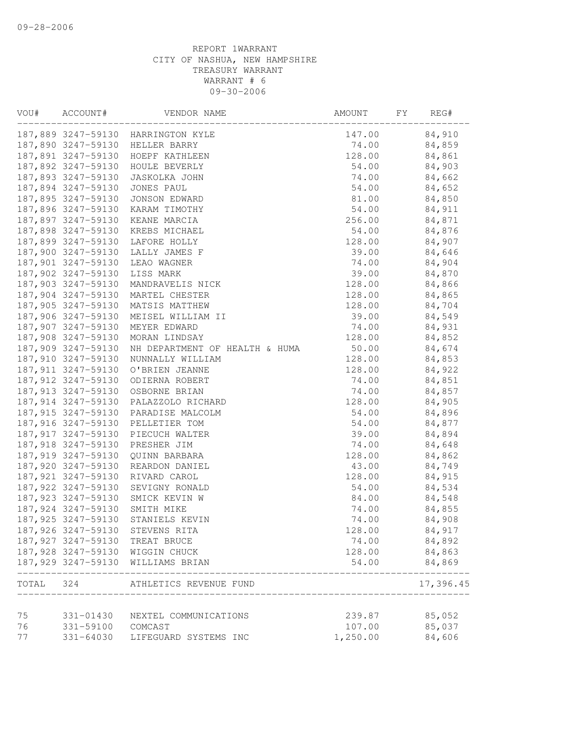| VOU#  | ACCOUNT#            | VENDOR NAME                          | AMOUNT   | FY | REG#      |
|-------|---------------------|--------------------------------------|----------|----|-----------|
|       |                     | 187,889 3247-59130 HARRINGTON KYLE   | 147.00   |    | 84,910    |
|       |                     | 187,890 3247-59130 HELLER BARRY      | 74.00    |    | 84,859    |
|       | 187,891 3247-59130  | HOEPF KATHLEEN                       | 128.00   |    | 84,861    |
|       | 187,892 3247-59130  | HOULE BEVERLY                        | 54.00    |    | 84,903    |
|       | 187,893 3247-59130  | JASKOLKA JOHN                        | 74.00    |    | 84,662    |
|       | 187,894 3247-59130  | JONES PAUL                           | 54.00    |    | 84,652    |
|       | 187,895 3247-59130  | JONSON EDWARD                        | 81.00    |    | 84,850    |
|       | 187,896 3247-59130  | KARAM TIMOTHY                        | 54.00    |    | 84,911    |
|       | 187,897 3247-59130  | KEANE MARCIA                         | 256.00   |    | 84,871    |
|       | 187,898 3247-59130  | KREBS MICHAEL                        | 54.00    |    | 84,876    |
|       | 187,899 3247-59130  | LAFORE HOLLY                         | 128.00   |    | 84,907    |
|       | 187,900 3247-59130  | LALLY JAMES F                        | 39.00    |    | 84,646    |
|       | 187,901 3247-59130  | LEAO WAGNER                          | 74.00    |    | 84,904    |
|       | 187,902 3247-59130  | LISS MARK                            | 39.00    |    | 84,870    |
|       | 187,903 3247-59130  | MANDRAVELIS NICK                     | 128.00   |    | 84,866    |
|       | 187,904 3247-59130  | MARTEL CHESTER                       | 128.00   |    | 84,865    |
|       | 187,905 3247-59130  | MATSIS MATTHEW                       | 128.00   |    | 84,704    |
|       | 187,906 3247-59130  | MEISEL WILLIAM II                    | 39.00    |    | 84,549    |
|       | 187,907 3247-59130  | MEYER EDWARD                         | 74.00    |    | 84,931    |
|       | 187,908 3247-59130  | MORAN LINDSAY                        | 128.00   |    | 84,852    |
|       | 187,909 3247-59130  | NH DEPARTMENT OF HEALTH & HUMA       | 50.00    |    | 84,674    |
|       | 187,910 3247-59130  | NUNNALLY WILLIAM                     | 128.00   |    | 84,853    |
|       | 187, 911 3247-59130 | O'BRIEN JEANNE                       | 128.00   |    | 84,922    |
|       | 187,912 3247-59130  | ODIERNA ROBERT                       | 74.00    |    | 84,851    |
|       |                     | 187,913 3247-59130 OSBORNE BRIAN     | 74.00    |    | 84,857    |
|       |                     | 187,914 3247-59130 PALAZZOLO RICHARD | 128.00   |    | 84,905    |
|       |                     | 187,915 3247-59130 PARADISE MALCOLM  | 54.00    |    | 84,896    |
|       | 187,916 3247-59130  | PELLETIER TOM                        | 54.00    |    | 84,877    |
|       | 187, 917 3247-59130 | PIECUCH WALTER                       | 39.00    |    | 84,894    |
|       | 187,918 3247-59130  | PRESHER JIM                          | 74.00    |    | 84,648    |
|       | 187,919 3247-59130  | QUINN BARBARA                        | 128.00   |    | 84,862    |
|       | 187,920 3247-59130  | REARDON DANIEL                       | 43.00    |    | 84,749    |
|       | 187,921 3247-59130  | RIVARD CAROL                         | 128.00   |    | 84,915    |
|       | 187,922 3247-59130  | SEVIGNY RONALD                       | 54.00    |    | 84,534    |
|       | 187,923 3247-59130  | SMICK KEVIN W                        | 84.00    |    | 84,548    |
|       | 187,924 3247-59130  | SMITH MIKE                           | 74.00    |    | 84,855    |
|       | 187, 925 3247-59130 | STANIELS KEVIN                       | 74.00    |    | 84,908    |
|       | 187,926 3247-59130  | STEVENS RITA                         | 128.00   |    | 84,917    |
|       | 187, 927 3247-59130 | TREAT BRUCE                          | 74.00    |    | 84,892    |
|       |                     | 187,928 3247-59130 WIGGIN CHUCK      | 128.00   |    | 84,863    |
|       |                     | 187,929 3247-59130 WILLIAMS BRIAN    | 54.00    |    | 84,869    |
| TOTAL | 324                 | ATHLETICS REVENUE FUND               |          |    | 17,396.45 |
| 75    | 331-01430           | NEXTEL COMMUNICATIONS                | 239.87   |    | 85,052    |
| 76    | 331-59100           | COMCAST                              | 107.00   |    | 85,037    |
| 77    | 331-64030           | LIFEGUARD SYSTEMS INC                | 1,250.00 |    | 84,606    |
|       |                     |                                      |          |    |           |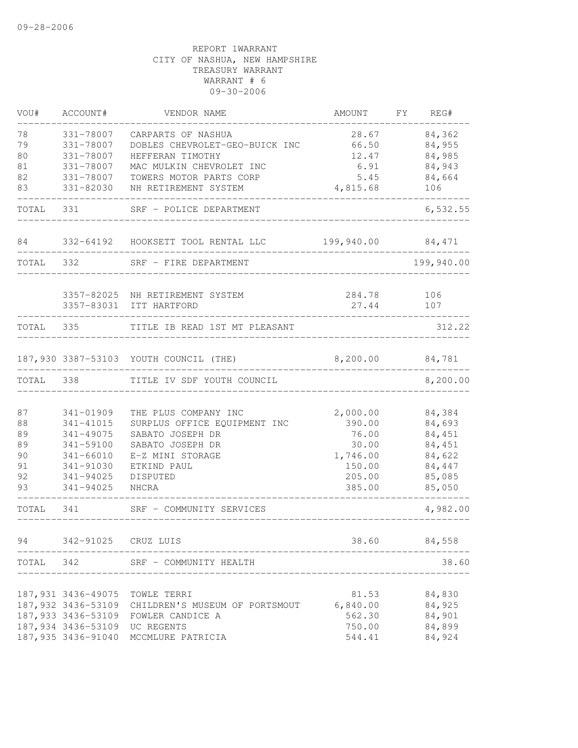| VOU#      | ACCOUNT#                      | VENDOR NAME                                       | AMOUNT             | FY. | REG#             |
|-----------|-------------------------------|---------------------------------------------------|--------------------|-----|------------------|
| 78        | 331-78007                     | CARPARTS OF NASHUA                                | 28.67              |     | 84,362           |
| 79        | 331-78007                     | DOBLES CHEVROLET-GEO-BUICK INC                    | 66.50              |     | 84,955           |
| 80        | 331-78007                     | HEFFERAN TIMOTHY                                  | 12.47              |     | 84,985           |
| 81        | 331-78007                     | MAC MULKIN CHEVROLET INC                          | 6.91               |     | 84,943           |
| 82        | 331-78007                     | TOWERS MOTOR PARTS CORP                           | 5.45               |     | 84,664           |
| 83        | 331-82030                     | NH RETIREMENT SYSTEM                              | 4,815.68           |     | 106              |
| TOTAL     | 331                           | SRF - POLICE DEPARTMENT                           |                    |     | 6,532.55         |
| 84        | 332-64192                     | HOOKSETT TOOL RENTAL LLC                          | 199,940.00         |     | 84,471           |
| TOTAL     | 332                           | SRF - FIRE DEPARTMENT                             |                    |     | 199,940.00       |
|           | 3357-82025                    | NH RETIREMENT SYSTEM                              | 284.78             |     | 106              |
|           | 3357-83031                    | ITT HARTFORD                                      | 27.44              |     | 107              |
| TOTAL     | 335                           | TITLE IB READ 1ST MT PLEASANT                     |                    |     | 312.22           |
|           |                               | 187,930 3387-53103 YOUTH COUNCIL (THE)            | 8,200.00           |     | 84,781           |
| TOTAL     | 338                           | TITLE IV SDF YOUTH COUNCIL                        |                    |     | 8,200.00         |
|           |                               |                                                   |                    |     |                  |
| 87        | 341-01909                     | THE PLUS COMPANY INC                              | 2,000.00           |     | 84,384           |
| 88        | 341-41015                     | SURPLUS OFFICE EQUIPMENT INC                      | 390.00             |     | 84,693           |
| 89        | 341-49075                     | SABATO JOSEPH DR                                  | 76.00              |     | 84,451           |
| 89        | 341-59100                     | SABATO JOSEPH DR                                  | 30.00              |     | 84,451           |
| 90<br>91  | $341 - 66010$<br>341-91030    | E-Z MINI STORAGE<br>ETKIND PAUL                   | 1,746.00<br>150.00 |     | 84,622<br>84,447 |
| 92        | 341-94025                     | DISPUTED                                          | 205.00             |     | 85,085           |
| 93        | 341-94025                     | <b>NHCRA</b>                                      | 385.00             |     | 85,050           |
| TOTAL     | 341                           | SRF - COMMUNITY SERVICES                          |                    |     | 4,982.00         |
| 94        | 342-91025 CRUZ LUIS           |                                                   | 38.60              |     | 84,558           |
| TOTAL 342 |                               | SRF - COMMUNITY HEALTH                            |                    |     | 38.60            |
|           |                               |                                                   |                    |     |                  |
|           |                               | 187,931 3436-49075 TOWLE TERRI                    | 81.53              |     | 84,830           |
|           |                               | 187,932 3436-53109 CHILDREN'S MUSEUM OF PORTSMOUT | 6,840.00           |     | 84,925           |
|           |                               | 187,933 3436-53109 FOWLER CANDICE A               | 562.30             |     | 84,901           |
|           | 187,934 3436-53109 UC REGENTS |                                                   | 750.00             |     | 84,899           |
|           | 187,935 3436-91040            | MCCMLURE PATRICIA                                 | 544.41             |     | 84,924           |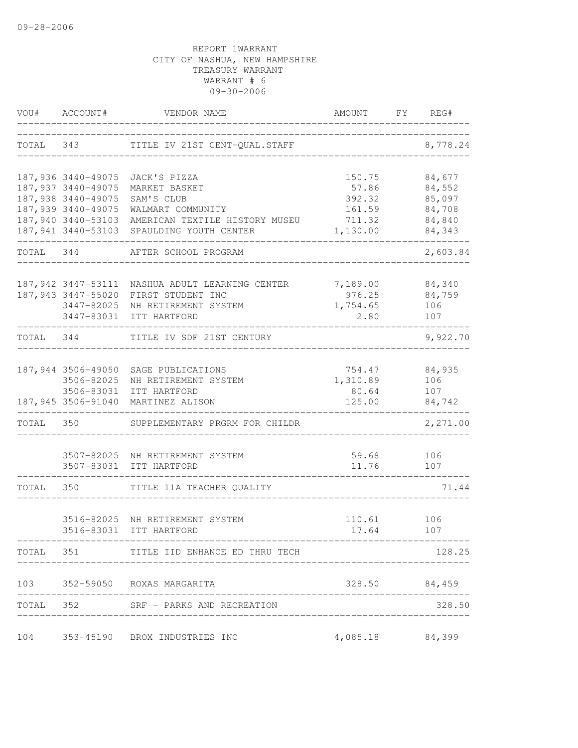| VOU#  | ACCOUNT#           | VENDOR NAME                                     | AMOUNT          | FY | REG#          |
|-------|--------------------|-------------------------------------------------|-----------------|----|---------------|
| TOTAL | 343                | TITLE IV 21ST CENT-QUAL. STAFF                  |                 |    | 8,778.24      |
|       | 187,936 3440-49075 | JACK'S PIZZA                                    | 150.75          |    | 84,677        |
|       | 187,937 3440-49075 | MARKET BASKET                                   | 57.86           |    | 84,552        |
|       | 187,938 3440-49075 | SAM'S CLUB                                      | 392.32          |    | 85,097        |
|       | 187,939 3440-49075 | WALMART COMMUNITY                               | 161.59          |    | 84,708        |
|       | 187,940 3440-53103 | AMERICAN TEXTILE HISTORY MUSEU                  | 711.32          |    | 84,840        |
|       | 187,941 3440-53103 | SPAULDING YOUTH CENTER                          | 1,130.00        |    | 84,343        |
| TOTAL | 344                | AFTER SCHOOL PROGRAM                            |                 |    | 2,603.84      |
|       | 187,942 3447-53111 | NASHUA ADULT LEARNING CENTER                    | 7,189.00        |    | 84,340        |
|       | 187,943 3447-55020 | FIRST STUDENT INC                               | 976.25          |    | 84,759        |
|       | 3447-82025         | NH RETIREMENT SYSTEM                            | 1,754.65        |    | 106           |
|       |                    | 3447-83031 ITT HARTFORD                         | 2.80            |    | 107           |
| TOTAL | 344                | TITLE IV SDF 21ST CENTURY                       |                 |    | 9,922.70      |
|       | 187,944 3506-49050 | SAGE PUBLICATIONS                               | 754.47          |    | 84,935        |
|       | 3506-82025         | NH RETIREMENT SYSTEM                            | 1,310.89        |    | 106           |
|       |                    | 3506-83031 ITT HARTFORD                         | 80.64           |    | 107           |
|       | 187,945 3506-91040 | MARTINEZ ALISON                                 | 125.00          |    | 84,742        |
| TOTAL | 350                | SUPPLEMENTARY PRGRM FOR CHILDR                  |                 |    | 2,271.00      |
|       | 3507-82025         |                                                 | 59.68           |    | 106           |
|       |                    | NH RETIREMENT SYSTEM<br>3507-83031 ITT HARTFORD | 11.76           |    | 107           |
| TOTAL | 350                | TITLE 11A TEACHER QUALITY                       |                 |    | 71.44         |
|       |                    |                                                 |                 |    |               |
|       | 3516-82025         | NH RETIREMENT SYSTEM                            | 110.61          |    | 106           |
|       | 3516-83031         | ITT HARTFORD                                    | 17.64           |    | 107           |
|       |                    | TOTAL 351 TITLE IID ENHANCE ED THRU TECH        |                 |    | 128.25        |
|       |                    | 103 352-59050 ROXAS MARGARITA                   |                 |    | 328.50 84,459 |
|       |                    | TOTAL 352 SRF - PARKS AND RECREATION            |                 |    | 328.50        |
|       |                    |                                                 |                 |    |               |
|       |                    | 104 353-45190 BROX INDUSTRIES INC               | 4,085.18 84,399 |    |               |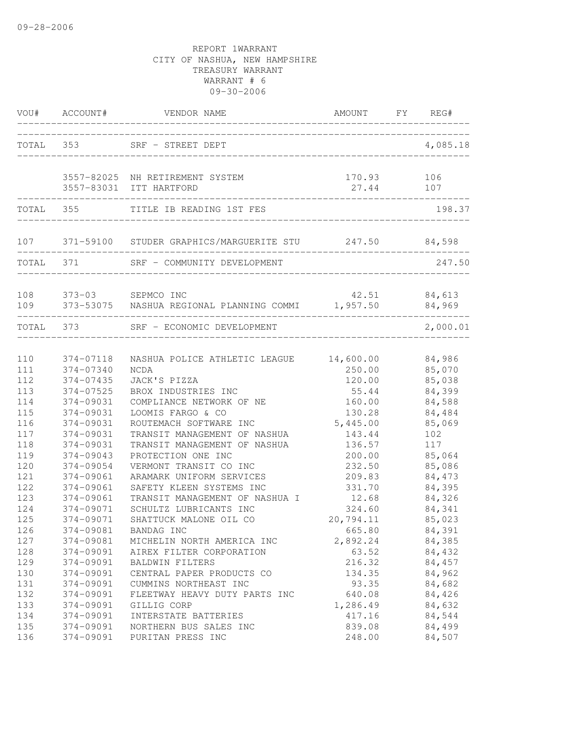| VOU#              | ACCOUNT#                            | VENDOR NAME                                                                          | AMOUNT                        | FY | REG#                       |
|-------------------|-------------------------------------|--------------------------------------------------------------------------------------|-------------------------------|----|----------------------------|
| TOTAL 353         |                                     | SRF - STREET DEPT                                                                    |                               |    | 4,085.18                   |
|                   |                                     | 3557-82025 NH RETIREMENT SYSTEM<br>3557-83031 ITT HARTFORD                           | 170.93 106<br>27.44           |    | 107                        |
| TOTAL 355         |                                     | TITLE IB READING 1ST FES                                                             |                               |    | 198.37                     |
|                   |                                     | 107 371-59100 STUDER GRAPHICS/MARGUERITE STU 247.50 84,598                           |                               |    |                            |
|                   | TOTAL 371                           | SRF - COMMUNITY DEVELOPMENT                                                          |                               |    | 247.50                     |
| 108<br>109        | 373-03 SEPMCO INC                   | 373-53075 NASHUA REGIONAL PLANNING COMMI 1,957.50                                    |                               |    | 42.51 84,613<br>84,969     |
|                   | TOTAL 373                           | SRF - ECONOMIC DEVELOPMENT                                                           |                               |    | 2,000.01                   |
| 110<br>111        | 374-07118<br>374-07340              | NASHUA POLICE ATHLETIC LEAGUE<br>NCDA                                                | 14,600.00<br>250.00           |    | 84,986<br>85,070           |
| 112<br>113        | 374-07435<br>374-07525              | JACK'S PIZZA<br>BROX INDUSTRIES INC                                                  | 120.00<br>55.44               |    | 85,038<br>84,399           |
| 114<br>115<br>116 | 374-09031<br>374-09031<br>374-09031 | COMPLIANCE NETWORK OF NE<br>LOOMIS FARGO & CO<br>ROUTEMACH SOFTWARE INC              | 160.00<br>130.28<br>5,445.00  |    | 84,588<br>84,484<br>85,069 |
| 117<br>118        | 374-09031<br>374-09031              | TRANSIT MANAGEMENT OF NASHUA<br>TRANSIT MANAGEMENT OF NASHUA                         | 143.44<br>136.57              |    | 102<br>117                 |
| 119<br>120<br>121 | 374-09043<br>374-09054<br>374-09061 | PROTECTION ONE INC<br>VERMONT TRANSIT CO INC<br>ARAMARK UNIFORM SERVICES             | 200.00<br>232.50<br>209.83    |    | 85,064<br>85,086<br>84,473 |
| 122<br>123<br>124 | 374-09061<br>374-09061              | SAFETY KLEEN SYSTEMS INC<br>TRANSIT MANAGEMENT OF NASHUA I<br>SCHULTZ LUBRICANTS INC | 331.70<br>12.68               |    | 84,395<br>84,326           |
| 125<br>126        | 374-09071<br>374-09071<br>374-09081 | SHATTUCK MALONE OIL CO<br>BANDAG INC                                                 | 324.60<br>20,794.11<br>665.80 |    | 84,341<br>85,023<br>84,391 |
| 127<br>128<br>129 | 374-09081<br>374-09091<br>374-09091 | MICHELIN NORTH AMERICA INC<br>AIREX FILTER CORPORATION<br>BALDWIN FILTERS            | 2,892.24<br>63.52<br>216.32   |    | 84,385<br>84,432<br>84,457 |
| 130<br>131        | 374-09091<br>374-09091              | CENTRAL PAPER PRODUCTS CO<br>CUMMINS NORTHEAST INC                                   | 134.35<br>93.35               |    | 84,962<br>84,682           |
| 132<br>133<br>134 | 374-09091<br>374-09091<br>374-09091 | FLEETWAY HEAVY DUTY PARTS INC<br>GILLIG CORP<br>INTERSTATE BATTERIES                 | 640.08<br>1,286.49<br>417.16  |    | 84,426<br>84,632<br>84,544 |
| 135<br>136        | 374-09091<br>374-09091              | NORTHERN BUS SALES INC<br>PURITAN PRESS INC                                          | 839.08<br>248.00              |    | 84,499<br>84,507           |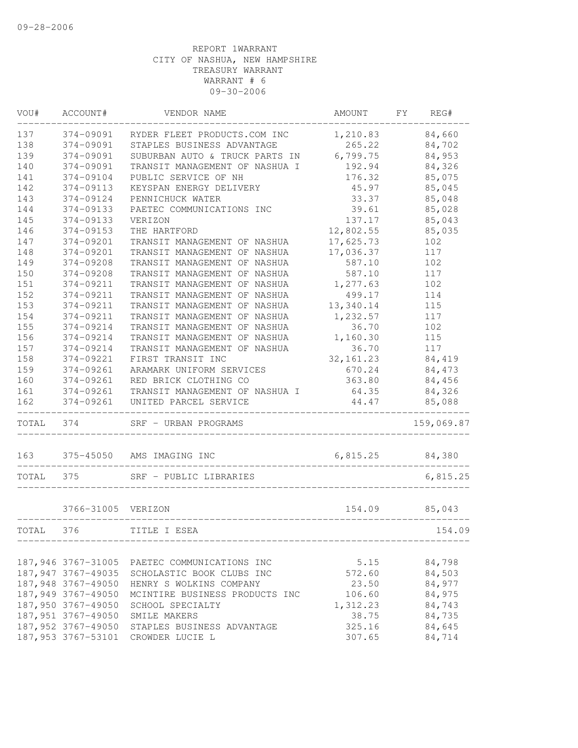| VOU#  | ACCOUNT#            | VENDOR NAME                                  | AMOUNT     | FΥ | REG#       |
|-------|---------------------|----------------------------------------------|------------|----|------------|
| 137   | 374-09091           | RYDER FLEET PRODUCTS.COM INC                 | 1,210.83   |    | 84,660     |
| 138   | 374-09091           | STAPLES BUSINESS ADVANTAGE                   | 265.22     |    | 84,702     |
| 139   | 374-09091           | SUBURBAN AUTO & TRUCK PARTS IN               | 6,799.75   |    | 84,953     |
| 140   | 374-09091           | TRANSIT MANAGEMENT OF NASHUA I               | 192.94     |    | 84,326     |
| 141   | 374-09104           | PUBLIC SERVICE OF NH                         | 176.32     |    | 85,075     |
| 142   | 374-09113           | KEYSPAN ENERGY DELIVERY                      | 45.97      |    | 85,045     |
| 143   | 374-09124           | PENNICHUCK WATER                             | 33.37      |    | 85,048     |
| 144   | 374-09133           | PAETEC COMMUNICATIONS INC                    | 39.61      |    | 85,028     |
| 145   | 374-09133           | VERIZON                                      | 137.17     |    | 85,043     |
| 146   | $374 - 09153$       | THE HARTFORD                                 | 12,802.55  |    | 85,035     |
| 147   | 374-09201           | TRANSIT MANAGEMENT OF NASHUA                 | 17,625.73  |    | 102        |
| 148   | 374-09201           | TRANSIT MANAGEMENT OF NASHUA                 | 17,036.37  |    | 117        |
| 149   | 374-09208           | TRANSIT MANAGEMENT OF NASHUA                 | 587.10     |    | 102        |
| 150   | 374-09208           | TRANSIT MANAGEMENT OF NASHUA                 | 587.10     |    | 117        |
| 151   | 374-09211           | TRANSIT MANAGEMENT OF NASHUA                 | 1,277.63   |    | 102        |
| 152   | 374-09211           | TRANSIT MANAGEMENT OF NASHUA                 | 499.17     |    | 114        |
| 153   | 374-09211           | TRANSIT MANAGEMENT OF NASHUA                 | 13,340.14  |    | 115        |
| 154   | 374-09211           | TRANSIT MANAGEMENT OF NASHUA                 | 1,232.57   |    | 117        |
| 155   | 374-09214           | TRANSIT MANAGEMENT OF NASHUA                 | 36.70      |    | 102        |
| 156   | 374-09214           | TRANSIT MANAGEMENT OF NASHUA                 | 1,160.30   |    | 115        |
| 157   | 374-09214           | TRANSIT MANAGEMENT OF NASHUA                 | 36.70      |    | 117        |
| 158   | 374-09221           | FIRST TRANSIT INC                            | 32, 161.23 |    | 84,419     |
| 159   | 374-09261           | ARAMARK UNIFORM SERVICES                     | 670.24     |    | 84,473     |
| 160   | 374-09261           | RED BRICK CLOTHING CO                        | 363.80     |    | 84,456     |
| 161   | 374-09261           | TRANSIT MANAGEMENT OF NASHUA I               | 64.35      |    | 84,326     |
| 162   | 374-09261           | UNITED PARCEL SERVICE                        | 44.47      |    | 85,088     |
| TOTAL | 374                 | SRF - URBAN PROGRAMS                         |            |    | 159,069.87 |
| 163   | 375-45050           | AMS IMAGING INC                              | 6,815.25   |    | 84,380     |
| TOTAL | 375                 | SRF - PUBLIC LIBRARIES                       |            |    | 6,815.25   |
|       | 3766-31005 VERIZON  |                                              | 154.09     |    | 85,043     |
| TOTAL | 376                 | TITLE I ESEA                                 |            |    | 154.09     |
|       |                     |                                              |            |    |            |
|       |                     | 187,946 3767-31005 PAETEC COMMUNICATIONS INC | 5.15       |    | 84,798     |
|       | 187, 947 3767-49035 | SCHOLASTIC BOOK CLUBS INC                    | 572.60     |    | 84,503     |
|       | 187,948 3767-49050  | HENRY S WOLKINS COMPANY                      | 23.50      |    | 84,977     |
|       | 187,949 3767-49050  | MCINTIRE BUSINESS PRODUCTS INC               | 106.60     |    | 84,975     |
|       | 187,950 3767-49050  | SCHOOL SPECIALTY                             | 1,312.23   |    | 84,743     |
|       | 187,951 3767-49050  | SMILE MAKERS                                 | 38.75      |    | 84,735     |
|       | 187,952 3767-49050  | STAPLES BUSINESS ADVANTAGE                   | 325.16     |    | 84,645     |
|       | 187, 953 3767-53101 | CROWDER LUCIE L                              | 307.65     |    | 84,714     |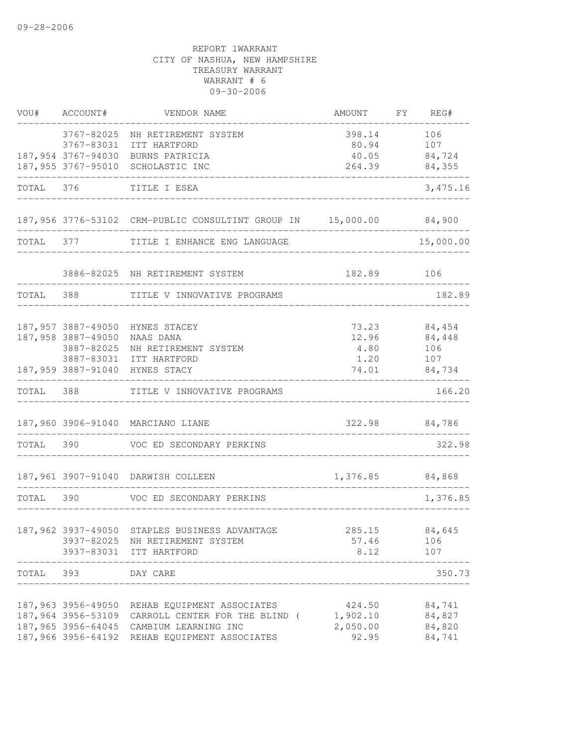| VOU#      | ACCOUNT#                                               | VENDOR NAME                                                                                                                                                                                    | AMOUNT FY REG#                          |                                                |
|-----------|--------------------------------------------------------|------------------------------------------------------------------------------------------------------------------------------------------------------------------------------------------------|-----------------------------------------|------------------------------------------------|
|           | 3767-82025<br>3767-83031                               | NH RETIREMENT SYSTEM<br>ITT HARTFORD                                                                                                                                                           | 398.14<br>80.94                         | 106<br>107                                     |
|           | 187,954 3767-94030<br>187,955 3767-95010               | BURNS PATRICIA<br>SCHOLASTIC INC                                                                                                                                                               | 40.05<br>264.39                         | 84,724<br>84,355                               |
| TOTAL 376 |                                                        | TITLE I ESEA                                                                                                                                                                                   |                                         | 3,475.16                                       |
|           |                                                        | 187,956 3776-53102 CRM-PUBLIC CONSULTINT GROUP IN 15,000.00 84,900                                                                                                                             |                                         |                                                |
| TOTAL 377 |                                                        | TITLE I ENHANCE ENG LANGUAGE                                                                                                                                                                   |                                         | 15,000.00                                      |
|           |                                                        | 3886-82025 NH RETIREMENT SYSTEM                                                                                                                                                                | 182.89                                  | 106                                            |
| TOTAL 388 |                                                        | TITLE V INNOVATIVE PROGRAMS                                                                                                                                                                    |                                         | 182.89                                         |
|           | 187,957 3887-49050<br>187,958 3887-49050<br>3887-82025 | HYNES STACEY<br>NAAS DANA<br>NH RETIREMENT SYSTEM<br>3887-83031 ITT HARTFORD<br>187,959 3887-91040 HYNES STACY                                                                                 | 73.23<br>12.96<br>4.80<br>1.20          | 84,454<br>84,448<br>106<br>107<br>74.01 84,734 |
| TOTAL     | 388                                                    | TITLE V INNOVATIVE PROGRAMS                                                                                                                                                                    |                                         | 166.20                                         |
|           |                                                        | 187,960 3906-91040 MARCIANO LIANE                                                                                                                                                              |                                         | 322.98 84,786                                  |
| TOTAL 390 |                                                        | VOC ED SECONDARY PERKINS                                                                                                                                                                       | ______________________________          | 322.98                                         |
|           |                                                        | 187,961 3907-91040 DARWISH COLLEEN                                                                                                                                                             | 1,376.85 84,868                         |                                                |
| TOTAL 390 |                                                        | VOC ED SECONDARY PERKINS                                                                                                                                                                       |                                         | 1,376.85                                       |
|           |                                                        | 187,962 3937-49050 STAPLES BUSINESS ADVANTAGE<br>3937-82025 NH RETIREMENT SYSTEM<br>3937-83031 ITT HARTFORD<br>___________________                                                             | 57.46<br>8.12                           | 285.15 84,645<br>106<br>107                    |
|           | TOTAL 393 DAY CARE                                     |                                                                                                                                                                                                |                                         | 350.73                                         |
|           |                                                        | 187,963 3956-49050 REHAB EQUIPMENT ASSOCIATES<br>187,964 3956-53109 CARROLL CENTER FOR THE BLIND (<br>187,965 3956-64045 CAMBIUM LEARNING INC<br>187,966 3956-64192 REHAB EQUIPMENT ASSOCIATES | 424.50<br>1,902.10<br>2,050.00<br>92.95 | 84,741<br>84,827<br>84,820<br>84,741           |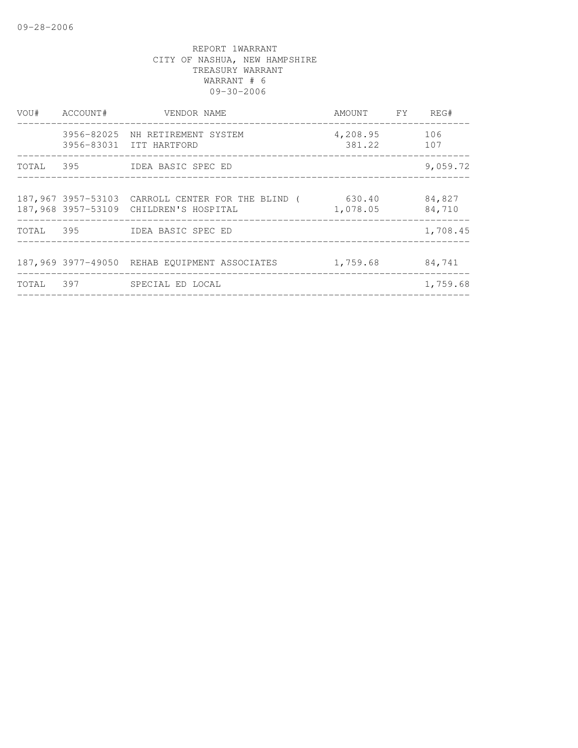| VOU#  | ACCOUNT# | VENDOR NAME<br>----------------------                                                       | AMOUNT FY              | REG#             |
|-------|----------|---------------------------------------------------------------------------------------------|------------------------|------------------|
|       |          | 3956-82025 NH RETIREMENT SYSTEM<br>3956-83031 ITT HARTFORD                                  | 4,208.95<br>381.22 107 | 106              |
|       |          | TOTAL 395 IDEA BASIC SPEC ED                                                                |                        | 9,059.72         |
|       |          | 187,967 3957-53103 CARROLL CENTER FOR THE BLIND (<br>187,968 3957-53109 CHILDREN'S HOSPITAL | 630.40<br>1,078.05     | 84,827<br>84,710 |
|       |          | TOTAL 395 IDEA BASIC SPEC ED                                                                |                        | 1,708.45         |
|       |          | 187,969 3977-49050 REHAB EOUIPMENT ASSOCIATES                                               | 1,759.68               | 84,741           |
| TOTAL | 397      | SPECIAL ED LOCAL                                                                            |                        | 1,759.68         |
|       |          |                                                                                             |                        |                  |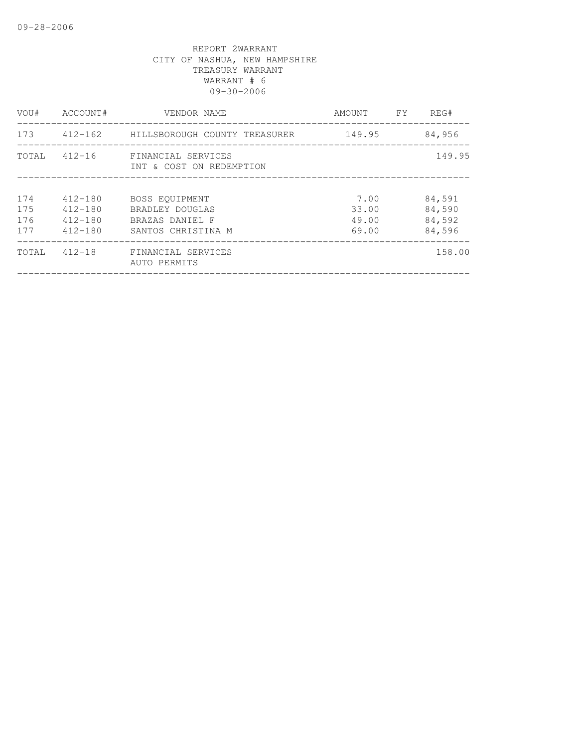| VOU#                     | ACCOUNT#                                                 | VENDOR NAME                                                                | AMOUNT                          | FY | REG#                                 |
|--------------------------|----------------------------------------------------------|----------------------------------------------------------------------------|---------------------------------|----|--------------------------------------|
| 173                      |                                                          |                                                                            | 149.95                          |    | 84,956                               |
|                          | TOTAL 412-16                                             | FINANCIAL SERVICES<br>INT & COST ON REDEMPTION                             |                                 |    | 149.95                               |
| 174<br>175<br>176<br>177 | $412 - 180$<br>$412 - 180$<br>$412 - 180$<br>$412 - 180$ | BOSS EOUIPMENT<br>BRADLEY DOUGLAS<br>BRAZAS DANIEL F<br>SANTOS CHRISTINA M | 7.00<br>33.00<br>49.00<br>69.00 |    | 84,591<br>84,590<br>84,592<br>84,596 |
| TOTAL                    | $412 - 18$                                               | FINANCIAL SERVICES<br>AUTO PERMITS                                         |                                 |    | 158.00                               |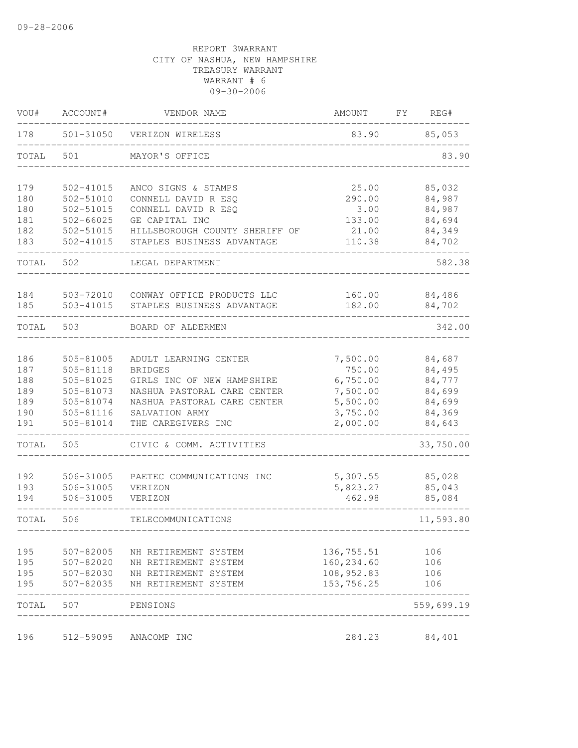| VOU#       | ACCOUNT#               | VENDOR NAME                                  | AMOUNT                    | FΥ | REG#             |
|------------|------------------------|----------------------------------------------|---------------------------|----|------------------|
| 178        | 501-31050              | VERIZON WIRELESS                             | 83.90                     |    | 85,053           |
| TOTAL      | 501                    | MAYOR'S OFFICE                               |                           |    | 83.90            |
| 179        | 502-41015              | ANCO SIGNS & STAMPS                          | 25.00                     |    | 85,032           |
| 180        | $502 - 51010$          | CONNELL DAVID R ESQ                          | 290.00                    |    | 84,987           |
| 180        | 502-51015              | CONNELL DAVID R ESQ                          | 3.00                      |    | 84,987           |
| 181        | 502-66025              | GE CAPITAL INC                               | 133.00                    |    | 84,694           |
| 182        | 502-51015              | HILLSBOROUGH COUNTY SHERIFF OF               | 21.00                     |    | 84,349           |
| 183        | $502 - 41015$          | STAPLES BUSINESS ADVANTAGE                   | 110.38                    |    | 84,702           |
| TOTAL      | 502                    | LEGAL DEPARTMENT                             |                           |    | 582.38           |
| 184        | 503-72010              | CONWAY OFFICE PRODUCTS LLC                   | 160.00                    |    | 84,486           |
| 185        | 503-41015              | STAPLES BUSINESS ADVANTAGE                   | 182.00                    |    | 84,702           |
| TOTAL      | 503                    | BOARD OF ALDERMEN                            |                           |    | 342.00           |
| 186        | 505-81005              | ADULT LEARNING CENTER                        | 7,500.00                  |    | 84,687           |
| 187        | 505-81118              | <b>BRIDGES</b>                               | 750.00                    |    | 84,495           |
| 188        | 505-81025              | GIRLS INC OF NEW HAMPSHIRE                   | 6,750.00                  |    | 84,777           |
| 189        | 505-81073              | NASHUA PASTORAL CARE CENTER                  | 7,500.00                  |    | 84,699           |
| 189        | 505-81074              | NASHUA PASTORAL CARE CENTER                  | 5,500.00                  |    | 84,699           |
| 190        | 505-81116              | SALVATION ARMY                               | 3,750.00                  |    | 84,369           |
| 191        | 505-81014              | THE CAREGIVERS INC                           | 2,000.00                  |    | 84,643           |
| TOTAL      | 505                    | CIVIC & COMM. ACTIVITIES                     |                           |    | 33,750.00        |
|            |                        |                                              |                           |    |                  |
| 192        | 506-31005              | PAETEC COMMUNICATIONS INC                    | 5,307.55<br>5,823.27      |    | 85,028           |
| 193<br>194 | 506-31005<br>506-31005 | VERIZON<br>VERIZON                           | 462.98                    |    | 85,043<br>85,084 |
| TOTAL      | 506                    | TELECOMMUNICATIONS                           |                           |    | 11,593.80        |
|            |                        |                                              |                           |    |                  |
| 195<br>195 | 507-82005<br>507-82020 | NH RETIREMENT SYSTEM<br>NH RETIREMENT SYSTEM | 136,755.51<br>160, 234.60 |    | 106<br>106       |
| 195        | 507-82030              | NH RETIREMENT SYSTEM                         | 108,952.83                |    | 106              |
| 195        | 507-82035              | NH RETIREMENT SYSTEM                         | 153,756.25                |    | 106              |
| TOTAL      | 507                    | PENSIONS                                     |                           |    | 559,699.19       |
| 196        | 512-59095              | ANACOMP INC                                  | 284.23                    |    | 84,401           |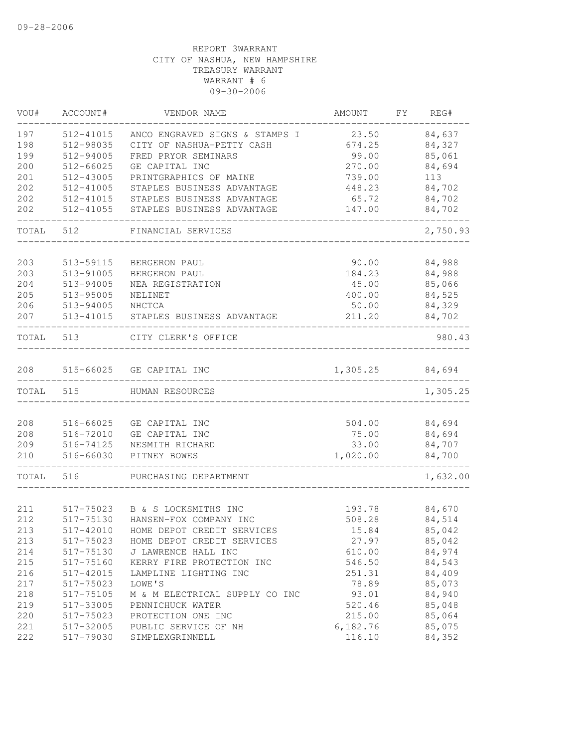| VOU#      | ACCOUNT#  | VENDOR NAME                          | AMOUNT   | FY REG#  |
|-----------|-----------|--------------------------------------|----------|----------|
| 197       | 512-41015 | ANCO ENGRAVED SIGNS & STAMPS I       | 23.50    | 84,637   |
| 198       | 512-98035 | CITY OF NASHUA-PETTY CASH            | 674.25   | 84,327   |
| 199       | 512-94005 | FRED PRYOR SEMINARS                  | 99.00    | 85,061   |
| 200       | 512-66025 | GE CAPITAL INC                       | 270.00   | 84,694   |
| 201       | 512-43005 | PRINTGRAPHICS OF MAINE               | 739.00   | 113      |
| 202       | 512-41005 | STAPLES BUSINESS ADVANTAGE           | 448.23   | 84,702   |
| 202       | 512-41015 | STAPLES BUSINESS ADVANTAGE           | 65.72    | 84,702   |
| 202       | 512-41055 | STAPLES BUSINESS ADVANTAGE           | 147.00   | 84,702   |
| TOTAL 512 |           | FINANCIAL SERVICES                   |          | 2,750.93 |
|           |           |                                      |          |          |
| 203       | 513-59115 | BERGERON PAUL                        | 90.00    | 84,988   |
| 203       | 513-91005 | BERGERON PAUL                        | 184.23   | 84,988   |
| 204       | 513-94005 | NEA REGISTRATION                     | 45.00    | 85,066   |
| 205       | 513-95005 | NELINET                              | 400.00   | 84,525   |
| 206       | 513-94005 | NHCTCA                               | 50.00    | 84,329   |
| 207       |           | 513-41015 STAPLES BUSINESS ADVANTAGE | 211.20   | 84,702   |
| TOTAL 513 |           | CITY CLERK'S OFFICE                  |          | 980.43   |
| 208       |           | 515-66025 GE CAPITAL INC             | 1,305.25 | 84,694   |
| TOTAL     | 515       | HUMAN RESOURCES                      |          | 1,305.25 |
|           |           |                                      |          |          |
| 208       | 516-66025 | GE CAPITAL INC                       | 504.00   | 84,694   |
| 208       | 516-72010 | GE CAPITAL INC                       | 75.00    | 84,694   |
| 209       | 516-74125 | NESMITH RICHARD                      | 33.00    | 84,707   |
| 210       | 516-66030 | PITNEY BOWES                         | 1,020.00 | 84,700   |
| TOTAL     | 516       | PURCHASING DEPARTMENT                |          | 1,632.00 |
|           |           |                                      |          |          |
| 211       | 517-75023 | B & S LOCKSMITHS INC                 | 193.78   | 84,670   |
| 212       | 517-75130 | HANSEN-FOX COMPANY INC               | 508.28   | 84,514   |
| 213       | 517-42010 | HOME DEPOT CREDIT SERVICES           | 15.84    | 85,042   |
| 213       | 517-75023 | HOME DEPOT CREDIT SERVICES           | 27.97    | 85,042   |
| 214       | 517-75130 | J LAWRENCE HALL INC                  | 610.00   | 84,974   |
| 215       | 517-75160 | KERRY FIRE PROTECTION INC            | 546.50   | 84,543   |
| 216       | 517-42015 | LAMPLINE LIGHTING INC                | 251.31   | 84,409   |
| 217       | 517-75023 | LOWE'S                               | 78.89    | 85,073   |
| 218       | 517-75105 | M & M ELECTRICAL SUPPLY CO INC       | 93.01    | 84,940   |
| 219       | 517-33005 | PENNICHUCK WATER                     | 520.46   | 85,048   |
| 220       | 517-75023 | PROTECTION ONE INC                   | 215.00   | 85,064   |
| 221       | 517-32005 | PUBLIC SERVICE OF NH                 | 6,182.76 | 85,075   |
| 222       | 517-79030 | SIMPLEXGRINNELL                      | 116.10   | 84,352   |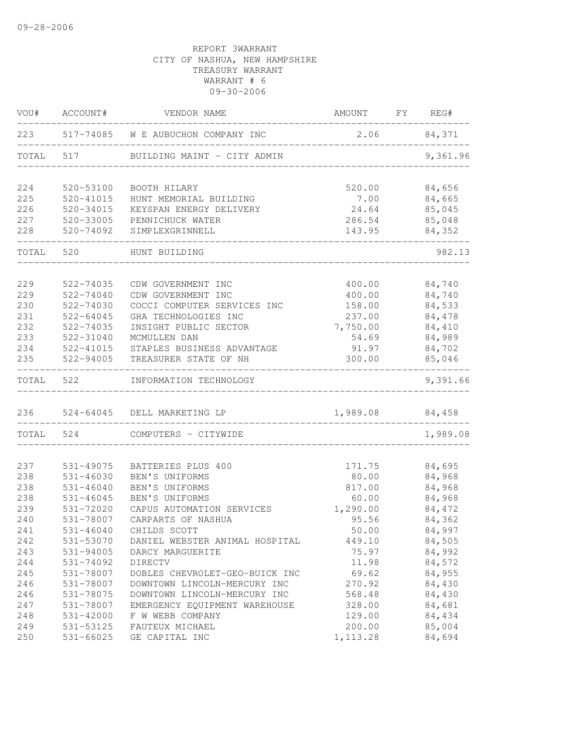| VOU#       | ACCOUNT#                   | VENDOR NAME                       | <b>AMOUNT</b>       | FY | REG#             |
|------------|----------------------------|-----------------------------------|---------------------|----|------------------|
| 223        | 517-74085                  | W E AUBUCHON COMPANY INC          | 2.06                |    | 84,371           |
| TOTAL      | 517                        | BUILDING MAINT - CITY ADMIN       |                     |    | 9,361.96         |
| 224        | 520-53100                  | BOOTH HILARY                      | 520.00              |    | 84,656           |
| 225        | $520 - 41015$              | HUNT MEMORIAL BUILDING            | 7.00                |    | 84,665           |
| 226        | 520-34015                  | KEYSPAN ENERGY DELIVERY           | 24.64               |    | 85,045           |
| 227        | 520-33005                  | PENNICHUCK WATER                  | 286.54              |    | 85,048           |
| 228        | 520-74092                  | SIMPLEXGRINNELL                   | 143.95              |    | 84,352           |
| TOTAL      | 520                        | HUNT BUILDING                     |                     |    | 982.13           |
| 229        | 522-74035                  | CDW GOVERNMENT INC                | 400.00              |    | 84,740           |
| 229        | 522-74040                  | CDW GOVERNMENT INC                | 400.00              |    | 84,740           |
| 230        | 522-74030                  | COCCI COMPUTER SERVICES INC       | 158.00              |    | 84,533           |
| 231        | $522 - 64045$              | GHA TECHNOLOGIES INC              | 237.00              |    | 84,478           |
| 232        | 522-74035                  | INSIGHT PUBLIC SECTOR             | 7,750.00            |    | 84,410           |
| 233        | 522-31040                  | MCMULLEN DAN                      | 54.69               |    | 84,989           |
| 234        | 522-41015                  | STAPLES BUSINESS ADVANTAGE        | 91.97               |    | 84,702           |
| 235        | 522-94005                  | TREASURER STATE OF NH             | 300.00              |    | 85,046           |
| TOTAL      | 522                        | INFORMATION TECHNOLOGY            |                     |    | 9,391.66         |
| 236        | 524-64045                  | DELL MARKETING LP                 | 1,989.08            |    | 84,458           |
| TOTAL      | 524                        | COMPUTERS - CITYWIDE              |                     |    | 1,989.08         |
|            |                            |                                   |                     |    |                  |
| 237        | 531-49075                  | BATTERIES PLUS 400                | 171.75              |    | 84,695           |
| 238        | $531 - 46030$              | BEN'S UNIFORMS                    | 80.00               |    | 84,968           |
| 238        | $531 - 46040$              | BEN'S UNIFORMS                    | 817.00              |    | 84,968           |
| 238        | $531 - 46045$              | BEN'S UNIFORMS                    | 60.00               |    | 84,968           |
| 239        | 531-72020                  | CAPUS AUTOMATION SERVICES         | 1,290.00            |    | 84,472           |
| 240        | 531-78007                  | CARPARTS OF NASHUA                | 95.56               |    | 84,362<br>84,997 |
| 241        | $531 - 46040$              | CHILDS SCOTT                      | 50.00               |    |                  |
| 242        | 531-53070                  | DANIEL WEBSTER ANIMAL HOSPITAL    | 449.10              |    | 84,505           |
| 243        | 531-94005                  | DARCY MARGUERITE                  | 75.97               |    | 84,992           |
| 244        | 531-74092                  | DIRECTV                           | 11.98               |    | 84,572           |
| 245        | 531-78007                  | DOBLES CHEVROLET-GEO-BUICK INC    | 69.62               |    | 84,955           |
| 246        | 531-78007                  | DOWNTOWN LINCOLN-MERCURY INC      | 270.92              |    | 84,430           |
| 246        | 531-78075                  | DOWNTOWN LINCOLN-MERCURY INC      | 568.48              |    | 84,430           |
| 247        | 531-78007                  | EMERGENCY EQUIPMENT WAREHOUSE     | 328.00              |    | 84,681           |
| 248        | 531-42000                  | F W WEBB COMPANY                  | 129.00              |    | 84,434<br>85,004 |
| 249<br>250 | 531-53125<br>$531 - 66025$ | FAUTEUX MICHAEL<br>GE CAPITAL INC | 200.00<br>1, 113.28 |    | 84,694           |
|            |                            |                                   |                     |    |                  |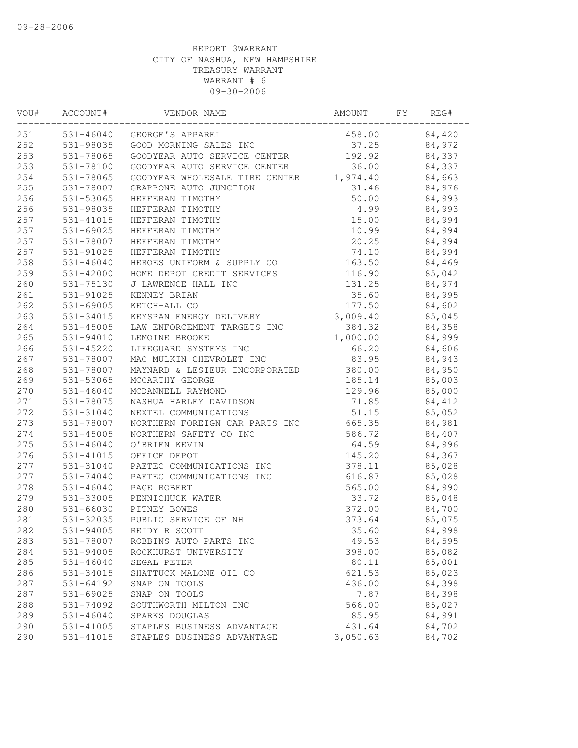| VOU# | ACCOUNT#      | VENDOR NAME                             | AMOUNT   | FY | REG#   |  |
|------|---------------|-----------------------------------------|----------|----|--------|--|
| 251  |               | 531-46040 GEORGE'S APPAREL              | 458.00   |    | 84,420 |  |
| 252  |               | 531-98035 GOOD MORNING SALES INC        | 37.25    |    | 84,972 |  |
| 253  | 531-78065     | GOODYEAR AUTO SERVICE CENTER            | 192.92   |    | 84,337 |  |
| 253  | 531-78100     | GOODYEAR AUTO SERVICE CENTER            | 36.00    |    | 84,337 |  |
| 254  | 531-78065     | GOODYEAR WHOLESALE TIRE CENTER 1,974.40 |          |    | 84,663 |  |
| 255  | 531-78007     | GRAPPONE AUTO JUNCTION                  | 31.46    |    | 84,976 |  |
| 256  | 531-53065     | HEFFERAN TIMOTHY                        | 50.00    |    | 84,993 |  |
| 256  | 531-98035     | HEFFERAN TIMOTHY                        | 4.99     |    | 84,993 |  |
| 257  | 531-41015     | HEFFERAN TIMOTHY                        | 15.00    |    | 84,994 |  |
| 257  | 531-69025     | HEFFERAN TIMOTHY                        | 10.99    |    | 84,994 |  |
| 257  | 531-78007     | HEFFERAN TIMOTHY                        | 20.25    |    | 84,994 |  |
| 257  | 531-91025     | HEFFERAN TIMOTHY                        | 74.10    |    | 84,994 |  |
| 258  | $531 - 46040$ | HEROES UNIFORM & SUPPLY CO              | 163.50   |    | 84,469 |  |
| 259  | 531-42000     | HOME DEPOT CREDIT SERVICES              | 116.90   |    | 85,042 |  |
| 260  | 531-75130     | J LAWRENCE HALL INC                     | 131.25   |    | 84,974 |  |
| 261  | 531-91025     | KENNEY BRIAN                            | 35.60    |    | 84,995 |  |
| 262  | 531-69005     | KETCH-ALL CO                            | 177.50   |    | 84,602 |  |
| 263  | 531-34015     | KEYSPAN ENERGY DELIVERY                 | 3,009.40 |    | 85,045 |  |
| 264  | 531-45005     | LAW ENFORCEMENT TARGETS INC             | 384.32   |    | 84,358 |  |
| 265  | 531-94010     | LEMOINE BROOKE                          | 1,000.00 |    | 84,999 |  |
| 266  | 531-45220     | LIFEGUARD SYSTEMS INC                   | 66.20    |    | 84,606 |  |
| 267  | 531-78007     | MAC MULKIN CHEVROLET INC                | 83.95    |    | 84,943 |  |
| 268  | 531-78007     | MAYNARD & LESIEUR INCORPORATED          | 380.00   |    | 84,950 |  |
| 269  | 531-53065     | MCCARTHY GEORGE                         | 185.14   |    | 85,003 |  |
| 270  | $531 - 46040$ | MCDANNELL RAYMOND                       | 129.96   |    | 85,000 |  |
| 271  | 531-78075     | NASHUA HARLEY DAVIDSON                  | 71.85    |    | 84,412 |  |
| 272  | 531-31040     | NEXTEL COMMUNICATIONS                   | 51.15    |    | 85,052 |  |
| 273  | 531-78007     | NORTHERN FOREIGN CAR PARTS INC          | 665.35   |    | 84,981 |  |
| 274  | 531-45005     | NORTHERN SAFETY CO INC                  | 586.72   |    | 84,407 |  |
| 275  | $531 - 46040$ | O'BRIEN KEVIN                           | 64.59    |    | 84,996 |  |
| 276  | 531-41015     | OFFICE DEPOT                            | 145.20   |    | 84,367 |  |
| 277  | 531-31040     | PAETEC COMMUNICATIONS INC               | 378.11   |    | 85,028 |  |
| 277  | 531-74040     | PAETEC COMMUNICATIONS INC               | 616.87   |    | 85,028 |  |
| 278  | $531 - 46040$ | PAGE ROBERT                             | 565.00   |    | 84,990 |  |
| 279  | 531-33005     | PENNICHUCK WATER                        | 33.72    |    | 85,048 |  |
| 280  | 531-66030     | PITNEY BOWES                            | 372.00   |    | 84,700 |  |
| 281  | 531-32035     | PUBLIC SERVICE OF NH                    | 373.64   |    | 85,075 |  |
| 282  | 531-94005     | REIDY R SCOTT                           | 35.60    |    | 84,998 |  |
| 283  | 531-78007     | ROBBINS AUTO PARTS INC                  | 49.53    |    | 84,595 |  |
| 284  | 531-94005     | ROCKHURST UNIVERSITY                    | 398.00   |    | 85,082 |  |
| 285  | $531 - 46040$ | SEGAL PETER                             | 80.11    |    | 85,001 |  |
| 286  | 531-34015     | SHATTUCK MALONE OIL CO                  | 621.53   |    | 85,023 |  |
| 287  | 531-64192     | SNAP ON TOOLS                           | 436.00   |    | 84,398 |  |
| 287  | 531-69025     | SNAP ON TOOLS                           | 7.87     |    | 84,398 |  |
| 288  | 531-74092     | SOUTHWORTH MILTON INC                   | 566.00   |    | 85,027 |  |
| 289  | $531 - 46040$ | SPARKS DOUGLAS                          | 85.95    |    | 84,991 |  |
| 290  | 531-41005     | STAPLES BUSINESS ADVANTAGE              | 431.64   |    | 84,702 |  |
| 290  | 531-41015     | STAPLES BUSINESS ADVANTAGE              | 3,050.63 |    | 84,702 |  |
|      |               |                                         |          |    |        |  |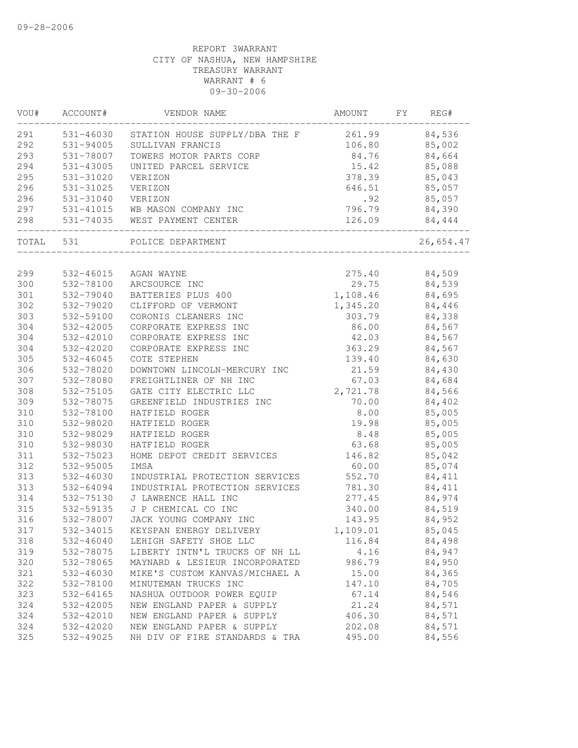| VOU#  | ACCOUNT#  | VENDOR NAME                    | AMOUNT   | FY. | REG#      |
|-------|-----------|--------------------------------|----------|-----|-----------|
| 291   | 531-46030 | STATION HOUSE SUPPLY/DBA THE F | 261.99   |     | 84,536    |
| 292   | 531-94005 | SULLIVAN FRANCIS               | 106.80   |     | 85,002    |
| 293   | 531-78007 | TOWERS MOTOR PARTS CORP        | 84.76    |     | 84,664    |
| 294   | 531-43005 | UNITED PARCEL SERVICE          | 15.42    |     | 85,088    |
| 295   | 531-31020 | VERIZON                        | 378.39   |     | 85,043    |
| 296   | 531-31025 | VERIZON                        | 646.51   |     | 85,057    |
| 296   | 531-31040 | VERIZON                        | .92      |     | 85,057    |
| 297   |           | 531-41015 WB MASON COMPANY INC | 796.79   |     | 84,390    |
| 298   |           | 531-74035 WEST PAYMENT CENTER  | 126.09   |     | 84,444    |
| TOTAL | 531       | POLICE DEPARTMENT              |          |     | 26,654.47 |
|       |           |                                |          |     |           |
| 299   | 532-46015 | AGAN WAYNE                     | 275.40   |     | 84,509    |
| 300   | 532-78100 | ARCSOURCE INC                  | 29.75    |     | 84,539    |
| 301   | 532-79040 | BATTERIES PLUS 400             | 1,108.46 |     | 84,695    |
| 302   | 532-79020 | CLIFFORD OF VERMONT            | 1,345.20 |     | 84,446    |
| 303   | 532-59100 | CORONIS CLEANERS INC           | 303.79   |     | 84,338    |
| 304   | 532-42005 | CORPORATE EXPRESS INC          | 86.00    |     | 84,567    |
| 304   | 532-42010 | CORPORATE EXPRESS INC          | 42.03    |     | 84,567    |
| 304   | 532-42020 | CORPORATE EXPRESS INC          | 363.29   |     | 84,567    |
| 305   | 532-46045 | COTE STEPHEN                   | 139.40   |     | 84,630    |
| 306   | 532-78020 | DOWNTOWN LINCOLN-MERCURY INC   | 21.59    |     | 84,430    |
| 307   | 532-78080 | FREIGHTLINER OF NH INC         | 67.03    |     | 84,684    |
| 308   | 532-75105 | GATE CITY ELECTRIC LLC         | 2,721.78 |     | 84,566    |
| 309   | 532-78075 | GREENFIELD INDUSTRIES INC      | 70.00    |     | 84,402    |
| 310   | 532-78100 | HATFIELD ROGER                 | 8.00     |     | 85,005    |
| 310   | 532-98020 | HATFIELD ROGER                 | 19.98    |     | 85,005    |
| 310   | 532-98029 | HATFIELD ROGER                 | 8.48     |     | 85,005    |
| 310   | 532-98030 | HATFIELD ROGER                 | 63.68    |     | 85,005    |
| 311   | 532-75023 | HOME DEPOT CREDIT SERVICES     | 146.82   |     | 85,042    |
| 312   | 532-95005 | IMSA                           | 60.00    |     | 85,074    |
| 313   | 532-46030 | INDUSTRIAL PROTECTION SERVICES | 552.70   |     | 84,411    |
| 313   | 532-64094 | INDUSTRIAL PROTECTION SERVICES | 781.30   |     | 84,411    |
| 314   | 532-75130 | J LAWRENCE HALL INC            | 277.45   |     | 84,974    |
| 315   | 532-59135 | J P CHEMICAL CO INC            | 340.00   |     | 84,519    |
| 316   | 532-78007 | JACK YOUNG COMPANY INC         | 143.95   |     | 84,952    |
| 317   | 532-34015 | KEYSPAN ENERGY DELIVERY        | 1,109.01 |     | 85,045    |
| 318   | 532-46040 | LEHIGH SAFETY SHOE LLC         | 116.84   |     | 84,498    |
| 319   | 532-78075 | LIBERTY INTN'L TRUCKS OF NH LL | 4.16     |     | 84,947    |
| 320   | 532-78065 | MAYNARD & LESIEUR INCORPORATED | 986.79   |     | 84,950    |
| 321   | 532-46030 | MIKE'S CUSTOM KANVAS/MICHAEL A | 15.00    |     | 84,365    |
| 322   | 532-78100 | MINUTEMAN TRUCKS INC           | 147.10   |     | 84,705    |
| 323   | 532-64165 | NASHUA OUTDOOR POWER EQUIP     | 67.14    |     | 84,546    |
| 324   | 532-42005 | NEW ENGLAND PAPER & SUPPLY     | 21.24    |     | 84,571    |
| 324   | 532-42010 | NEW ENGLAND PAPER & SUPPLY     | 406.30   |     | 84,571    |
| 324   | 532-42020 | NEW ENGLAND PAPER & SUPPLY     | 202.08   |     | 84,571    |
| 325   | 532-49025 | NH DIV OF FIRE STANDARDS & TRA | 495.00   |     | 84,556    |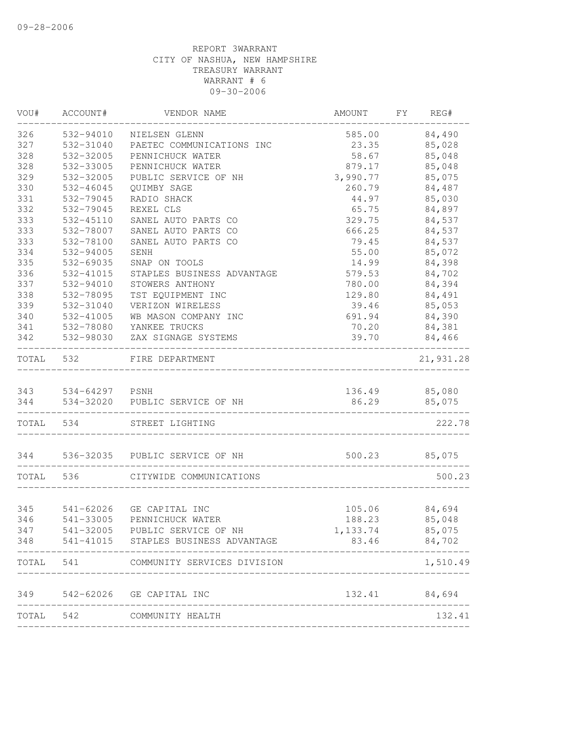| WOU#  | ACCOUNT#           | VENDOR NAME                          | AMOUNT        | FY | REG#          |
|-------|--------------------|--------------------------------------|---------------|----|---------------|
| 326   | 532-94010          | NIELSEN GLENN                        | 585.00        |    | 84,490        |
| 327   | 532-31040          | PAETEC COMMUNICATIONS INC            | 23.35         |    | 85,028        |
| 328   | 532-32005          | PENNICHUCK WATER                     | 58.67         |    | 85,048        |
| 328   | 532-33005          | PENNICHUCK WATER                     | 879.17        |    | 85,048        |
| 329   | 532-32005          | PUBLIC SERVICE OF NH                 | 3,990.77      |    | 85,075        |
| 330   | 532-46045          | QUIMBY SAGE                          | 260.79        |    | 84,487        |
| 331   | 532-79045          | RADIO SHACK                          | 44.97         |    | 85,030        |
| 332   | 532-79045          | REXEL CLS                            | 65.75         |    | 84,897        |
| 333   | 532-45110          | SANEL AUTO PARTS CO                  | 329.75        |    | 84,537        |
| 333   | 532-78007          | SANEL AUTO PARTS CO                  | 666.25        |    | 84,537        |
| 333   | 532-78100          | SANEL AUTO PARTS CO                  | 79.45         |    | 84,537        |
| 334   | 532-94005          | SENH                                 | 55.00         |    | 85,072        |
| 335   | 532-69035          | SNAP ON TOOLS                        | 14.99         |    | 84,398        |
| 336   | 532-41015          | STAPLES BUSINESS ADVANTAGE           | 579.53        |    | 84,702        |
| 337   | 532-94010          | STOWERS ANTHONY                      | 780.00        |    | 84,394        |
| 338   | 532-78095          | TST EQUIPMENT INC                    | 129.80        |    | 84,491        |
| 339   | 532-31040          | VERIZON WIRELESS                     | 39.46         |    | 85,053        |
| 340   | 532-41005          | WB MASON COMPANY INC                 | 691.94        |    | 84,390        |
| 341   | 532-78080          | YANKEE TRUCKS                        | 70.20         |    | 84,381        |
| 342   | 532-98030          | ZAX SIGNAGE SYSTEMS                  | 39.70         |    | 84,466        |
| TOTAL | 532                | FIRE DEPARTMENT                      |               |    | 21,931.28     |
|       |                    |                                      |               |    |               |
|       | 343 534-64297 PSNH |                                      | 136.49 85,080 |    |               |
| 344   |                    | 534-32020 PUBLIC SERVICE OF NH       | 86.29         |    | 85,075        |
|       | TOTAL 534          | STREET LIGHTING                      |               |    | 222.78        |
|       |                    | 344 536-32035 PUBLIC SERVICE OF NH   | 500.23        |    | 85,075        |
| TOTAL | 536                | CITYWIDE COMMUNICATIONS              |               |    | 500.23        |
|       |                    |                                      |               |    |               |
| 345   |                    | 541-62026 GE CAPITAL INC             | 105.06 84,694 |    |               |
| 346   | 541-33005          | PENNICHUCK WATER                     | 188.23        |    | 85,048        |
| 347   |                    | 541-32005 PUBLIC SERVICE OF NH       | 1,133.74      |    | 85,075        |
| 348   |                    | 541-41015 STAPLES BUSINESS ADVANTAGE | 83.46         |    | 84,702        |
| TOTAL | 541                | COMMUNITY SERVICES DIVISION          |               |    | 1,510.49      |
| 349   |                    | 542-62026 GE CAPITAL INC             |               |    | 132.41 84,694 |
|       |                    |                                      |               |    |               |
| TOTAL | 542                | COMMUNITY HEALTH                     |               |    | 132.41        |
|       |                    |                                      |               |    |               |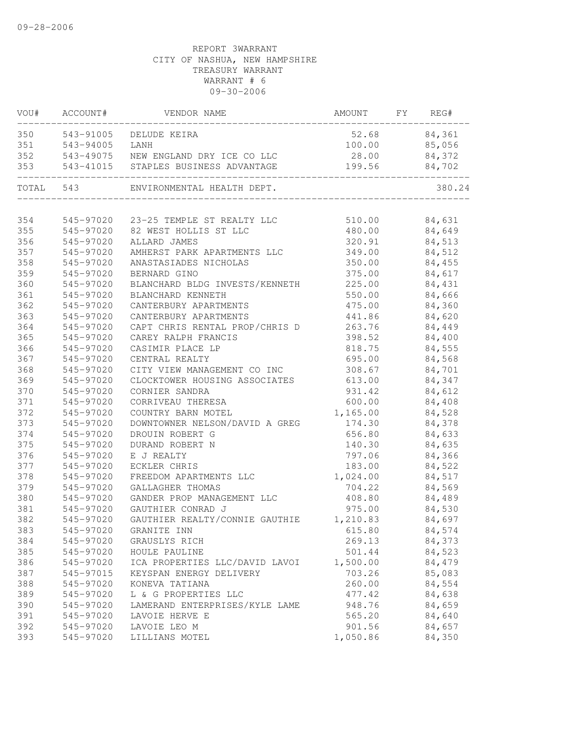| VOU#  | ACCOUNT#  | VENDOR NAME                    | AMOUNT   | FY | REG#   |
|-------|-----------|--------------------------------|----------|----|--------|
| 350   | 543-91005 | DELUDE KEIRA                   | 52.68    |    | 84,361 |
| 351   | 543-94005 | LANH                           | 100.00   |    | 85,056 |
| 352   | 543-49075 | NEW ENGLAND DRY ICE CO LLC     | 28.00    |    | 84,372 |
| 353   | 543-41015 | STAPLES BUSINESS ADVANTAGE     | 199.56   |    | 84,702 |
| TOTAL | 543       | ENVIRONMENTAL HEALTH DEPT.     |          |    | 380.24 |
|       |           |                                |          |    |        |
| 354   | 545-97020 | 23-25 TEMPLE ST REALTY LLC     | 510.00   |    | 84,631 |
| 355   | 545-97020 | 82 WEST HOLLIS ST LLC          | 480.00   |    | 84,649 |
| 356   | 545-97020 | ALLARD JAMES                   | 320.91   |    | 84,513 |
| 357   | 545-97020 | AMHERST PARK APARTMENTS LLC    | 349.00   |    | 84,512 |
| 358   | 545-97020 | ANASTASIADES NICHOLAS          | 350.00   |    | 84,455 |
| 359   | 545-97020 | BERNARD GINO                   | 375.00   |    | 84,617 |
| 360   | 545-97020 | BLANCHARD BLDG INVESTS/KENNETH | 225.00   |    | 84,431 |
| 361   | 545-97020 | BLANCHARD KENNETH              | 550.00   |    | 84,666 |
| 362   | 545-97020 | CANTERBURY APARTMENTS          | 475.00   |    | 84,360 |
| 363   | 545-97020 | CANTERBURY APARTMENTS          | 441.86   |    | 84,620 |
| 364   | 545-97020 | CAPT CHRIS RENTAL PROP/CHRIS D | 263.76   |    | 84,449 |
| 365   | 545-97020 | CAREY RALPH FRANCIS            | 398.52   |    | 84,400 |
| 366   | 545-97020 | CASIMIR PLACE LP               | 818.75   |    | 84,555 |
| 367   | 545-97020 | CENTRAL REALTY                 | 695.00   |    | 84,568 |
| 368   | 545-97020 | CITY VIEW MANAGEMENT CO INC    | 308.67   |    | 84,701 |
| 369   | 545-97020 | CLOCKTOWER HOUSING ASSOCIATES  | 613.00   |    | 84,347 |
| 370   | 545-97020 | CORNIER SANDRA                 | 931.42   |    | 84,612 |
| 371   | 545-97020 | CORRIVEAU THERESA              | 600.00   |    | 84,408 |
| 372   | 545-97020 | COUNTRY BARN MOTEL             | 1,165.00 |    | 84,528 |
| 373   | 545-97020 | DOWNTOWNER NELSON/DAVID A GREG | 174.30   |    | 84,378 |
| 374   | 545-97020 | DROUIN ROBERT G                | 656.80   |    | 84,633 |
| 375   | 545-97020 | DURAND ROBERT N                | 140.30   |    | 84,635 |
| 376   | 545-97020 | E J REALTY                     | 797.06   |    | 84,366 |
| 377   | 545-97020 | ECKLER CHRIS                   | 183.00   |    | 84,522 |
| 378   | 545-97020 | FREEDOM APARTMENTS LLC         | 1,024.00 |    | 84,517 |
| 379   | 545-97020 | GALLAGHER THOMAS               | 704.22   |    | 84,569 |
| 380   | 545-97020 | GANDER PROP MANAGEMENT LLC     | 408.80   |    | 84,489 |
| 381   | 545-97020 | GAUTHIER CONRAD J              | 975.00   |    | 84,530 |
| 382   | 545-97020 | GAUTHIER REALTY/CONNIE GAUTHIE | 1,210.83 |    | 84,697 |
| 383   | 545-97020 | GRANITE INN                    | 615.80   |    | 84,574 |
| 384   | 545-97020 | GRAUSLYS RICH                  | 269.13   |    | 84,373 |
| 385   | 545-97020 | HOULE PAULINE                  | 501.44   |    | 84,523 |
| 386   | 545-97020 | ICA PROPERTIES LLC/DAVID LAVOI | 1,500.00 |    | 84,479 |
| 387   | 545-97015 | KEYSPAN ENERGY DELIVERY        | 703.26   |    | 85,083 |
| 388   | 545-97020 | KONEVA TATIANA                 | 260.00   |    | 84,554 |
| 389   | 545-97020 | L & G PROPERTIES LLC           | 477.42   |    | 84,638 |
| 390   | 545-97020 | LAMERAND ENTERPRISES/KYLE LAME | 948.76   |    | 84,659 |
| 391   | 545-97020 | LAVOIE HERVE E                 | 565.20   |    | 84,640 |
| 392   | 545-97020 | LAVOIE LEO M                   | 901.56   |    | 84,657 |
| 393   | 545-97020 | LILLIANS MOTEL                 | 1,050.86 |    | 84,350 |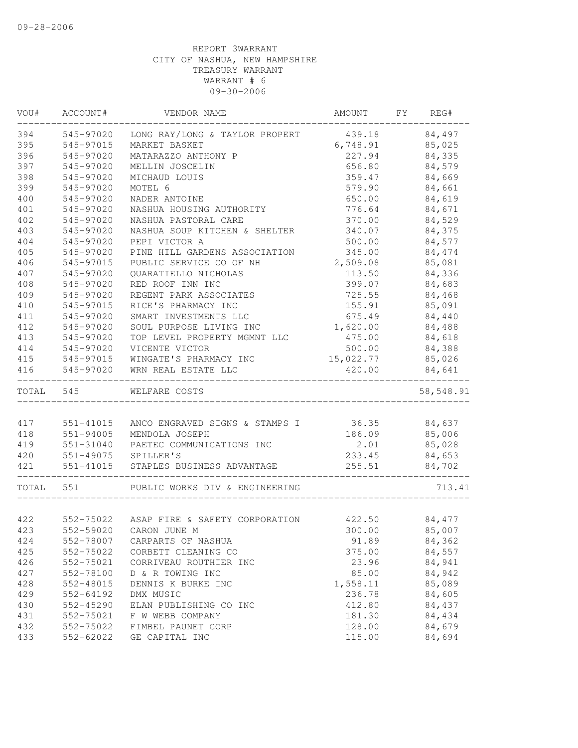| VOU#      | ACCOUNT#  | VENDOR NAME                              | AMOUNT    | FY REG#   |
|-----------|-----------|------------------------------------------|-----------|-----------|
| 394       | 545-97020 | LONG RAY/LONG & TAYLOR PROPERT           | 439.18    | 84,497    |
| 395       | 545-97015 | MARKET BASKET                            | 6,748.91  | 85,025    |
| 396       | 545-97020 | MATARAZZO ANTHONY P                      | 227.94    | 84,335    |
| 397       | 545-97020 | MELLIN JOSCELIN                          | 656.80    | 84,579    |
| 398       | 545-97020 | MICHAUD LOUIS                            | 359.47    | 84,669    |
| 399       | 545-97020 | MOTEL 6                                  | 579.90    | 84,661    |
| 400       | 545-97020 | NADER ANTOINE                            | 650.00    | 84,619    |
| 401       | 545-97020 | NASHUA HOUSING AUTHORITY                 | 776.64    | 84,671    |
| 402       | 545-97020 | NASHUA PASTORAL CARE                     | 370.00    | 84,529    |
| 403       | 545-97020 | NASHUA SOUP KITCHEN & SHELTER            | 340.07    | 84,375    |
| 404       | 545-97020 | PEPI VICTOR A                            | 500.00    | 84,577    |
| 405       | 545-97020 | PINE HILL GARDENS ASSOCIATION            | 345.00    | 84,474    |
| 406       | 545-97015 | PUBLIC SERVICE CO OF NH                  | 2,509.08  | 85,081    |
| 407       | 545-97020 | QUARATIELLO NICHOLAS                     | 113.50    | 84,336    |
| 408       | 545-97020 | RED ROOF INN INC                         | 399.07    | 84,683    |
| 409       | 545-97020 | REGENT PARK ASSOCIATES                   | 725.55    | 84,468    |
| 410       | 545-97015 | RICE'S PHARMACY INC                      | 155.91    | 85,091    |
| 411       | 545-97020 | SMART INVESTMENTS LLC                    | 675.49    | 84,440    |
| 412       | 545-97020 | SOUL PURPOSE LIVING INC                  | 1,620.00  | 84,488    |
| 413       | 545-97020 | TOP LEVEL PROPERTY MGMNT LLC             | 475.00    | 84,618    |
| 414       | 545-97020 | VICENTE VICTOR                           | 500.00    | 84,388    |
| 415       | 545-97015 | WINGATE'S PHARMACY INC                   | 15,022.77 | 85,026    |
| 416       | 545-97020 | WRN REAL ESTATE LLC                      | 420.00    | 84,641    |
| TOTAL 545 |           | WELFARE COSTS                            |           | 58,548.91 |
|           |           |                                          |           |           |
| 417       | 551-41015 | ANCO ENGRAVED SIGNS & STAMPS I           | 36.35     | 84,637    |
| 418       | 551-94005 | MENDOLA JOSEPH                           | 186.09    | 85,006    |
| 419       | 551-31040 | PAETEC COMMUNICATIONS INC                | 2.01      | 85,028    |
| 420       |           | 551-49075 SPILLER'S                      | 233.45    | 84,653    |
| 421       | 551-41015 | STAPLES BUSINESS ADVANTAGE               | 255.51    | 84,702    |
| TOTAL     | 551       | PUBLIC WORKS DIV & ENGINEERING           |           | 713.41    |
| 422       |           | 552-75022 ASAP FIRE & SAFETY CORPORATION | 422.50    | 84,477    |
| 423       |           | 552-59020 CARON JUNE M                   | 300.00    | 85,007    |
| 424       | 552-78007 | CARPARTS OF NASHUA                       | 91.89     | 84,362    |
| 425       | 552-75022 | CORBETT CLEANING CO                      | 375.00    | 84,557    |
| 426       | 552-75021 | CORRIVEAU ROUTHIER INC                   | 23.96     | 84,941    |
| 427       | 552-78100 | D & R TOWING INC                         | 85.00     | 84,942    |
| 428       | 552-48015 | DENNIS K BURKE INC                       | 1,558.11  | 85,089    |
| 429       | 552-64192 | DMX MUSIC                                | 236.78    | 84,605    |
| 430       | 552-45290 | ELAN PUBLISHING CO INC                   | 412.80    | 84,437    |
| 431       | 552-75021 | F W WEBB COMPANY                         | 181.30    | 84,434    |
| 432       | 552-75022 | FIMBEL PAUNET CORP                       | 128.00    | 84,679    |
| 433       | 552-62022 | GE CAPITAL INC                           | 115.00    | 84,694    |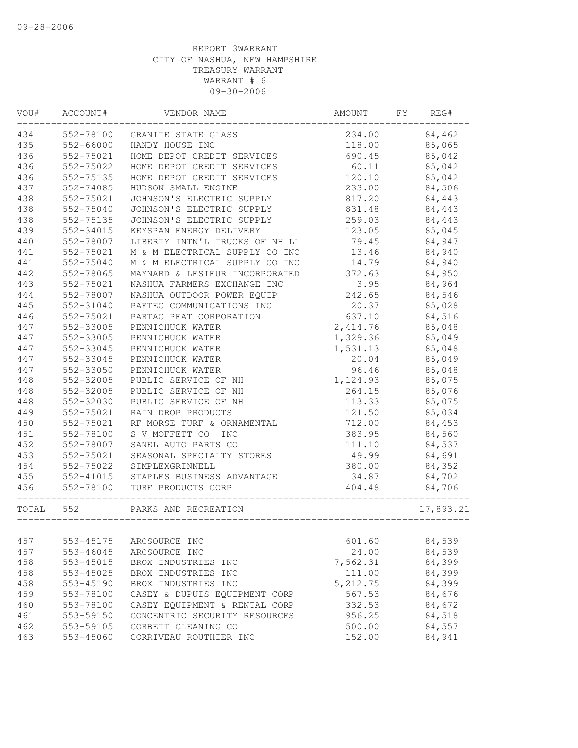| VOU#  | ACCOUNT#  | VENDOR NAME                    | AMOUNT    | FY | REG#      |
|-------|-----------|--------------------------------|-----------|----|-----------|
| 434   | 552-78100 | GRANITE STATE GLASS            | 234.00    |    | 84,462    |
| 435   | 552-66000 | HANDY HOUSE INC                | 118.00    |    | 85,065    |
| 436   | 552-75021 | HOME DEPOT CREDIT SERVICES     | 690.45    |    | 85,042    |
| 436   | 552-75022 | HOME DEPOT CREDIT SERVICES     | 60.11     |    | 85,042    |
| 436   | 552-75135 | HOME DEPOT CREDIT SERVICES     | 120.10    |    | 85,042    |
| 437   | 552-74085 | HUDSON SMALL ENGINE            | 233.00    |    | 84,506    |
| 438   | 552-75021 | JOHNSON'S ELECTRIC SUPPLY      | 817.20    |    | 84,443    |
| 438   | 552-75040 | JOHNSON'S ELECTRIC SUPPLY      | 831.48    |    | 84,443    |
| 438   | 552-75135 | JOHNSON'S ELECTRIC SUPPLY      | 259.03    |    | 84,443    |
| 439   | 552-34015 | KEYSPAN ENERGY DELIVERY        | 123.05    |    | 85,045    |
| 440   | 552-78007 | LIBERTY INTN'L TRUCKS OF NH LL | 79.45     |    | 84,947    |
| 441   | 552-75021 | M & M ELECTRICAL SUPPLY CO INC | 13.46     |    | 84,940    |
| 441   | 552-75040 | M & M ELECTRICAL SUPPLY CO INC | 14.79     |    | 84,940    |
| 442   | 552-78065 | MAYNARD & LESIEUR INCORPORATED | 372.63    |    | 84,950    |
| 443   | 552-75021 | NASHUA FARMERS EXCHANGE INC    | 3.95      |    | 84,964    |
| 444   | 552-78007 | NASHUA OUTDOOR POWER EQUIP     | 242.65    |    | 84,546    |
| 445   | 552-31040 | PAETEC COMMUNICATIONS INC      | 20.37     |    | 85,028    |
| 446   | 552-75021 | PARTAC PEAT CORPORATION        | 637.10    |    | 84,516    |
| 447   | 552-33005 | PENNICHUCK WATER               | 2,414.76  |    | 85,048    |
| 447   | 552-33005 | PENNICHUCK WATER               | 1,329.36  |    | 85,049    |
| 447   | 552-33045 | PENNICHUCK WATER               | 1,531.13  |    | 85,048    |
| 447   | 552-33045 | PENNICHUCK WATER               | 20.04     |    | 85,049    |
| 447   | 552-33050 | PENNICHUCK WATER               | 96.46     |    | 85,048    |
| 448   | 552-32005 | PUBLIC SERVICE OF NH           | 1,124.93  |    | 85,075    |
| 448   | 552-32005 | PUBLIC SERVICE OF NH           | 264.15    |    | 85,076    |
| 448   | 552-32030 | PUBLIC SERVICE OF NH           | 113.33    |    | 85,075    |
| 449   | 552-75021 | RAIN DROP PRODUCTS             | 121.50    |    | 85,034    |
| 450   | 552-75021 | RF MORSE TURF & ORNAMENTAL     | 712.00    |    | 84,453    |
| 451   | 552-78100 | S V MOFFETT CO<br><b>INC</b>   | 383.95    |    | 84,560    |
| 452   | 552-78007 | SANEL AUTO PARTS CO            | 111.10    |    | 84,537    |
| 453   | 552-75021 | SEASONAL SPECIALTY STORES      | 49.99     |    | 84,691    |
| 454   | 552-75022 | SIMPLEXGRINNELL                | 380.00    |    | 84,352    |
| 455   | 552-41015 | STAPLES BUSINESS ADVANTAGE     | 34.87     |    | 84,702    |
| 456   | 552-78100 | TURF PRODUCTS CORP             | 404.48    |    | 84,706    |
| TOTAL | 552       | PARKS AND RECREATION           |           |    | 17,893.21 |
|       |           |                                |           |    |           |
| 457   | 553-45175 | ARCSOURCE INC                  | 601.60    |    | 84,539    |
| 457   | 553-46045 | ARCSOURCE INC                  | 24.00     |    | 84,539    |
| 458   | 553-45015 | BROX INDUSTRIES INC            | 7,562.31  |    | 84,399    |
| 458   | 553-45025 | BROX INDUSTRIES INC            | 111.00    |    | 84,399    |
| 458   | 553-45190 | BROX INDUSTRIES INC            | 5, 212.75 |    | 84,399    |
| 459   | 553-78100 | CASEY & DUPUIS EQUIPMENT CORP  | 567.53    |    | 84,676    |
| 460   | 553-78100 | CASEY EQUIPMENT & RENTAL CORP  | 332.53    |    | 84,672    |
| 461   | 553-59150 | CONCENTRIC SECURITY RESOURCES  | 956.25    |    | 84,518    |
| 462   | 553-59105 | CORBETT CLEANING CO            | 500.00    |    | 84,557    |
| 463   | 553-45060 | CORRIVEAU ROUTHIER INC         | 152.00    |    | 84,941    |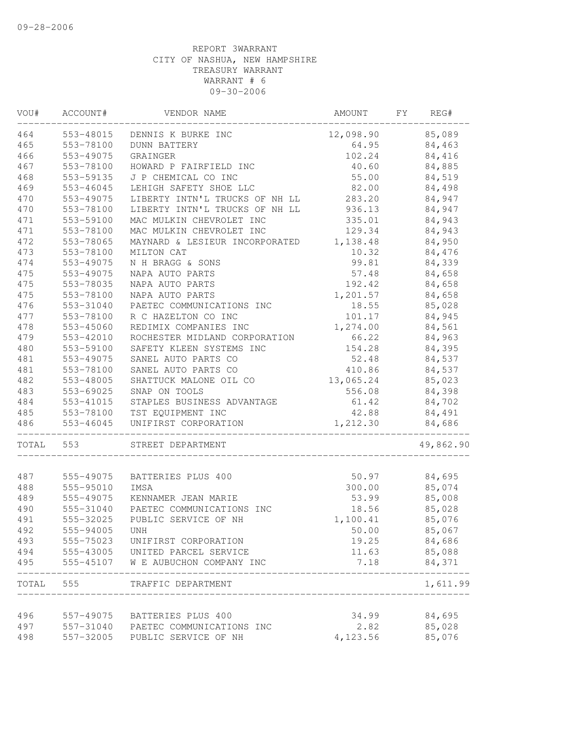| VOU#       | ACCOUNT#               | VENDOR NAME                                       | AMOUNT            | FΥ | REG#      |
|------------|------------------------|---------------------------------------------------|-------------------|----|-----------|
| 464        | 553-48015              | DENNIS K BURKE INC                                | 12,098.90         |    | 85,089    |
| 465        | 553-78100              | <b>DUNN BATTERY</b>                               | 64.95             |    | 84,463    |
| 466        | 553-49075              | GRAINGER                                          | 102.24            |    | 84,416    |
| 467        | 553-78100              | HOWARD P FAIRFIELD INC                            | 40.60             |    | 84,885    |
| 468        | 553-59135              | J P CHEMICAL CO INC                               | 55.00             |    | 84,519    |
| 469        | 553-46045              | LEHIGH SAFETY SHOE LLC                            | 82.00             |    | 84,498    |
| 470        | 553-49075              | LIBERTY INTN'L TRUCKS OF NH LL                    | 283.20            |    | 84,947    |
| 470        | 553-78100              | LIBERTY INTN'L TRUCKS OF NH LL                    | 936.13            |    | 84,947    |
| 471        | 553-59100              | MAC MULKIN CHEVROLET INC                          | 335.01            |    | 84,943    |
| 471        | 553-78100              | MAC MULKIN CHEVROLET INC                          | 129.34            |    | 84,943    |
| 472        | 553-78065              | MAYNARD & LESIEUR INCORPORATED                    | 1,138.48          |    | 84,950    |
| 473        | 553-78100              | MILTON CAT                                        | 10.32             |    | 84,476    |
| 474        | 553-49075              | N H BRAGG & SONS                                  | 99.81             |    | 84,339    |
| 475        | 553-49075              | NAPA AUTO PARTS                                   | 57.48             |    | 84,658    |
| 475        | 553-78035              | NAPA AUTO PARTS                                   | 192.42            |    | 84,658    |
| 475        | 553-78100              | NAPA AUTO PARTS                                   | 1,201.57          |    | 84,658    |
| 476        | 553-31040              | PAETEC COMMUNICATIONS INC                         | 18.55             |    | 85,028    |
| 477        | 553-78100              | R C HAZELTON CO INC                               | 101.17            |    | 84,945    |
| 478        | 553-45060              | REDIMIX COMPANIES INC                             | 1,274.00          |    | 84,561    |
| 479        | 553-42010              | ROCHESTER MIDLAND CORPORATION                     | 66.22             |    | 84,963    |
| 480        | 553-59100              | SAFETY KLEEN SYSTEMS INC                          | 154.28            |    | 84,395    |
| 481        | 553-49075              | SANEL AUTO PARTS CO                               | 52.48             |    | 84,537    |
| 481        | 553-78100              | SANEL AUTO PARTS CO                               | 410.86            |    | 84,537    |
| 482        | 553-48005              | SHATTUCK MALONE OIL CO                            | 13,065.24         |    | 85,023    |
| 483        | 553-69025              | SNAP ON TOOLS                                     | 556.08            |    | 84,398    |
| 484        | 553-41015              | STAPLES BUSINESS ADVANTAGE                        | 61.42             |    | 84,702    |
| 485        | 553-78100              | TST EQUIPMENT INC                                 | 42.88             |    | 84,491    |
| 486        | 553-46045              | UNIFIRST CORPORATION                              | 1,212.30          |    | 84,686    |
| TOTAL      | 553                    | STREET DEPARTMENT                                 |                   |    | 49,862.90 |
|            |                        | BATTERIES PLUS 400                                |                   |    |           |
| 487<br>488 | 555-49075<br>555-95010 | IMSA                                              | 50.97<br>300.00   |    | 84,695    |
|            |                        | KENNAMER JEAN MARIE                               | 53.99             |    | 85,074    |
| 489        | 555-49075              |                                                   |                   |    | 85,008    |
| 490<br>491 | 555-31040              | PAETEC COMMUNICATIONS INC<br>PUBLIC SERVICE OF NH | 18.56             |    | 85,028    |
| 492        | 555-32025<br>555-94005 |                                                   | 1,100.41<br>50.00 |    | 85,076    |
|            |                        | UNH                                               |                   |    | 85,067    |
| 493        | 555-75023              | UNIFIRST CORPORATION                              | 19.25             |    | 84,686    |
| 494<br>495 | 555-43005              | UNITED PARCEL SERVICE                             | 11.63             |    | 85,088    |
|            | 555-45107              | W E AUBUCHON COMPANY INC                          | 7.18              |    | 84,371    |
| TOTAL      | 555                    | TRAFFIC DEPARTMENT                                |                   |    | 1,611.99  |
| 496        | 557-49075              | BATTERIES PLUS 400                                | 34.99             |    | 84,695    |
| 497        | 557-31040              | PAETEC COMMUNICATIONS INC                         | 2.82              |    | 85,028    |
| 498        | 557-32005              | PUBLIC SERVICE OF NH                              | 4,123.56          |    | 85,076    |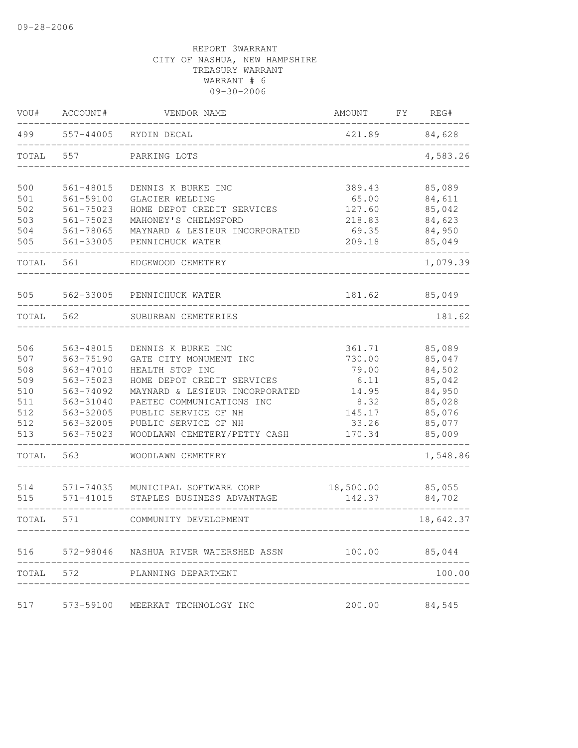| VOU#       | ACCOUNT#                   | VENDOR NAME                                           | AMOUNT              | FΥ | REG#             |
|------------|----------------------------|-------------------------------------------------------|---------------------|----|------------------|
| 499        | 557-44005                  | RYDIN DECAL                                           | 421.89              |    | 84,628           |
| TOTAL      | 557                        | PARKING LOTS                                          |                     |    | 4,583.26         |
| 500        | 561-48015                  | DENNIS K BURKE INC                                    | 389.43              |    | 85,089           |
| 501        | 561-59100                  | GLACIER WELDING                                       | 65.00               |    | 84,611           |
| 502        | $561 - 75023$              | HOME DEPOT CREDIT SERVICES                            | 127.60              |    | 85,042           |
| 503        | 561-75023                  | MAHONEY'S CHELMSFORD                                  | 218.83              |    | 84,623           |
| 504<br>505 | 561-78065<br>561-33005     | MAYNARD & LESIEUR INCORPORATED<br>PENNICHUCK WATER    | 69.35<br>209.18     |    | 84,950<br>85,049 |
| TOTAL      | 561                        | EDGEWOOD CEMETERY                                     |                     |    | 1,079.39         |
| 505        | 562-33005                  | PENNICHUCK WATER                                      | 181.62              |    | 85,049           |
| TOTAL      | 562                        | SUBURBAN CEMETERIES                                   |                     |    | 181.62           |
| 506        | 563-48015                  | DENNIS K BURKE INC                                    | 361.71              |    | 85,089           |
| 507        | 563-75190                  | GATE CITY MONUMENT INC                                | 730.00              |    | 85,047           |
| 508        | 563-47010                  | HEALTH STOP INC                                       | 79.00               |    | 84,502           |
| 509        | 563-75023                  | HOME DEPOT CREDIT SERVICES                            | 6.11                |    | 85,042           |
| 510        | 563-74092                  | MAYNARD & LESIEUR INCORPORATED                        | 14.95               |    | 84,950           |
| 511        | 563-31040                  | PAETEC COMMUNICATIONS INC                             | 8.32                |    | 85,028           |
| 512        | 563-32005                  | PUBLIC SERVICE OF NH                                  | 145.17              |    | 85,076           |
| 512<br>513 | 563-32005<br>563-75023     | PUBLIC SERVICE OF NH<br>WOODLAWN CEMETERY/PETTY CASH  | 33.26<br>170.34     |    | 85,077<br>85,009 |
| TOTAL      | 563                        | WOODLAWN CEMETERY                                     |                     |    | 1,548.86         |
|            |                            |                                                       |                     |    |                  |
| 514<br>515 | 571-74035<br>$571 - 41015$ | MUNICIPAL SOFTWARE CORP<br>STAPLES BUSINESS ADVANTAGE | 18,500.00<br>142.37 |    | 85,055<br>84,702 |
| TOTAL      | 571                        | COMMUNITY DEVELOPMENT                                 |                     |    | 18,642.37        |
|            |                            | 516 572-98046 NASHUA RIVER WATERSHED ASSN             | 100.00              |    | 85,044           |
| TOTAL      | 572                        | PLANNING DEPARTMENT                                   |                     |    | 100.00           |
| 517        |                            | 573-59100 MEERKAT TECHNOLOGY INC                      | 200.00              |    | 84,545           |
|            |                            |                                                       |                     |    |                  |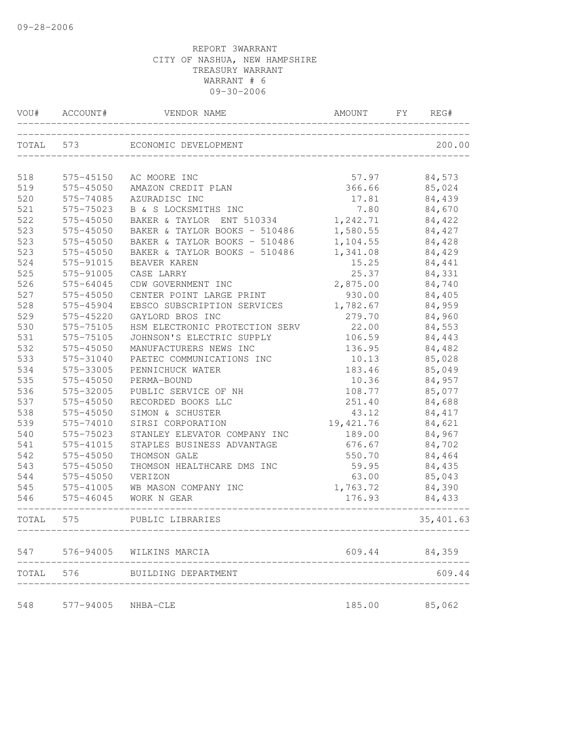| VOU#       | ACCOUNT#               | VENDOR NAME                         | AMOUNT             | FY | REG#             |
|------------|------------------------|-------------------------------------|--------------------|----|------------------|
| TOTAL 573  |                        | ECONOMIC DEVELOPMENT                |                    |    | 200.00           |
| 518        | 575-45150              | AC MOORE INC                        | 57.97              |    | 84,573           |
| 519        | 575-45050              | AMAZON CREDIT PLAN                  | 366.66             |    | 85,024           |
| 520        | 575-74085              | AZURADISC INC                       | 17.81              |    | 84,439           |
| 521        | 575-75023              | B & S LOCKSMITHS INC                | 7.80               |    | 84,670           |
| 522        | 575-45050              | BAKER & TAYLOR ENT 510334           | 1,242.71           |    | 84,422           |
| 523        | 575-45050              | BAKER & TAYLOR BOOKS - 510486       | 1,580.55           |    | 84,427           |
| 523        | 575-45050              | BAKER & TAYLOR BOOKS - 510486       | 1,104.55           |    | 84,428           |
| 523        | 575-45050              | BAKER & TAYLOR BOOKS - 510486       | 1,341.08           |    | 84,429           |
| 524        | 575-91015              | BEAVER KAREN                        | 15.25              |    | 84,441           |
| 525        | 575-91005              | CASE LARRY                          | 25.37              |    | 84,331           |
| 526        | 575-64045              | CDW GOVERNMENT INC                  | 2,875.00           |    | 84,740           |
| 527        | 575-45050              | CENTER POINT LARGE PRINT            | 930.00             |    | 84,405           |
| 528        | 575-45904              | EBSCO SUBSCRIPTION SERVICES         | 1,782.67           |    | 84,959           |
| 529        | 575-45220              | GAYLORD BROS INC                    | 279.70             |    | 84,960           |
| 530        | 575-75105              | HSM ELECTRONIC PROTECTION SERV      | 22.00              |    | 84,553           |
| 531        | 575-75105              | JOHNSON'S ELECTRIC SUPPLY           | 106.59             |    | 84,443           |
| 532        | 575-45050              | MANUFACTURERS NEWS INC              | 136.95             |    | 84,482           |
| 533        | 575-31040              | PAETEC COMMUNICATIONS INC           | 10.13              |    | 85,028           |
| 534        | 575-33005              | PENNICHUCK WATER                    | 183.46             |    | 85,049           |
| 535        | 575-45050              | PERMA-BOUND                         | 10.36              |    | 84,957           |
| 536        | 575-32005              | PUBLIC SERVICE OF NH                | 108.77             |    | 85,077           |
| 537        | 575-45050              | RECORDED BOOKS LLC                  | 251.40             |    | 84,688           |
| 538        | 575-45050              | SIMON & SCHUSTER                    | 43.12              |    | 84,417           |
| 539        | 575-74010              | SIRSI CORPORATION                   | 19,421.76          |    | 84,621           |
| 540        | 575-75023              | STANLEY ELEVATOR COMPANY INC        | 189.00             |    | 84,967           |
| 541        | 575-41015              | STAPLES BUSINESS ADVANTAGE          | 676.67             |    | 84,702           |
| 542        | 575-45050              | THOMSON GALE                        | 550.70             |    | 84,464           |
| 543        | 575-45050              | THOMSON HEALTHCARE DMS INC          | 59.95              |    | 84,435           |
| 544        | 575-45050              | VERIZON                             | 63.00              |    | 85,043           |
| 545<br>546 | 575-41005<br>575-46045 | WB MASON COMPANY INC<br>WORK N GEAR | 1,763.72<br>176.93 |    | 84,390<br>84,433 |
| TOTAL      | 575                    | PUBLIC LIBRARIES                    |                    |    | 35, 401.63       |
| 547        |                        | 576-94005 WILKINS MARCIA            | 609.44             |    | 84,359           |
| TOTAL      | 576                    | BUILDING DEPARTMENT                 |                    |    | 609.44           |
| 548        | 577-94005              | NHBA-CLE                            | 185.00             |    | 85,062           |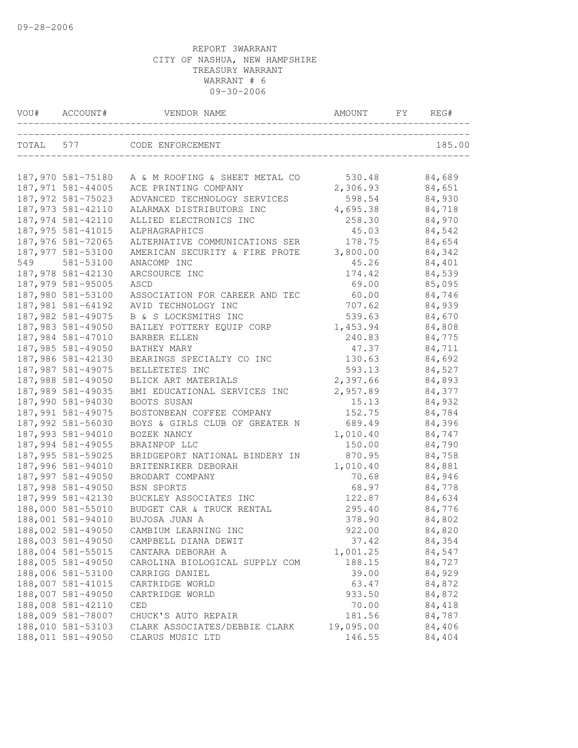| VOU#      | ACCOUNT#           | VENDOR NAME                    | AMOUNT    | FY | REG#   |
|-----------|--------------------|--------------------------------|-----------|----|--------|
| TOTAL 577 |                    | CODE ENFORCEMENT               |           |    | 185.00 |
|           | 187,970 581-75180  | A & M ROOFING & SHEET METAL CO | 530.48    |    | 84,689 |
|           | 187,971 581-44005  | ACE PRINTING COMPANY           | 2,306.93  |    | 84,651 |
|           | 187,972 581-75023  | ADVANCED TECHNOLOGY SERVICES   | 598.54    |    | 84,930 |
|           | 187, 973 581-42110 | ALARMAX DISTRIBUTORS INC       | 4,695.38  |    | 84,718 |
|           | 187,974 581-42110  | ALLIED ELECTRONICS INC         | 258.30    |    | 84,970 |
|           | 187,975 581-41015  | ALPHAGRAPHICS                  | 45.03     |    | 84,542 |
|           | 187,976 581-72065  | ALTERNATIVE COMMUNICATIONS SER | 178.75    |    | 84,654 |
|           | 187,977 581-53100  | AMERICAN SECURITY & FIRE PROTE | 3,800.00  |    | 84,342 |
| 549       | 581-53100          | ANACOMP INC                    | 45.26     |    | 84,401 |
|           | 187,978 581-42130  | ARCSOURCE INC                  | 174.42    |    | 84,539 |
|           | 187,979 581-95005  | ASCD                           | 69.00     |    | 85,095 |
|           | 187,980 581-53100  | ASSOCIATION FOR CAREER AND TEC | 60.00     |    | 84,746 |
|           | 187,981 581-64192  | AVID TECHNOLOGY INC            | 707.62    |    | 84,939 |
|           | 187,982 581-49075  | B & S LOCKSMITHS INC           | 539.63    |    | 84,670 |
|           | 187,983 581-49050  | BAILEY POTTERY EQUIP CORP      | 1,453.94  |    | 84,808 |
|           | 187,984 581-47010  | BARBER ELLEN                   | 240.83    |    | 84,775 |
|           | 187,985 581-49050  | BATHEY MARY                    | 47.37     |    | 84,711 |
|           | 187,986 581-42130  | BEARINGS SPECIALTY CO INC      | 130.63    |    | 84,692 |
|           | 187,987 581-49075  | BELLETETES INC                 | 593.13    |    | 84,527 |
|           | 187,988 581-49050  | BLICK ART MATERIALS            | 2,397.66  |    | 84,893 |
|           | 187,989 581-49035  | BMI EDUCATIONAL SERVICES INC   | 2,957.89  |    | 84,377 |
|           | 187,990 581-94030  | BOOTS SUSAN                    | 15.13     |    | 84,932 |
|           | 187,991 581-49075  | BOSTONBEAN COFFEE COMPANY      | 152.75    |    | 84,784 |
|           | 187,992 581-56030  | BOYS & GIRLS CLUB OF GREATER N | 689.49    |    | 84,396 |
|           | 187,993 581-94010  | BOZEK NANCY                    | 1,010.40  |    | 84,747 |
|           | 187,994 581-49055  | BRAINPOP LLC                   | 150.00    |    | 84,790 |
|           | 187,995 581-59025  | BRIDGEPORT NATIONAL BINDERY IN | 870.95    |    | 84,758 |
|           | 187,996 581-94010  | BRITENRIKER DEBORAH            | 1,010.40  |    | 84,881 |
|           | 187,997 581-49050  | BRODART COMPANY                | 70.68     |    | 84,946 |
|           | 187,998 581-49050  | <b>BSN SPORTS</b>              | 68.97     |    | 84,778 |
|           | 187,999 581-42130  | BUCKLEY ASSOCIATES INC         | 122.87    |    | 84,634 |
|           | 188,000 581-55010  | BUDGET CAR & TRUCK RENTAL      | 295.40    |    | 84,776 |
|           | 188,001 581-94010  | BUJOSA JUAN A                  | 378.90    |    | 84,802 |
|           | 188,002 581-49050  | CAMBIUM LEARNING INC           | 922.00    |    | 84,820 |
|           | 188,003 581-49050  | CAMPBELL DIANA DEWIT           | 37.42     |    | 84,354 |
|           | 188,004 581-55015  | CANTARA DEBORAH A              | 1,001.25  |    | 84,547 |
|           | 188,005 581-49050  | CAROLINA BIOLOGICAL SUPPLY COM | 188.15    |    | 84,727 |
|           | 188,006 581-53100  | CARRIGG DANIEL                 | 39.00     |    | 84,929 |
|           | 188,007 581-41015  | CARTRIDGE WORLD                | 63.47     |    | 84,872 |
|           | 188,007 581-49050  | CARTRIDGE WORLD                | 933.50    |    | 84,872 |
|           | 188,008 581-42110  | CED                            | 70.00     |    | 84,418 |
|           | 188,009 581-78007  | CHUCK'S AUTO REPAIR            | 181.56    |    | 84,787 |
|           | 188,010 581-53103  | CLARK ASSOCIATES/DEBBIE CLARK  | 19,095.00 |    | 84,406 |
|           | 188,011 581-49050  | CLARUS MUSIC LTD               | 146.55    |    | 84,404 |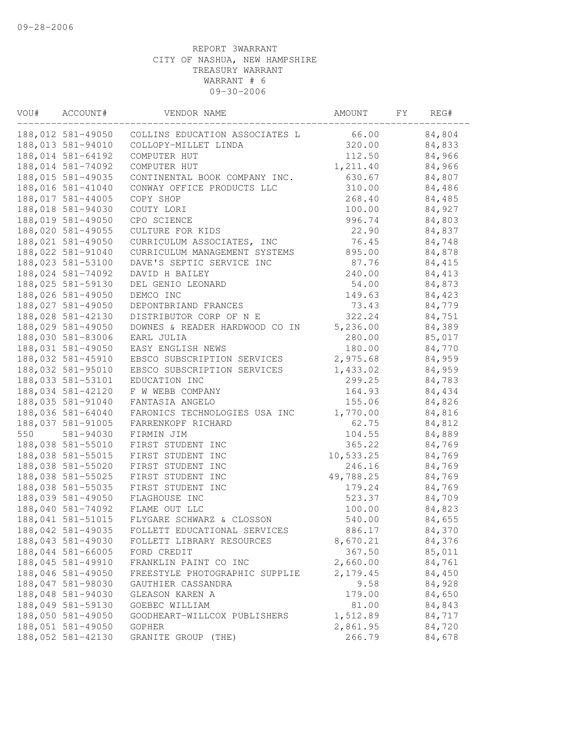| VOU# | ACCOUNT#          | VENDOR NAME                    | AMOUNT    | FΥ | REG#   |
|------|-------------------|--------------------------------|-----------|----|--------|
|      | 188,012 581-49050 | COLLINS EDUCATION ASSOCIATES L | 66.00     |    | 84,804 |
|      | 188,013 581-94010 | COLLOPY-MILLET LINDA           | 320.00    |    | 84,833 |
|      | 188,014 581-64192 | COMPUTER HUT                   | 112.50    |    | 84,966 |
|      | 188,014 581-74092 | COMPUTER HUT                   | 1,211.40  |    | 84,966 |
|      | 188,015 581-49035 | CONTINENTAL BOOK COMPANY INC.  | 630.67    |    | 84,807 |
|      | 188,016 581-41040 | CONWAY OFFICE PRODUCTS LLC     | 310.00    |    | 84,486 |
|      | 188,017 581-44005 | COPY SHOP                      | 268.40    |    | 84,485 |
|      | 188,018 581-94030 | COUTY LORI                     | 100.00    |    | 84,927 |
|      | 188,019 581-49050 | CPO SCIENCE                    | 996.74    |    | 84,803 |
|      | 188,020 581-49055 | CULTURE FOR KIDS               | 22.90     |    | 84,837 |
|      | 188,021 581-49050 | CURRICULUM ASSOCIATES, INC     | 76.45     |    | 84,748 |
|      | 188,022 581-91040 | CURRICULUM MANAGEMENT SYSTEMS  | 895.00    |    | 84,878 |
|      | 188,023 581-53100 | DAVE'S SEPTIC SERVICE INC      | 87.76     |    | 84,415 |
|      | 188,024 581-74092 | DAVID H BAILEY                 | 240.00    |    | 84,413 |
|      | 188,025 581-59130 | DEL GENIO LEONARD              | 54.00     |    | 84,873 |
|      | 188,026 581-49050 | DEMCO INC                      | 149.63    |    | 84,423 |
|      | 188,027 581-49050 | DEPONTBRIAND FRANCES           | 73.43     |    | 84,779 |
|      | 188,028 581-42130 | DISTRIBUTOR CORP OF N E        | 322.24    |    | 84,751 |
|      | 188,029 581-49050 | DOWNES & READER HARDWOOD CO IN | 5,236.00  |    | 84,389 |
|      | 188,030 581-83006 | EARL JULIA                     | 280.00    |    | 85,017 |
|      | 188,031 581-49050 | EASY ENGLISH NEWS              | 180.00    |    | 84,770 |
|      | 188,032 581-45910 | EBSCO SUBSCRIPTION SERVICES    | 2,975.68  |    | 84,959 |
|      | 188,032 581-95010 | EBSCO SUBSCRIPTION SERVICES    | 1,433.02  |    | 84,959 |
|      | 188,033 581-53101 | EDUCATION INC                  | 299.25    |    | 84,783 |
|      | 188,034 581-42120 | F W WEBB COMPANY               | 164.93    |    | 84,434 |
|      | 188,035 581-91040 | FANTASIA ANGELO                | 155.06    |    | 84,826 |
|      | 188,036 581-64040 | FARONICS TECHNOLOGIES USA INC  | 1,770.00  |    | 84,816 |
|      | 188,037 581-91005 | FARRENKOPF RICHARD             | 62.75     |    | 84,812 |
| 550  | 581-94030         | FIRMIN JIM                     | 104.55    |    | 84,889 |
|      | 188,038 581-55010 | FIRST STUDENT INC              | 365.22    |    | 84,769 |
|      | 188,038 581-55015 | FIRST STUDENT INC              | 10,533.25 |    | 84,769 |
|      | 188,038 581-55020 | FIRST STUDENT INC              | 246.16    |    | 84,769 |
|      | 188,038 581-55025 | FIRST STUDENT INC              | 49,788.25 |    | 84,769 |
|      | 188,038 581-55035 | FIRST STUDENT INC              | 179.24    |    | 84,769 |
|      | 188,039 581-49050 | FLAGHOUSE INC                  | 523.37    |    | 84,709 |
|      | 188,040 581-74092 | FLAME OUT LLC                  | 100.00    |    | 84,823 |
|      | 188,041 581-51015 | FLYGARE SCHWARZ & CLOSSON      | 540.00    |    | 84,655 |
|      | 188,042 581-49035 | FOLLETT EDUCATIONAL SERVICES   | 886.17    |    | 84,370 |
|      | 188,043 581-49030 | FOLLETT LIBRARY RESOURCES      | 8,670.21  |    | 84,376 |
|      | 188,044 581-66005 | FORD CREDIT                    | 367.50    |    | 85,011 |
|      | 188,045 581-49910 | FRANKLIN PAINT CO INC          | 2,660.00  |    | 84,761 |
|      | 188,046 581-49050 | FREESTYLE PHOTOGRAPHIC SUPPLIE | 2,179.45  |    | 84,450 |
|      | 188,047 581-98030 | GAUTHIER CASSANDRA             | 9.58      |    | 84,928 |
|      | 188,048 581-94030 | GLEASON KAREN A                | 179.00    |    | 84,650 |
|      | 188,049 581-59130 | GOEBEC WILLIAM                 | 81.00     |    | 84,843 |
|      | 188,050 581-49050 | GOODHEART-WILLCOX PUBLISHERS   | 1,512.89  |    | 84,717 |
|      | 188,051 581-49050 | <b>GOPHER</b>                  | 2,861.95  |    | 84,720 |
|      | 188,052 581-42130 | GRANITE GROUP (THE)            | 266.79    |    | 84,678 |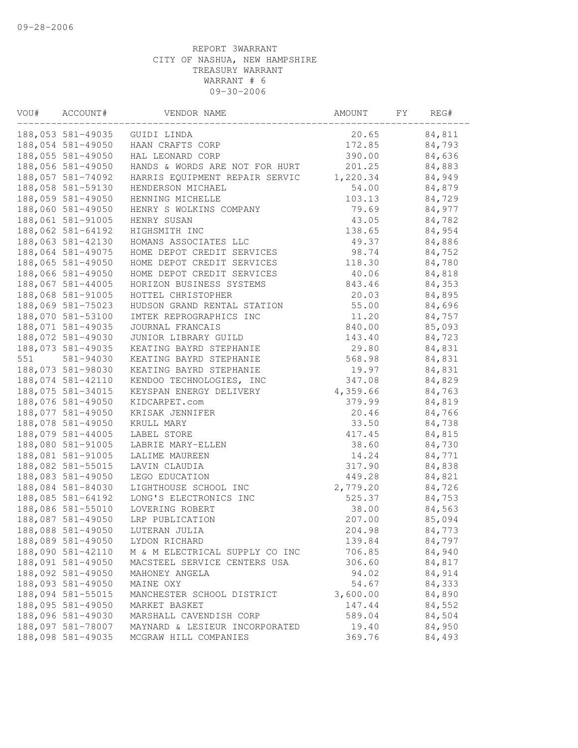| VOU# | ACCOUNT#          | VENDOR NAME                    | AMOUNT   | FY. | REG#   |  |
|------|-------------------|--------------------------------|----------|-----|--------|--|
|      | 188,053 581-49035 | GUIDI LINDA                    | 20.65    |     | 84,811 |  |
|      | 188,054 581-49050 | HAAN CRAFTS CORP               | 172.85   |     | 84,793 |  |
|      | 188,055 581-49050 | HAL LEONARD CORP               | 390.00   |     | 84,636 |  |
|      | 188,056 581-49050 | HANDS & WORDS ARE NOT FOR HURT | 201.25   |     | 84,883 |  |
|      | 188,057 581-74092 | HARRIS EQUIPMENT REPAIR SERVIC | 1,220.34 |     | 84,949 |  |
|      | 188,058 581-59130 | HENDERSON MICHAEL              | 54.00    |     | 84,879 |  |
|      | 188,059 581-49050 | HENNING MICHELLE               | 103.13   |     | 84,729 |  |
|      | 188,060 581-49050 | HENRY S WOLKINS COMPANY        | 79.69    |     | 84,977 |  |
|      | 188,061 581-91005 | HENRY SUSAN                    | 43.05    |     | 84,782 |  |
|      | 188,062 581-64192 | HIGHSMITH INC                  | 138.65   |     | 84,954 |  |
|      | 188,063 581-42130 | HOMANS ASSOCIATES LLC          | 49.37    |     | 84,886 |  |
|      | 188,064 581-49075 | HOME DEPOT CREDIT SERVICES     | 98.74    |     | 84,752 |  |
|      | 188,065 581-49050 | HOME DEPOT CREDIT SERVICES     | 118.30   |     | 84,780 |  |
|      | 188,066 581-49050 | HOME DEPOT CREDIT SERVICES     | 40.06    |     | 84,818 |  |
|      | 188,067 581-44005 | HORIZON BUSINESS SYSTEMS       | 843.46   |     | 84,353 |  |
|      | 188,068 581-91005 | HOTTEL CHRISTOPHER             | 20.03    |     | 84,895 |  |
|      | 188,069 581-75023 | HUDSON GRAND RENTAL STATION    | 55.00    |     | 84,696 |  |
|      | 188,070 581-53100 | IMTEK REPROGRAPHICS INC        | 11.20    |     | 84,757 |  |
|      | 188,071 581-49035 | JOURNAL FRANCAIS               | 840.00   |     | 85,093 |  |
|      | 188,072 581-49030 | JUNIOR LIBRARY GUILD           | 143.40   |     | 84,723 |  |
|      | 188,073 581-49035 | KEATING BAYRD STEPHANIE        | 29.80    |     | 84,831 |  |
| 551  | 581-94030         | KEATING BAYRD STEPHANIE        | 568.98   |     | 84,831 |  |
|      | 188,073 581-98030 | KEATING BAYRD STEPHANIE        | 19.97    |     | 84,831 |  |
|      | 188,074 581-42110 | KENDOO TECHNOLOGIES, INC       | 347.08   |     | 84,829 |  |
|      | 188,075 581-34015 | KEYSPAN ENERGY DELIVERY        | 4,359.66 |     | 84,763 |  |
|      | 188,076 581-49050 | KIDCARPET.com                  | 379.99   |     | 84,819 |  |
|      | 188,077 581-49050 | KRISAK JENNIFER                | 20.46    |     | 84,766 |  |
|      | 188,078 581-49050 | KRULL MARY                     | 33.50    |     | 84,738 |  |
|      | 188,079 581-44005 | LABEL STORE                    | 417.45   |     | 84,815 |  |
|      | 188,080 581-91005 | LABRIE MARY-ELLEN              | 38.60    |     | 84,730 |  |
|      | 188,081 581-91005 | LALIME MAUREEN                 | 14.24    |     | 84,771 |  |
|      | 188,082 581-55015 | LAVIN CLAUDIA                  | 317.90   |     | 84,838 |  |
|      | 188,083 581-49050 | LEGO EDUCATION                 | 449.28   |     | 84,821 |  |
|      | 188,084 581-84030 | LIGHTHOUSE SCHOOL INC          | 2,779.20 |     | 84,726 |  |
|      | 188,085 581-64192 | LONG'S ELECTRONICS INC         | 525.37   |     | 84,753 |  |
|      | 188,086 581-55010 | LOVERING ROBERT                | 38.00    |     | 84,563 |  |
|      | 188,087 581-49050 | LRP PUBLICATION                | 207.00   |     | 85,094 |  |
|      | 188,088 581-49050 | LUTERAN JULIA                  | 204.98   |     | 84,773 |  |
|      | 188,089 581-49050 | LYDON RICHARD                  | 139.84   |     | 84,797 |  |
|      | 188,090 581-42110 | M & M ELECTRICAL SUPPLY CO INC | 706.85   |     | 84,940 |  |
|      | 188,091 581-49050 | MACSTEEL SERVICE CENTERS USA   | 306.60   |     | 84,817 |  |
|      | 188,092 581-49050 | MAHONEY ANGELA                 | 94.02    |     | 84,914 |  |
|      | 188,093 581-49050 | MAINE OXY                      | 54.67    |     | 84,333 |  |
|      | 188,094 581-55015 | MANCHESTER SCHOOL DISTRICT     | 3,600.00 |     | 84,890 |  |
|      | 188,095 581-49050 | MARKET BASKET                  | 147.44   |     | 84,552 |  |
|      | 188,096 581-49030 | MARSHALL CAVENDISH CORP        | 589.04   |     | 84,504 |  |
|      | 188,097 581-78007 | MAYNARD & LESIEUR INCORPORATED | 19.40    |     | 84,950 |  |
|      | 188,098 581-49035 | MCGRAW HILL COMPANIES          | 369.76   |     | 84,493 |  |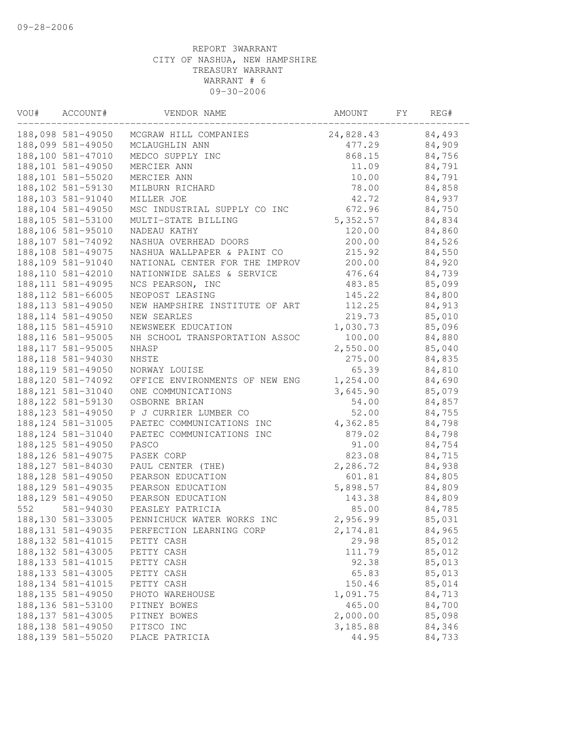| VOU# | ACCOUNT#           | VENDOR NAME                    | AMOUNT    | FY | REG#   |
|------|--------------------|--------------------------------|-----------|----|--------|
|      | 188,098 581-49050  | MCGRAW HILL COMPANIES          | 24,828.43 |    | 84,493 |
|      | 188,099 581-49050  | MCLAUGHLIN ANN                 | 477.29    |    | 84,909 |
|      | 188,100 581-47010  | MEDCO SUPPLY INC               | 868.15    |    | 84,756 |
|      | 188,101 581-49050  | MERCIER ANN                    | 11.09     |    | 84,791 |
|      | 188,101 581-55020  | MERCIER ANN                    | 10.00     |    | 84,791 |
|      | 188,102 581-59130  | MILBURN RICHARD                | 78.00     |    | 84,858 |
|      | 188,103 581-91040  | MILLER JOE                     | 42.72     |    | 84,937 |
|      | 188,104 581-49050  | MSC INDUSTRIAL SUPPLY CO INC   | 672.96    |    | 84,750 |
|      | 188,105 581-53100  | MULTI-STATE BILLING            | 5,352.57  |    | 84,834 |
|      | 188,106 581-95010  | NADEAU KATHY                   | 120.00    |    | 84,860 |
|      | 188,107 581-74092  | NASHUA OVERHEAD DOORS          | 200.00    |    | 84,526 |
|      | 188,108 581-49075  | NASHUA WALLPAPER & PAINT CO    | 215.92    |    | 84,550 |
|      | 188,109 581-91040  | NATIONAL CENTER FOR THE IMPROV | 200.00    |    | 84,920 |
|      | 188, 110 581-42010 | NATIONWIDE SALES & SERVICE     | 476.64    |    | 84,739 |
|      | 188, 111 581-49095 | NCS PEARSON, INC               | 483.85    |    | 85,099 |
|      | 188, 112 581-66005 | NEOPOST LEASING                | 145.22    |    | 84,800 |
|      | 188, 113 581-49050 | NEW HAMPSHIRE INSTITUTE OF ART | 112.25    |    | 84,913 |
|      | 188, 114 581-49050 | NEW SEARLES                    | 219.73    |    | 85,010 |
|      | 188, 115 581-45910 | NEWSWEEK EDUCATION             | 1,030.73  |    | 85,096 |
|      | 188, 116 581-95005 | NH SCHOOL TRANSPORTATION ASSOC | 100.00    |    | 84,880 |
|      | 188, 117 581-95005 | NHASP                          | 2,550.00  |    | 85,040 |
|      | 188, 118 581-94030 | NHSTE                          | 275.00    |    | 84,835 |
|      | 188, 119 581-49050 | NORWAY LOUISE                  | 65.39     |    | 84,810 |
|      | 188, 120 581-74092 | OFFICE ENVIRONMENTS OF NEW ENG | 1,254.00  |    | 84,690 |
|      | 188, 121 581-31040 | ONE COMMUNICATIONS             | 3,645.90  |    | 85,079 |
|      | 188, 122 581-59130 | OSBORNE BRIAN                  | 54.00     |    | 84,857 |
|      | 188, 123 581-49050 | P J CURRIER LUMBER CO          | 52.00     |    | 84,755 |
|      | 188, 124 581-31005 | PAETEC COMMUNICATIONS INC      | 4,362.85  |    | 84,798 |
|      | 188, 124 581-31040 | PAETEC COMMUNICATIONS INC      | 879.02    |    | 84,798 |
|      | 188, 125 581-49050 | PASCO                          | 91.00     |    | 84,754 |
|      | 188, 126 581-49075 | PASEK CORP                     | 823.08    |    | 84,715 |
|      | 188, 127 581-84030 | PAUL CENTER (THE)              | 2,286.72  |    | 84,938 |
|      | 188, 128 581-49050 | PEARSON EDUCATION              | 601.81    |    | 84,805 |
|      | 188, 129 581-49035 | PEARSON EDUCATION              | 5,898.57  |    | 84,809 |
|      | 188, 129 581-49050 | PEARSON EDUCATION              | 143.38    |    | 84,809 |
| 552  | 581-94030          | PEASLEY PATRICIA               | 85.00     |    | 84,785 |
|      | 188,130 581-33005  | PENNICHUCK WATER WORKS INC     | 2,956.99  |    | 85,031 |
|      | 188, 131 581-49035 | PERFECTION LEARNING CORP       | 2, 174.81 |    | 84,965 |
|      | 188, 132 581-41015 | PETTY CASH                     | 29.98     |    | 85,012 |
|      | 188, 132 581-43005 | PETTY CASH                     | 111.79    |    | 85,012 |
|      | 188, 133 581-41015 | PETTY CASH                     | 92.38     |    | 85,013 |
|      | 188, 133 581-43005 | PETTY CASH                     | 65.83     |    | 85,013 |
|      | 188, 134 581-41015 | PETTY CASH                     | 150.46    |    | 85,014 |
|      | 188, 135 581-49050 | PHOTO WAREHOUSE                | 1,091.75  |    | 84,713 |
|      | 188, 136 581-53100 | PITNEY BOWES                   | 465.00    |    | 84,700 |
|      | 188, 137 581-43005 | PITNEY BOWES                   | 2,000.00  |    | 85,098 |
|      | 188, 138 581-49050 | PITSCO INC                     | 3,185.88  |    | 84,346 |
|      | 188, 139 581-55020 | PLACE PATRICIA                 | 44.95     |    | 84,733 |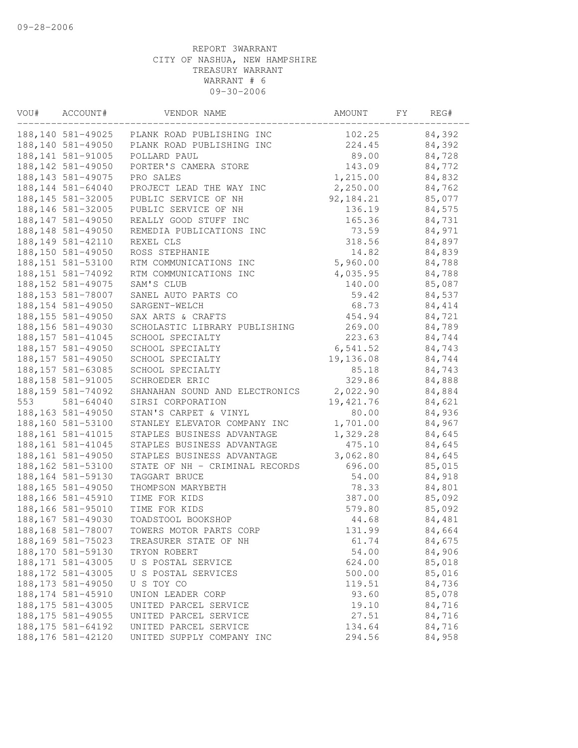| VOU# | ACCOUNT#           | VENDOR NAME                                 | AMOUNT    | FY. | REG#   |  |
|------|--------------------|---------------------------------------------|-----------|-----|--------|--|
|      |                    | 188,140 581-49025 PLANK ROAD PUBLISHING INC | 102.25    |     | 84,392 |  |
|      | 188, 140 581-49050 | PLANK ROAD PUBLISHING INC                   | 224.45    |     | 84,392 |  |
|      | 188, 141 581-91005 | POLLARD PAUL                                | 89.00     |     | 84,728 |  |
|      | 188, 142 581-49050 | PORTER'S CAMERA STORE                       | 143.09    |     | 84,772 |  |
|      | 188, 143 581-49075 | PRO SALES                                   | 1,215.00  |     | 84,832 |  |
|      | 188, 144 581-64040 | PROJECT LEAD THE WAY INC                    | 2,250.00  |     | 84,762 |  |
|      | 188, 145 581-32005 | PUBLIC SERVICE OF NH                        | 92,184.21 |     | 85,077 |  |
|      | 188, 146 581-32005 | PUBLIC SERVICE OF NH                        | 136.19    |     | 84,575 |  |
|      | 188, 147 581-49050 | REALLY GOOD STUFF INC                       | 165.36    |     | 84,731 |  |
|      | 188, 148 581-49050 | REMEDIA PUBLICATIONS INC                    | 73.59     |     | 84,971 |  |
|      | 188, 149 581-42110 | REXEL CLS                                   | 318.56    |     | 84,897 |  |
|      | 188,150 581-49050  | ROSS STEPHANIE                              | 14.82     |     | 84,839 |  |
|      | 188, 151 581-53100 | RTM COMMUNICATIONS INC                      | 5,960.00  |     | 84,788 |  |
|      | 188, 151 581-74092 | RTM COMMUNICATIONS INC                      | 4,035.95  |     | 84,788 |  |
|      | 188, 152 581-49075 | SAM'S CLUB                                  | 140.00    |     | 85,087 |  |
|      | 188, 153 581-78007 | SANEL AUTO PARTS CO                         | 59.42     |     | 84,537 |  |
|      | 188, 154 581-49050 | SARGENT-WELCH                               | 68.73     |     | 84,414 |  |
|      | 188, 155 581-49050 | SAX ARTS & CRAFTS                           | 454.94    |     | 84,721 |  |
|      | 188,156 581-49030  | SCHOLASTIC LIBRARY PUBLISHING               | 269.00    |     | 84,789 |  |
|      | 188, 157 581-41045 | SCHOOL SPECIALTY                            | 223.63    |     | 84,744 |  |
|      | 188, 157 581-49050 | SCHOOL SPECIALTY                            | 6, 541.52 |     | 84,743 |  |
|      | 188, 157 581-49050 | SCHOOL SPECIALTY                            | 19,136.08 |     | 84,744 |  |
|      | 188, 157 581-63085 | SCHOOL SPECIALTY                            | 85.18     |     | 84,743 |  |
|      | 188, 158 581-91005 | SCHROEDER ERIC                              | 329.86    |     | 84,888 |  |
|      | 188, 159 581-74092 | SHANAHAN SOUND AND ELECTRONICS              | 2,022.90  |     | 84,884 |  |
| 553  | $581 - 64040$      | SIRSI CORPORATION                           | 19,421.76 |     | 84,621 |  |
|      | 188, 163 581-49050 | STAN'S CARPET & VINYL                       | 80.00     |     | 84,936 |  |
|      | 188,160 581-53100  | STANLEY ELEVATOR COMPANY INC                | 1,701.00  |     | 84,967 |  |
|      | 188, 161 581-41015 | STAPLES BUSINESS ADVANTAGE                  | 1,329.28  |     | 84,645 |  |
|      | 188, 161 581-41045 | STAPLES BUSINESS ADVANTAGE                  | 475.10    |     | 84,645 |  |
|      | 188, 161 581-49050 | STAPLES BUSINESS ADVANTAGE                  | 3,062.80  |     | 84,645 |  |
|      | 188, 162 581-53100 | STATE OF NH - CRIMINAL RECORDS              | 696.00    |     | 85,015 |  |
|      | 188, 164 581-59130 | TAGGART BRUCE                               | 54.00     |     | 84,918 |  |
|      | 188, 165 581-49050 | THOMPSON MARYBETH                           | 78.33     |     | 84,801 |  |
|      | 188,166 581-45910  | TIME FOR KIDS                               | 387.00    |     | 85,092 |  |
|      | 188,166 581-95010  | TIME FOR KIDS                               | 579.80    |     | 85,092 |  |
|      | 188, 167 581-49030 | TOADSTOOL BOOKSHOP                          | 44.68     |     | 84,481 |  |
|      | 188,168 581-78007  | TOWERS MOTOR PARTS CORP                     | 131.99    |     | 84,664 |  |
|      | 188, 169 581-75023 | TREASURER STATE OF NH                       | 61.74     |     | 84,675 |  |
|      | 188,170 581-59130  | TRYON ROBERT                                | 54.00     |     | 84,906 |  |
|      | 188, 171 581-43005 | U S POSTAL SERVICE                          | 624.00    |     | 85,018 |  |
|      | 188, 172 581-43005 | U S POSTAL SERVICES                         | 500.00    |     | 85,016 |  |
|      | 188, 173 581-49050 | U S TOY CO                                  | 119.51    |     | 84,736 |  |
|      | 188, 174 581-45910 | UNION LEADER CORP                           | 93.60     |     | 85,078 |  |
|      | 188, 175 581-43005 | UNITED PARCEL SERVICE                       | 19.10     |     | 84,716 |  |
|      | 188, 175 581-49055 | UNITED PARCEL SERVICE                       | 27.51     |     | 84,716 |  |
|      | 188, 175 581-64192 | UNITED PARCEL SERVICE                       | 134.64    |     | 84,716 |  |
|      | 188, 176 581-42120 | UNITED SUPPLY COMPANY INC                   | 294.56    |     | 84,958 |  |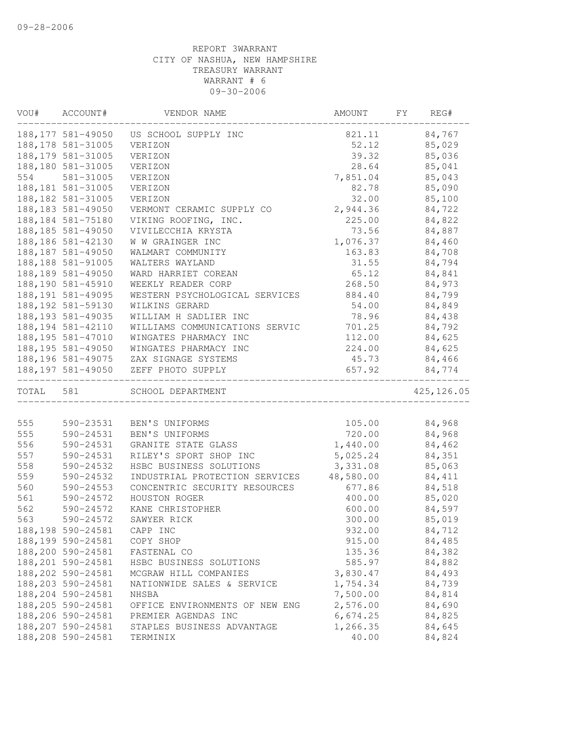| VOU#      | ACCOUNT#           | VENDOR NAME                           | AMOUNT    | FY | REG#        |
|-----------|--------------------|---------------------------------------|-----------|----|-------------|
|           | 188,177 581-49050  | US SCHOOL SUPPLY INC                  | 821.11    |    | 84,767      |
|           | 188, 178 581-31005 | VERIZON                               | 52.12     |    | 85,029      |
|           | 188, 179 581-31005 | VERIZON                               | 39.32     |    | 85,036      |
|           | 188,180 581-31005  | VERIZON                               | 28.64     |    | 85,041      |
| 554       | 581-31005          | VERIZON                               | 7,851.04  |    | 85,043      |
|           | 188, 181 581-31005 | VERIZON                               | 82.78     |    | 85,090      |
|           | 188, 182 581-31005 | VERIZON                               | 32.00     |    | 85,100      |
|           | 188, 183 581-49050 | VERMONT CERAMIC SUPPLY CO             | 2,944.36  |    | 84,722      |
|           | 188, 184 581-75180 | VIKING ROOFING, INC.                  | 225.00    |    | 84,822      |
|           | 188,185 581-49050  | VIVILECCHIA KRYSTA                    | 73.56     |    | 84,887      |
|           | 188,186 581-42130  | W W GRAINGER INC                      | 1,076.37  |    | 84,460      |
|           | 188, 187 581-49050 | WALMART COMMUNITY                     | 163.83    |    | 84,708      |
|           | 188, 188 581-91005 | WALTERS WAYLAND                       | 31.55     |    | 84,794      |
|           | 188, 189 581-49050 | WARD HARRIET COREAN                   | 65.12     |    | 84,841      |
|           | 188,190 581-45910  | WEEKLY READER CORP                    | 268.50    |    | 84,973      |
|           | 188, 191 581-49095 | WESTERN PSYCHOLOGICAL SERVICES        | 884.40    |    | 84,799      |
|           | 188, 192 581-59130 | WILKINS GERARD                        | 54.00     |    | 84,849      |
|           | 188, 193 581-49035 | WILLIAM H SADLIER INC                 | 78.96     |    | 84,438      |
|           | 188, 194 581-42110 | WILLIAMS COMMUNICATIONS SERVIC        | 701.25    |    | 84,792      |
|           | 188, 195 581-47010 | WINGATES PHARMACY INC                 | 112.00    |    | 84,625      |
|           | 188, 195 581-49050 | WINGATES PHARMACY INC                 | 224.00    |    | 84,625      |
|           |                    | 188,196 581-49075 ZAX SIGNAGE SYSTEMS | 45.73     |    | 84,466      |
|           | 188,197 581-49050  | ZEFF PHOTO SUPPLY                     | 657.92    |    | 84,774      |
| TOTAL 581 |                    | SCHOOL DEPARTMENT                     |           |    | 425, 126.05 |
|           |                    |                                       |           |    |             |
| 555       | 590-23531          | BEN'S UNIFORMS                        | 105.00    |    | 84,968      |
| 555       | 590-24531          | BEN'S UNIFORMS                        | 720.00    |    | 84,968      |
| 556       | 590-24531          | GRANITE STATE GLASS                   | 1,440.00  |    | 84,462      |
| 557       | 590-24531          | RILEY'S SPORT SHOP INC                | 5,025.24  |    | 84,351      |
| 558       | 590-24532          | HSBC BUSINESS SOLUTIONS               | 3,331.08  |    | 85,063      |
| 559       | 590-24532          | INDUSTRIAL PROTECTION SERVICES        | 48,580.00 |    | 84,411      |
| 560       | 590-24553          | CONCENTRIC SECURITY RESOURCES         | 677.86    |    | 84,518      |
| 561       | 590-24572          | HOUSTON ROGER                         | 400.00    |    | 85,020      |
| 562       | 590-24572          | KANE CHRISTOPHER                      | 600.00    |    | 84,597      |
| 563       | 590-24572          | SAWYER RICK                           | 300.00    |    | 85,019      |
|           | 188,198 590-24581  | CAPP INC                              | 932.00    |    | 84,712      |
|           | 188,199 590-24581  | COPY SHOP                             | 915.00    |    | 84,485      |
|           | 188,200 590-24581  | FASTENAL CO                           | 135.36    |    | 84,382      |
|           | 188,201 590-24581  | HSBC BUSINESS SOLUTIONS               | 585.97    |    | 84,882      |
|           | 188, 202 590-24581 | MCGRAW HILL COMPANIES                 | 3,830.47  |    | 84,493      |
|           | 188, 203 590-24581 | NATIONWIDE SALES & SERVICE            | 1,754.34  |    | 84,739      |
|           | 188,204 590-24581  | NHSBA                                 | 7,500.00  |    | 84,814      |
|           | 188,205 590-24581  | OFFICE ENVIRONMENTS OF NEW ENG        | 2,576.00  |    | 84,690      |
|           | 188,206 590-24581  | PREMIER AGENDAS INC                   | 6,674.25  |    | 84,825      |
|           | 188, 207 590-24581 | STAPLES BUSINESS ADVANTAGE            | 1,266.35  |    | 84,645      |
|           | 188,208 590-24581  | TERMINIX                              | 40.00     |    | 84,824      |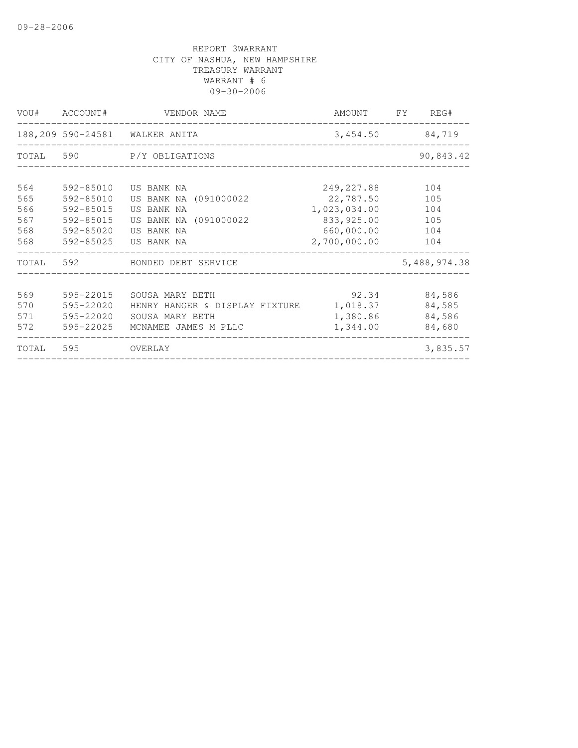|       | VOU# ACCOUNT# | VENDOR NAME                    | AMOUNT FY REG# |              |
|-------|---------------|--------------------------------|----------------|--------------|
|       |               | 188,209 590-24581 WALKER ANITA | 3,454.50       | 84,719       |
|       |               | TOTAL 590 P/Y OBLIGATIONS      |                | 90,843.42    |
| 564   | 592-85010     | US BANK NA                     | 249,227.88     | 104          |
| 565   | 592-85010     | US BANK NA (091000022          | 22,787.50      | 105          |
| 566   | 592-85015     | US BANK NA                     | 1,023,034.00   | 104          |
| 567   | 592-85015     | US BANK NA (091000022          | 833,925.00     | 105          |
| 568   | 592-85020     | US BANK NA                     | 660,000.00     | 104          |
| 568   |               | 592-85025 US BANK NA           | 2,700,000.00   | 104          |
|       |               | TOTAL 592 BONDED DEBT SERVICE  |                | 5,488,974.38 |
|       |               |                                |                |              |
| 569   | 595-22015     | SOUSA MARY BETH                | 92.34          | 84,586       |
| 570   | 595-22020     | HENRY HANGER & DISPLAY FIXTURE | 1,018.37       | 84,585       |
| 571   | 595-22020     | SOUSA MARY BETH                | 1,380.86       | 84,586       |
| 572   | 595-22025     | MCNAMEE JAMES M PLLC           | 1,344.00       | 84,680       |
| TOTAL | 595           | OVERLAY                        |                | 3,835.57     |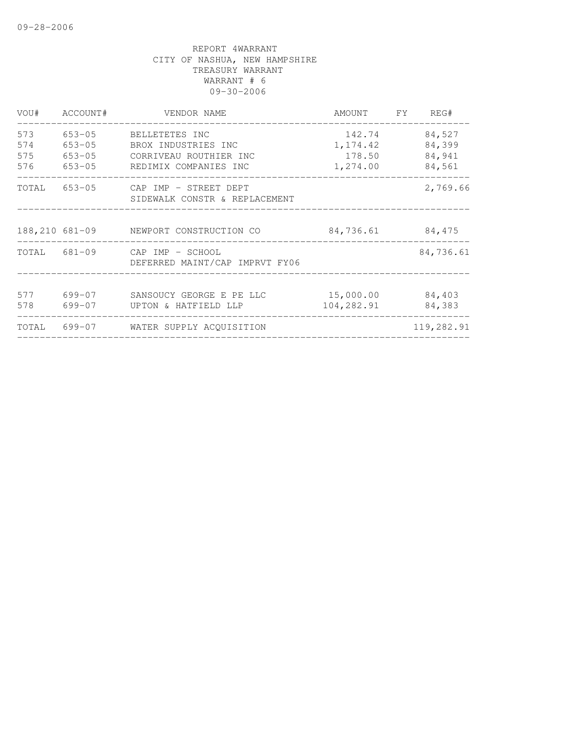| VOU#                     | ACCOUNT#                                             | VENDOR NAME                                                                              | AMOUNT                                    | FY | REG#                                 |
|--------------------------|------------------------------------------------------|------------------------------------------------------------------------------------------|-------------------------------------------|----|--------------------------------------|
| 573<br>574<br>575<br>576 | $653 - 05$<br>$653 - 05$<br>$653 - 05$<br>$653 - 05$ | BELLETETES INC<br>BROX INDUSTRIES INC<br>CORRIVEAU ROUTHIER INC<br>REDIMIX COMPANIES INC | 142.74<br>1, 174.42<br>178.50<br>1,274.00 |    | 84,527<br>84,399<br>84,941<br>84,561 |
| TOTAL                    |                                                      | 653-05 CAP IMP - STREET DEPT<br>SIDEWALK CONSTR & REPLACEMENT                            |                                           |    | 2,769.66                             |
|                          |                                                      | 188,210 681-09 NEWPORT CONSTRUCTION CO                                                   | 84,736.61                                 |    | 84,475                               |
| TOTAL                    |                                                      | 681-09 CAP IMP - SCHOOL<br>DEFERRED MAINT/CAP IMPRVT FY06                                |                                           |    | 84,736.61                            |
| 577<br>578               | 699-07<br>699-07                                     | SANSOUCY GEORGE E PE LLC<br>UPTON & HATFIELD LLP                                         | 15,000.00<br>104,282.91                   |    | 84,403<br>84,383                     |
| TOTAL                    |                                                      | 699-07 WATER SUPPLY ACOUISITION                                                          |                                           |    | 119,282.91                           |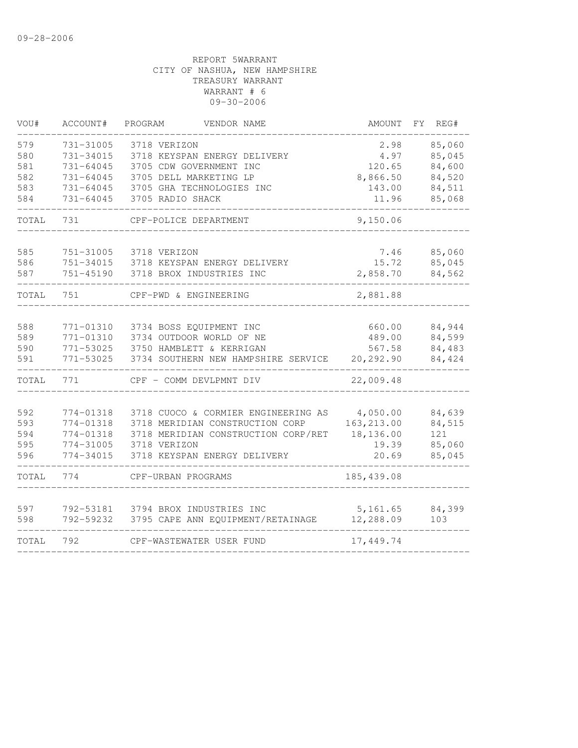| VOU#              | ACCOUNT#                                | PROGRAM<br>VENDOR NAME                                                  | AMOUNT                   | FY.<br>REG#                |
|-------------------|-----------------------------------------|-------------------------------------------------------------------------|--------------------------|----------------------------|
| 579<br>580<br>581 | 731-31005<br>731-34015<br>$731 - 64045$ | 3718 VERIZON<br>3718 KEYSPAN ENERGY DELIVERY<br>3705 CDW GOVERNMENT INC | 2.98<br>4.97<br>120.65   | 85,060<br>85,045<br>84,600 |
| 582               | 731-64045                               | 3705 DELL MARKETING LP                                                  | 8,866.50                 | 84,520                     |
| 583               | 731-64045                               | 3705 GHA TECHNOLOGIES INC                                               | 143.00                   | 84,511                     |
| 584               | 731-64045                               | 3705 RADIO SHACK                                                        | 11.96                    | 85,068                     |
| TOTAL             | 731                                     | CPF-POLICE DEPARTMENT                                                   | 9,150.06                 |                            |
|                   |                                         |                                                                         |                          |                            |
| 585<br>586        | 751-31005<br>751-34015                  | 3718 VERIZON<br>3718 KEYSPAN ENERGY DELIVERY                            | 7.46<br>15.72            | 85,060<br>85,045           |
| 587               | 751-45190                               | 3718 BROX INDUSTRIES INC                                                | 2,858.70                 | 84,562                     |
|                   |                                         |                                                                         |                          |                            |
| TOTAL             | 751                                     | CPF-PWD & ENGINEERING                                                   | 2,881.88                 |                            |
|                   |                                         |                                                                         |                          |                            |
| 588               | 771-01310                               | 3734 BOSS EQUIPMENT INC                                                 | 660.00                   | 84,944                     |
| 589               | 771-01310                               | 3734 OUTDOOR WORLD OF NE                                                | 489.00                   | 84,599                     |
| 590               | 771-53025                               | 3750 HAMBLETT & KERRIGAN                                                | 567.58                   | 84,483                     |
| 591               | 771-53025                               | 3734 SOUTHERN NEW HAMPSHIRE SERVICE                                     | 20,292.90                | 84,424                     |
| TOTAL             | 771                                     | CPF - COMM DEVLPMNT DIV                                                 | 22,009.48                |                            |
|                   |                                         |                                                                         |                          |                            |
| 592               | 774-01318                               | 3718 CUOCO & CORMIER ENGINEERING AS                                     | 4,050.00                 | 84,639                     |
| 593<br>594        | 774-01318<br>774-01318                  | 3718 MERIDIAN CONSTRUCTION CORP<br>3718 MERIDIAN CONSTRUCTION CORP/RET  | 163, 213.00<br>18,136.00 | 84,515<br>121              |
| 595               | 774-31005                               | 3718 VERIZON                                                            | 19.39                    | 85,060                     |
| 596               | 774-34015                               | 3718 KEYSPAN ENERGY DELIVERY                                            | 20.69                    | 85,045                     |
| TOTAL             | 774                                     | CPF-URBAN PROGRAMS                                                      | 185, 439.08              |                            |
|                   |                                         |                                                                         |                          |                            |
| 597               | 792-53181                               | 3794 BROX INDUSTRIES INC                                                | 5,161.65                 | 84,399                     |
| 598               | 792-59232                               | 3795 CAPE ANN EQUIPMENT/RETAINAGE                                       | 12,288.09                | 103                        |
| TOTAL             | 792                                     | CPF-WASTEWATER USER FUND                                                | 17,449.74                |                            |
|                   |                                         |                                                                         |                          |                            |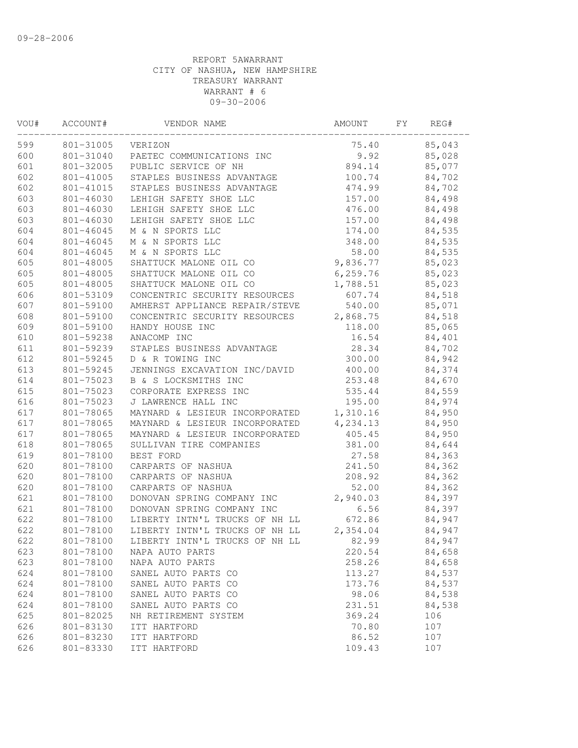| VOU# | ACCOUNT#  | VENDOR NAME                    | AMOUNT    | FΥ | REG#   |  |
|------|-----------|--------------------------------|-----------|----|--------|--|
| 599  | 801-31005 | VERIZON                        | 75.40     |    | 85,043 |  |
| 600  | 801-31040 | PAETEC COMMUNICATIONS INC      | 9.92      |    | 85,028 |  |
| 601  | 801-32005 | PUBLIC SERVICE OF NH           | 894.14    |    | 85,077 |  |
| 602  | 801-41005 | STAPLES BUSINESS ADVANTAGE     | 100.74    |    | 84,702 |  |
| 602  | 801-41015 | STAPLES BUSINESS ADVANTAGE     | 474.99    |    | 84,702 |  |
| 603  | 801-46030 | LEHIGH SAFETY SHOE LLC         | 157.00    |    | 84,498 |  |
| 603  | 801-46030 | LEHIGH SAFETY SHOE LLC         | 476.00    |    | 84,498 |  |
| 603  | 801-46030 | LEHIGH SAFETY SHOE LLC         | 157.00    |    | 84,498 |  |
| 604  | 801-46045 | M & N SPORTS LLC               | 174.00    |    | 84,535 |  |
| 604  | 801-46045 | M & N SPORTS LLC               | 348.00    |    | 84,535 |  |
| 604  | 801-46045 | M & N SPORTS LLC               | 58.00     |    | 84,535 |  |
| 605  | 801-48005 | SHATTUCK MALONE OIL CO         | 9,836.77  |    | 85,023 |  |
| 605  | 801-48005 | SHATTUCK MALONE OIL CO         | 6, 259.76 |    | 85,023 |  |
| 605  | 801-48005 | SHATTUCK MALONE OIL CO         | 1,788.51  |    | 85,023 |  |
| 606  | 801-53109 | CONCENTRIC SECURITY RESOURCES  | 607.74    |    | 84,518 |  |
| 607  | 801-59100 | AMHERST APPLIANCE REPAIR/STEVE | 540.00    |    | 85,071 |  |
| 608  | 801-59100 | CONCENTRIC SECURITY RESOURCES  | 2,868.75  |    | 84,518 |  |
| 609  | 801-59100 | HANDY HOUSE INC                | 118.00    |    | 85,065 |  |
| 610  | 801-59238 | ANACOMP INC                    | 16.54     |    | 84,401 |  |
| 611  | 801-59239 | STAPLES BUSINESS ADVANTAGE     | 28.34     |    | 84,702 |  |
| 612  | 801-59245 | D & R TOWING INC               | 300.00    |    | 84,942 |  |
| 613  | 801-59245 | JENNINGS EXCAVATION INC/DAVID  | 400.00    |    | 84,374 |  |
| 614  | 801-75023 | B & S LOCKSMITHS INC           | 253.48    |    | 84,670 |  |
| 615  | 801-75023 | CORPORATE EXPRESS INC          | 535.44    |    | 84,559 |  |
| 616  | 801-75023 | J LAWRENCE HALL INC            | 195.00    |    | 84,974 |  |
| 617  | 801-78065 | MAYNARD & LESIEUR INCORPORATED | 1,310.16  |    | 84,950 |  |
| 617  | 801-78065 | MAYNARD & LESIEUR INCORPORATED | 4,234.13  |    | 84,950 |  |
| 617  | 801-78065 | MAYNARD & LESIEUR INCORPORATED | 405.45    |    | 84,950 |  |
| 618  | 801-78065 | SULLIVAN TIRE COMPANIES        | 381.00    |    | 84,644 |  |
| 619  | 801-78100 | BEST FORD                      | 27.58     |    | 84,363 |  |
| 620  | 801-78100 | CARPARTS OF NASHUA             | 241.50    |    | 84,362 |  |
| 620  | 801-78100 | CARPARTS OF NASHUA             | 208.92    |    | 84,362 |  |
| 620  | 801-78100 | CARPARTS OF NASHUA             | 52.00     |    | 84,362 |  |
| 621  | 801-78100 | DONOVAN SPRING COMPANY INC     | 2,940.03  |    | 84,397 |  |
| 621  | 801-78100 | DONOVAN SPRING COMPANY INC     | 6.56      |    | 84,397 |  |
| 622  | 801-78100 | LIBERTY INTN'L TRUCKS OF NH LL | 672.86    |    | 84,947 |  |
| 622  | 801-78100 | LIBERTY INTN'L TRUCKS OF NH LL | 2,354.04  |    | 84,947 |  |
| 622  | 801-78100 | LIBERTY INTN'L TRUCKS OF NH LL | 82.99     |    | 84,947 |  |
| 623  | 801-78100 | NAPA AUTO PARTS                | 220.54    |    | 84,658 |  |
| 623  | 801-78100 | NAPA AUTO PARTS                | 258.26    |    | 84,658 |  |
| 624  | 801-78100 | SANEL AUTO PARTS CO            | 113.27    |    | 84,537 |  |
| 624  | 801-78100 | SANEL AUTO PARTS CO            | 173.76    |    | 84,537 |  |
| 624  | 801-78100 | SANEL AUTO PARTS CO            | 98.06     |    | 84,538 |  |
| 624  | 801-78100 | SANEL AUTO PARTS CO            | 231.51    |    | 84,538 |  |
| 625  | 801-82025 | NH RETIREMENT SYSTEM           | 369.24    |    | 106    |  |
| 626  | 801-83130 | ITT HARTFORD                   | 70.80     |    | 107    |  |
| 626  | 801-83230 | ITT HARTFORD                   | 86.52     |    | 107    |  |
| 626  | 801-83330 | ITT HARTFORD                   | 109.43    |    | 107    |  |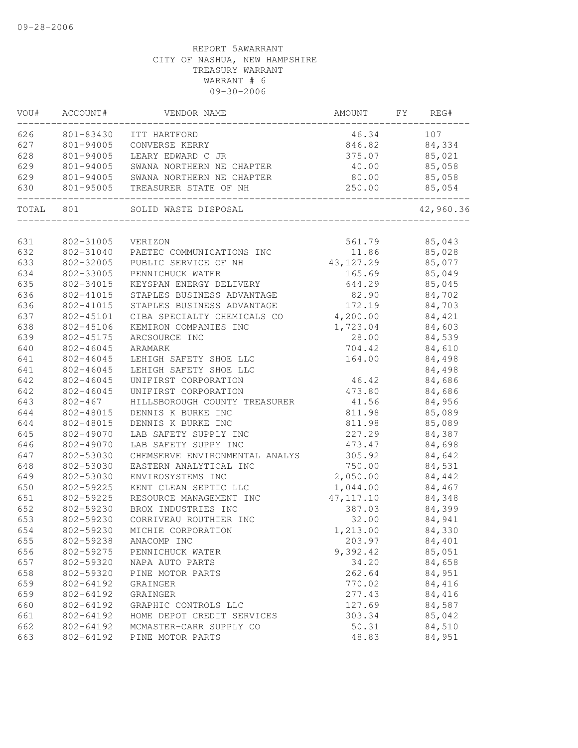| VOU#      | ACCOUNT#  | VENDOR NAME                                   | AMOUNT             | FY | REG#          |
|-----------|-----------|-----------------------------------------------|--------------------|----|---------------|
| 626       | 801-83430 | ITT HARTFORD                                  | 46.34              |    | 107           |
| 627       | 801-94005 | CONVERSE KERRY                                |                    |    | 846.82 84,334 |
| 628       | 801-94005 | LEARY EDWARD C JR                             |                    |    | 375.07 85,021 |
| 629       | 801-94005 | SWANA NORTHERN NE CHAPTER                     | 40.00              |    | 85,058        |
| 629       |           | 801-94005 SWANA NORTHERN NE CHAPTER           | 80.00              |    | 85,058        |
| 630       | 801-95005 | TREASURER STATE OF NH<br>____________________ | 250.00<br>-------- |    | 85,054        |
| TOTAL 801 |           | SOLID WASTE DISPOSAL                          |                    |    | 42,960.36     |
| 631       | 802-31005 | VERIZON                                       |                    |    | 561.79 85,043 |
| 632       |           |                                               |                    |    |               |
|           | 802-31040 | PAETEC COMMUNICATIONS INC                     | 43, 127.29         |    | 11.86 85,028  |
| 633       | 802-32005 | PUBLIC SERVICE OF NH                          |                    |    | 85,077        |
| 634       | 802-33005 | PENNICHUCK WATER                              | 165.69             |    | 85,049        |
| 635       | 802-34015 | KEYSPAN ENERGY DELIVERY                       | 644.29             |    | 85,045        |
| 636       | 802-41015 | STAPLES BUSINESS ADVANTAGE                    | 82.90              |    | 84,702        |
| 636       | 802-41015 | STAPLES BUSINESS ADVANTAGE                    | 172.19             |    | 84,703        |
| 637       | 802-45101 | CIBA SPECIALTY CHEMICALS CO                   | 4,200.00           |    | 84,421        |
| 638       | 802-45106 | KEMIRON COMPANIES INC                         | 1,723.04           |    | 84,603        |
| 639       | 802-45175 | ARCSOURCE INC                                 | 28.00              |    | 84,539        |
| 640       | 802-46045 | ARAMARK                                       | 704.42             |    | 84,610        |
| 641       | 802-46045 | LEHIGH SAFETY SHOE LLC                        | 164.00             |    | 84,498        |
| 641       | 802-46045 | LEHIGH SAFETY SHOE LLC                        |                    |    | 84,498        |
| 642       | 802-46045 | UNIFIRST CORPORATION                          | 46.42              |    | 84,686        |
| 642       | 802-46045 | UNIFIRST CORPORATION                          | 473.80             |    | 84,686        |
| 643       | 802-467   | HILLSBOROUGH COUNTY TREASURER                 | 41.56              |    | 84,956        |
| 644       | 802-48015 | DENNIS K BURKE INC                            | 811.98             |    | 85,089        |
| 644       | 802-48015 | DENNIS K BURKE INC                            | 811.98             |    | 85,089        |
| 645       | 802-49070 | LAB SAFETY SUPPLY INC                         | 227.29             |    | 84,387        |
| 646       | 802-49070 | LAB SAFETY SUPPY INC                          | 473.47             |    | 84,698        |
| 647       | 802-53030 | CHEMSERVE ENVIRONMENTAL ANALYS                | 305.92             |    | 84,642        |
| 648       | 802-53030 | EASTERN ANALYTICAL INC                        | 750.00             |    | 84,531        |
| 649       | 802-53030 | ENVIROSYSTEMS INC                             | 2,050.00           |    | 84,442        |
| 650       | 802-59225 | KENT CLEAN SEPTIC LLC                         | 1,044.00           |    | 84,467        |
| 651       | 802-59225 | RESOURCE MANAGEMENT INC                       | 47, 117.10         |    | 84,348        |
| 652       | 802-59230 | BROX INDUSTRIES INC                           | 387.03             |    | 84,399        |
| 653       | 802-59230 | CORRIVEAU ROUTHIER INC                        | 32.00              |    | 84,941        |
| 654       | 802-59230 | MICHIE CORPORATION                            | 1,213.00           |    | 84,330        |
| 655       | 802-59238 | ANACOMP INC                                   | 203.97             |    | 84,401        |
| 656       | 802-59275 | PENNICHUCK WATER                              | 9,392.42           |    | 85,051        |
| 657       | 802-59320 | NAPA AUTO PARTS                               | 34.20              |    | 84,658        |
| 658       | 802-59320 | PINE MOTOR PARTS                              | 262.64             |    | 84,951        |
| 659       | 802-64192 | GRAINGER                                      | 770.02             |    | 84,416        |
| 659       | 802-64192 | GRAINGER                                      | 277.43             |    | 84,416        |
| 660       | 802-64192 | GRAPHIC CONTROLS LLC                          | 127.69             |    | 84,587        |
| 661       | 802-64192 | HOME DEPOT CREDIT SERVICES                    | 303.34             |    | 85,042        |
| 662       | 802-64192 | MCMASTER-CARR SUPPLY CO                       | 50.31              |    | 84,510        |
| 663       | 802-64192 | PINE MOTOR PARTS                              | 48.83              |    | 84,951        |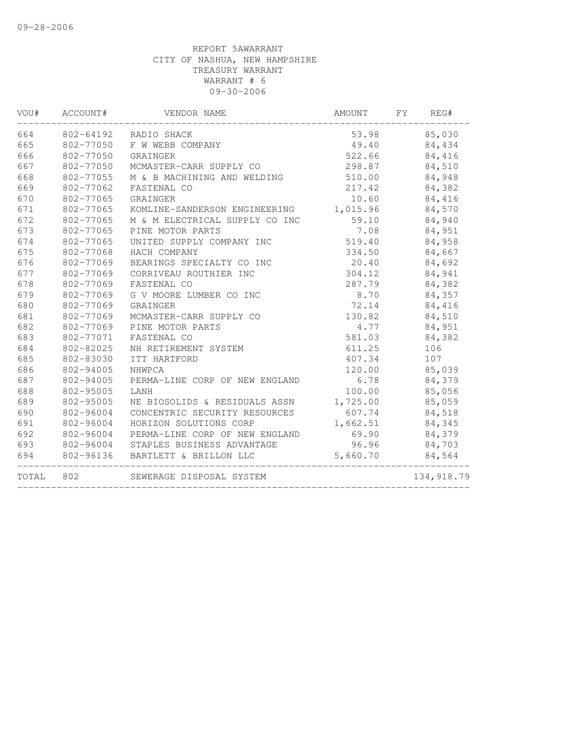| VOU#  | ACCOUNT#  | VENDOR NAME                          | AMOUNT   | FY | REG#        |
|-------|-----------|--------------------------------------|----------|----|-------------|
| 664   | 802-64192 | RADIO SHACK                          | 53.98    |    | 85,030      |
| 665   | 802-77050 | F W WEBB COMPANY                     | 49.40    |    | 84,434      |
| 666   | 802-77050 | GRAINGER                             | 522.66   |    | 84,416      |
| 667   | 802-77050 | MCMASTER-CARR SUPPLY CO              | 298.87   |    | 84,510      |
| 668   | 802-77055 | M & B MACHINING AND WELDING          | 510.00   |    | 84,948      |
| 669   | 802-77062 | FASTENAL CO                          | 217.42   |    | 84,382      |
| 670   | 802-77065 | GRAINGER                             | 10.60    |    | 84,416      |
| 671   | 802-77065 | KOMLINE-SANDERSON ENGINEERING        | 1,015.96 |    | 84,570      |
| 672   | 802-77065 | M & M ELECTRICAL SUPPLY CO INC       | 59.10    |    | 84,940      |
| 673   | 802-77065 | PINE MOTOR PARTS                     | 7.08     |    | 84,951      |
| 674   | 802-77065 | UNITED SUPPLY COMPANY INC            | 519.40   |    | 84,958      |
| 675   | 802-77068 | HACH COMPANY                         | 334.50   |    | 84,667      |
| 676   | 802-77069 | BEARINGS SPECIALTY CO INC            | 20.40    |    | 84,692      |
| 677   | 802-77069 | CORRIVEAU ROUTHIER INC               | 304.12   |    | 84,941      |
| 678   | 802-77069 | FASTENAL CO                          | 287.79   |    | 84,382      |
| 679   | 802-77069 | G V MOORE LUMBER CO INC              | 8.70     |    | 84,357      |
| 680   | 802-77069 | GRAINGER                             | 72.14    |    | 84,416      |
| 681   | 802-77069 | MCMASTER-CARR SUPPLY CO              | 130.82   |    | 84,510      |
| 682   | 802-77069 | PINE MOTOR PARTS                     | 4.77     |    | 84,951      |
| 683   | 802-77071 | FASTENAL CO                          | 581.03   |    | 84,382      |
| 684   | 802-82025 | NH RETIREMENT SYSTEM                 | 611.25   |    | 106         |
| 685   | 802-83030 | ITT HARTFORD                         | 407.34   |    | 107         |
| 686   | 802-94005 | NHWPCA                               | 120.00   |    | 85,039      |
| 687   | 802-94005 | PERMA-LINE CORP OF NEW ENGLAND       | 6.78     |    | 84,379      |
| 688   | 802-95005 | LANH                                 | 100.00   |    | 85,056      |
| 689   | 802-95005 | NE BIOSOLIDS & RESIDUALS ASSN        | 1,725.00 |    | 85,059      |
| 690   | 802-96004 | CONCENTRIC SECURITY RESOURCES        | 607.74   |    | 84,518      |
| 691   | 802-96004 | HORIZON SOLUTIONS CORP               | 1,662.51 |    | 84,345      |
| 692   | 802-96004 | PERMA-LINE CORP OF NEW ENGLAND       | 69.90    |    | 84,379      |
| 693   |           | 802-96004 STAPLES BUSINESS ADVANTAGE | 96.96    |    | 84,703      |
| 694   |           | 802-96136 BARTLETT & BRILLON LLC     | 5,660.70 |    | 84,564      |
| TOTAL | 802       | SEWERAGE DISPOSAL SYSTEM             |          |    | 134, 918.79 |
|       |           |                                      |          |    |             |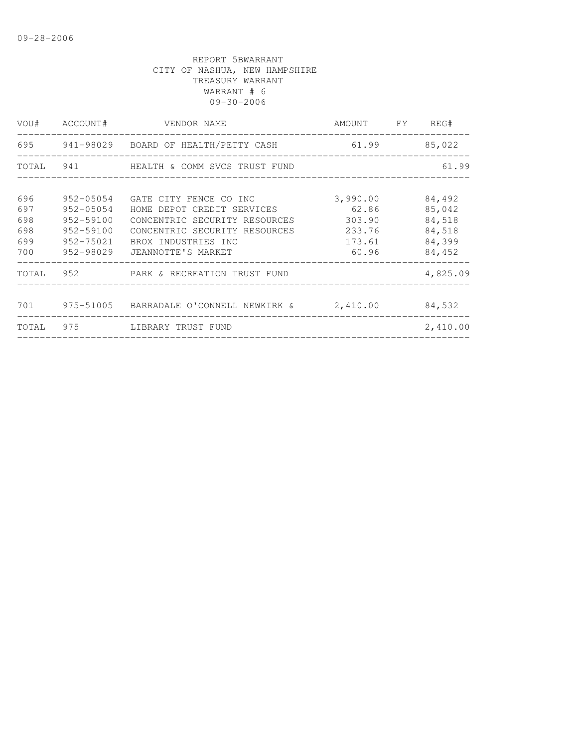|                                 | VOU# ACCOUNT#                                                 | VENDOR NAME                                                                                                            | AMOUNT FY                             | REG#                                 |
|---------------------------------|---------------------------------------------------------------|------------------------------------------------------------------------------------------------------------------------|---------------------------------------|--------------------------------------|
|                                 |                                                               | 695 941-98029 BOARD OF HEALTH/PETTY CASH 61.99 85,022                                                                  |                                       |                                      |
|                                 |                                                               | TOTAL 941 HEALTH & COMM SVCS TRUST FUND                                                                                |                                       | 61.99                                |
| 696<br>697<br>698<br>698<br>699 | 952-05054<br>952-05054<br>952-59100<br>952-59100<br>952-75021 | GATE CITY FENCE CO INC<br>HOME DEPOT CREDIT SERVICES<br>CONCENTRIC SECURITY RESOURCES<br>CONCENTRIC SECURITY RESOURCES | 3,990.00<br>62.86<br>303.90<br>233.76 | 84,492<br>85,042<br>84,518<br>84,518 |
| 700                             | 952-98029                                                     | BROX INDUSTRIES INC<br>JEANNOTTE'S MARKET                                                                              | 173.61<br>60.96                       | 84,399<br>84,452                     |
|                                 |                                                               | TOTAL 952 PARK & RECREATION TRUST FUND                                                                                 |                                       | 4,825.09                             |
|                                 |                                                               |                                                                                                                        |                                       | 84,532                               |
|                                 |                                                               | TOTAL 975 LIBRARY TRUST FUND                                                                                           |                                       | 2,410.00                             |
|                                 |                                                               |                                                                                                                        |                                       |                                      |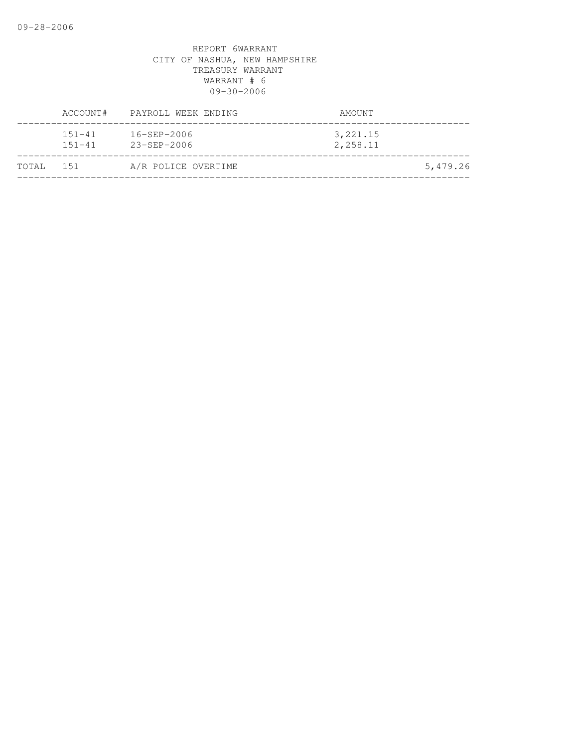|           | ACCOUNT#                 | PAYROLL WEEK ENDING                    | AMOUNT                |          |
|-----------|--------------------------|----------------------------------------|-----------------------|----------|
|           | $151 - 41$<br>$151 - 41$ | $16 - SEP - 2006$<br>$23 - SEP - 2006$ | 3, 221.15<br>2,258.11 |          |
| TOTAL 151 |                          | A/R POLICE OVERTIME                    |                       | 5,479.26 |
|           |                          |                                        |                       |          |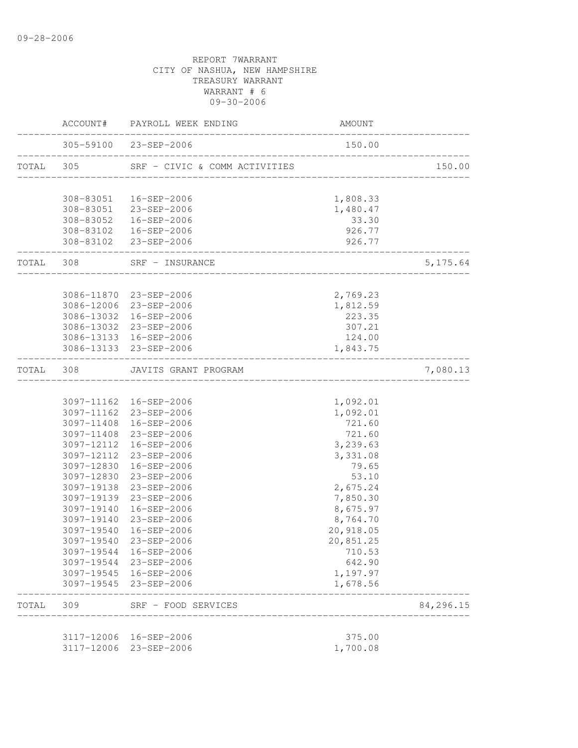|           |            | ACCOUNT# PAYROLL WEEK ENDING                                 | AMOUNT               |               |
|-----------|------------|--------------------------------------------------------------|----------------------|---------------|
|           |            | 305-59100 23-SEP-2006                                        | 150.00               |               |
| TOTAL 305 |            | SRF - CIVIC & COMM ACTIVITIES                                |                      | 150.00        |
|           |            |                                                              |                      |               |
|           |            | 308-83051  16-SEP-2006                                       | 1,808.33             |               |
|           |            | 308-83051 23-SEP-2006                                        | 1,480.47             |               |
|           |            | 308-83052  16-SEP-2006                                       | 33.30                |               |
|           |            | 308-83102  16-SEP-2006                                       | 926.77               |               |
|           |            | 308-83102 23-SEP-2006<br>----------------------------------- | 926.77               |               |
|           |            | TOTAL 308 SRF - INSURANCE                                    |                      | 5, 175.64     |
|           |            |                                                              |                      |               |
|           |            | 3086-11870 23-SEP-2006                                       | 2,769.23             |               |
|           |            | 3086-12006 23-SEP-2006                                       | 1,812.59             |               |
|           |            | 3086-13032 16-SEP-2006                                       | 223.35               |               |
|           |            | 3086-13032 23-SEP-2006                                       | 307.21               |               |
|           |            | 3086-13133 16-SEP-2006                                       | 124.00               |               |
|           |            | 3086-13133 23-SEP-2006                                       | 1,843.75             | ------------- |
| TOTAL 308 |            | JAVITS GRANT PROGRAM                                         |                      | 7,080.13      |
|           |            |                                                              |                      |               |
|           |            | 3097-11162  16-SEP-2006                                      | 1,092.01             |               |
|           |            | 3097-11162 23-SEP-2006                                       | 1,092.01             |               |
|           |            | 3097-11408 16-SEP-2006                                       | 721.60               |               |
|           |            | 3097-11408 23-SEP-2006                                       | 721.60               |               |
|           | 3097-12112 | 16-SEP-2006                                                  | 3,239.63             |               |
|           | 3097-12112 | 23-SEP-2006                                                  | 3,331.08             |               |
|           | 3097-12830 | 16-SEP-2006                                                  | 79.65                |               |
|           |            | 3097-12830 23-SEP-2006                                       | 53.10                |               |
|           | 3097-19138 | 23-SEP-2006                                                  | 2,675.24             |               |
|           |            | 3097-19139 23-SEP-2006                                       | 7,850.30             |               |
|           | 3097-19140 | 16-SEP-2006                                                  | 8,675.97             |               |
|           | 3097-19140 | 23-SEP-2006                                                  | 8,764.70             |               |
|           | 3097-19540 | 16-SEP-2006                                                  | 20,918.05            |               |
|           |            | 3097-19540 23-SEP-2006                                       | 20,851.25            |               |
|           |            | 3097-19544 16-SEP-2006                                       | 710.53<br>642.90     |               |
|           |            | 3097-19544 23-SEP-2006<br>3097-19545 16-SEP-2006             |                      |               |
|           |            | 3097-19545 23-SEP-2006                                       | 1,197.97<br>1,678.56 |               |
| TOTAL     | 309        | SRF - FOOD SERVICES                                          |                      | 84,296.15     |
|           |            |                                                              |                      |               |
|           |            | 3117-12006 16-SEP-2006                                       | 375.00               |               |
|           | 3117-12006 | 23-SEP-2006                                                  | 1,700.08             |               |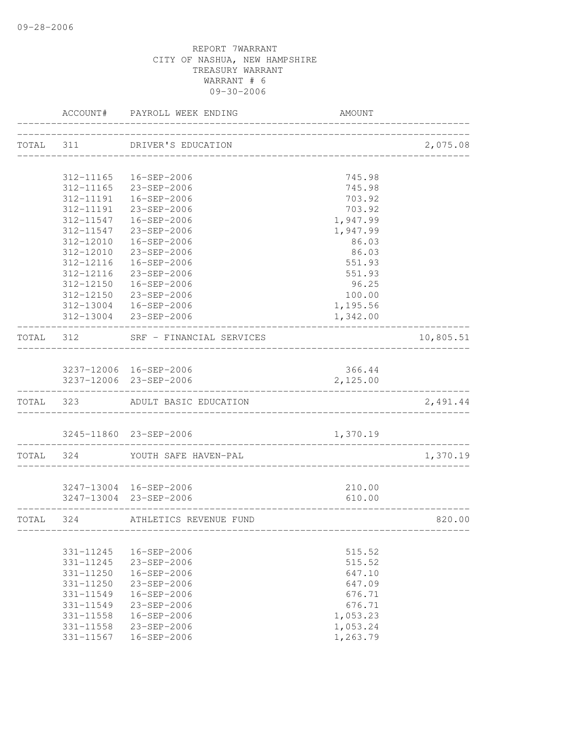|                        | ACCOUNT# PAYROLL WEEK ENDING                     | AMOUNT                                |                |
|------------------------|--------------------------------------------------|---------------------------------------|----------------|
|                        | TOTAL 311 DRIVER'S EDUCATION                     |                                       | 2,075.08       |
|                        |                                                  |                                       |                |
|                        | 312-11165  16-SEP-2006                           | 745.98                                |                |
|                        | 312-11165 23-SEP-2006                            | 745.98                                |                |
|                        | 312-11191  16-SEP-2006                           | 703.92                                |                |
|                        | 312-11191 23-SEP-2006                            | 703.92                                |                |
|                        | 312-11547  16-SEP-2006                           | 1,947.99                              |                |
|                        | 312-11547 23-SEP-2006                            | 1,947.99                              |                |
|                        | 312-12010  16-SEP-2006                           | 86.03                                 |                |
|                        | 312-12010 23-SEP-2006                            | 86.03                                 |                |
|                        | 312-12116  16-SEP-2006                           | 551.93<br>551.93                      |                |
|                        | 312-12116 23-SEP-2006                            | 96.25                                 |                |
|                        | 312-12150  16-SEP-2006                           | 100.00                                |                |
|                        | 312-12150 23-SEP-2006                            | 1,195.56                              |                |
|                        | 312-13004 16-SEP-2006<br>312-13004 23-SEP-2006   | 1,342.00                              |                |
|                        | TOTAL 312 SRF - FINANCIAL SERVICES               |                                       | 10,805.51      |
|                        |                                                  |                                       |                |
|                        | 3237-12006 16-SEP-2006<br>3237-12006 23-SEP-2006 | 366.44<br>2,125.00                    |                |
|                        | TOTAL 323 ADULT BASIC EDUCATION                  |                                       | 2,491.44       |
|                        |                                                  |                                       |                |
| -------------------    | 3245-11860 23-SEP-2006                           | 1,370.19<br>_________________________ | ______________ |
|                        | TOTAL 324 YOUTH SAFE HAVEN-PAL                   |                                       | 1,370.19       |
|                        |                                                  |                                       |                |
|                        | 3247-13004 16-SEP-2006                           | 210.00                                |                |
|                        | 3247-13004 23-SEP-2006                           | 610.00                                |                |
|                        | TOTAL 324 ATHLETICS REVENUE FUND                 |                                       | 820.00         |
|                        |                                                  |                                       |                |
| 331-11245              | $16 - SEP - 2006$<br>23-SEP-2006                 | 515.52                                |                |
| 331-11245<br>331-11250 | 16-SEP-2006                                      | 515.52<br>647.10                      |                |
| 331-11250              | 23-SEP-2006                                      | 647.09                                |                |
| $331 - 11549$          | $16 - SEP - 2006$                                | 676.71                                |                |
| 331-11549              | $23 - SEP - 2006$                                | 676.71                                |                |
| 331-11558              | $16 - SEP - 2006$                                | 1,053.23                              |                |
| 331-11558              | 23-SEP-2006                                      | 1,053.24                              |                |
| 331-11567              | 16-SEP-2006                                      | 1,263.79                              |                |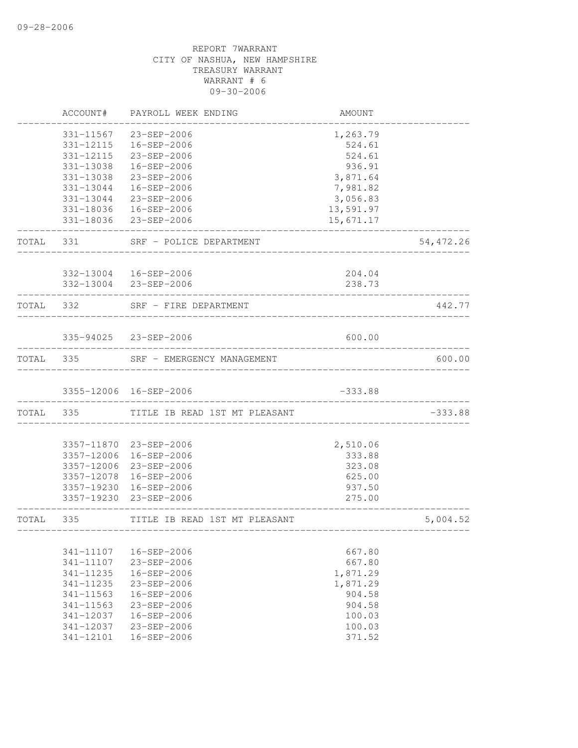|       | ACCOUNT#      | PAYROLL WEEK ENDING                  | AMOUNT                     |           |
|-------|---------------|--------------------------------------|----------------------------|-----------|
|       | 331-11567     | 23-SEP-2006                          | 1,263.79                   |           |
|       |               | 331-12115  16-SEP-2006               | 524.61                     |           |
|       | 331-12115     | 23-SEP-2006                          | 524.61                     |           |
|       | 331-13038     | 16-SEP-2006                          | 936.91                     |           |
|       | 331-13038     | 23-SEP-2006                          | 3,871.64                   |           |
|       | 331-13044     | 16-SEP-2006                          | 7,981.82                   |           |
|       | 331-13044     | 23-SEP-2006                          | 3,056.83                   |           |
|       |               | 331-18036  16-SEP-2006               | 13,591.97                  |           |
|       |               | 331-18036 23-SEP-2006                | 15,671.17                  |           |
| TOTAL |               | 331 SRF - POLICE DEPARTMENT          |                            | 54,472.26 |
|       |               | 332-13004  16-SEP-2006               | 204.04                     |           |
|       |               | 332-13004 23-SEP-2006                | 238.73                     |           |
|       | TOTAL 332     | SRF - FIRE DEPARTMENT                |                            | 442.77    |
|       |               |                                      |                            |           |
|       |               | 335-94025 23-SEP-2006                | 600.00                     |           |
|       |               | TOTAL 335 SRF - EMERGENCY MANAGEMENT |                            | 600.00    |
|       |               | 3355-12006 16-SEP-2006               | $-333.88$                  |           |
|       | TOTAL 335     | TITLE IB READ 1ST MT PLEASANT        |                            | $-333.88$ |
|       |               |                                      |                            |           |
|       |               | 3357-11870 23-SEP-2006               | 2,510.06                   |           |
|       |               | 3357-12006 16-SEP-2006               | 333.88                     |           |
|       |               | 3357-12006 23-SEP-2006               | 323.08                     |           |
|       |               | 3357-12078 16-SEP-2006               | 625.00                     |           |
|       |               | 3357-19230 16-SEP-2006               | 937.50                     |           |
|       |               | 3357-19230 23-SEP-2006               | 275.00                     |           |
| TOTAL | 335           | TITLE IB READ 1ST MT PLEASANT        | -------------------------- | 5,004.52  |
|       |               |                                      |                            |           |
|       | 341-11107     | 16-SEP-2006                          | 667.80                     |           |
|       | 341-11107     | 23-SEP-2006                          | 667.80                     |           |
|       | $341 - 11235$ | 16-SEP-2006                          | 1,871.29                   |           |
|       | 341-11235     | 23-SEP-2006                          | 1,871.29                   |           |
|       | $341 - 11563$ | 16-SEP-2006                          | 904.58                     |           |
|       | $341 - 11563$ | 23-SEP-2006                          | 904.58                     |           |
|       | 341-12037     | 16-SEP-2006                          | 100.03                     |           |
|       | 341-12037     | $23 - SEP - 2006$                    | 100.03                     |           |
|       | 341-12101     | 16-SEP-2006                          | 371.52                     |           |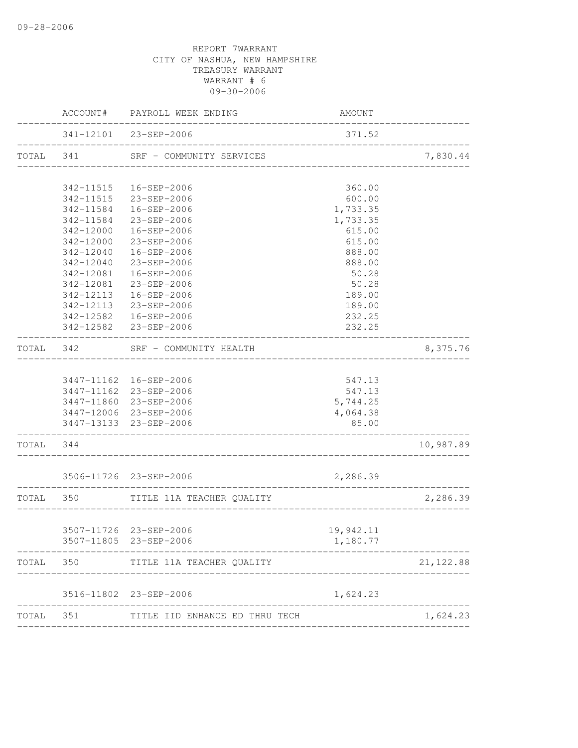|           |                       | ACCOUNT# PAYROLL WEEK ENDING                               | AMOUNT                             |            |
|-----------|-----------------------|------------------------------------------------------------|------------------------------------|------------|
|           |                       | 341-12101 23-SEP-2006<br>_________________________________ | 371.52                             |            |
| TOTAL 341 |                       | SRF - COMMUNITY SERVICES                                   | _________________________________  | 7,830.44   |
|           | 342-11515             | 16-SEP-2006                                                | 360.00                             |            |
|           |                       | 342-11515 23-SEP-2006                                      | 600.00                             |            |
|           | 342-11584             | 16-SEP-2006                                                | 1,733.35                           |            |
|           |                       | 342-11584 23-SEP-2006                                      | 1,733.35                           |            |
|           |                       | 342-12000  16-SEP-2006                                     | 615.00                             |            |
|           |                       | 342-12000 23-SEP-2006                                      | 615.00                             |            |
|           | 342-12040             | 16-SEP-2006                                                | 888.00                             |            |
|           | 342-12040             | 23-SEP-2006                                                | 888.00                             |            |
|           | 342-12081             | 16-SEP-2006                                                | 50.28                              |            |
|           | 342-12081             | 23-SEP-2006                                                | 50.28                              |            |
|           | 342-12113             | 16-SEP-2006                                                | 189.00                             |            |
|           | 342-12113             | 23-SEP-2006                                                | 189.00                             |            |
|           |                       | 342-12582  16-SEP-2006                                     | 232.25                             |            |
|           | _____________________ | 342-12582 23-SEP-2006<br>____________________              | 232.25                             |            |
| TOTAL 342 |                       | SRF - COMMUNITY HEALTH                                     |                                    | 8,375.76   |
|           |                       |                                                            |                                    |            |
|           |                       | 3447-11162 16-SEP-2006                                     | 547.13                             |            |
|           |                       | 3447-11162 23-SEP-2006                                     | 547.13                             |            |
|           |                       | 3447-11860 23-SEP-2006                                     | 5,744.25                           |            |
|           |                       | 3447-12006 23-SEP-2006                                     | 4,064.38                           |            |
|           |                       | 3447-13133 23-SEP-2006                                     | 85.00                              |            |
| TOTAL 344 |                       |                                                            |                                    | 10,987.89  |
|           |                       | 3506-11726 23-SEP-2006                                     | 2,286.39                           |            |
|           | TOTAL 350             | TITLE 11A TEACHER QUALITY<br>____________________          | __________________________________ | 2,286.39   |
|           |                       |                                                            |                                    |            |
|           |                       | 3507-11726 23-SEP-2006                                     | 19,942.11                          |            |
|           |                       | 3507-11805 23-SEP-2006                                     | 1,180.77                           |            |
| TOTAL     | 350                   | TITLE 11A TEACHER QUALITY                                  |                                    | 21, 122.88 |
|           | 3516-11802            | 23-SEP-2006                                                | 1,624.23                           |            |
| TOTAL     | 351                   | TITLE IID ENHANCE ED THRU TECH                             |                                    | 1,624.23   |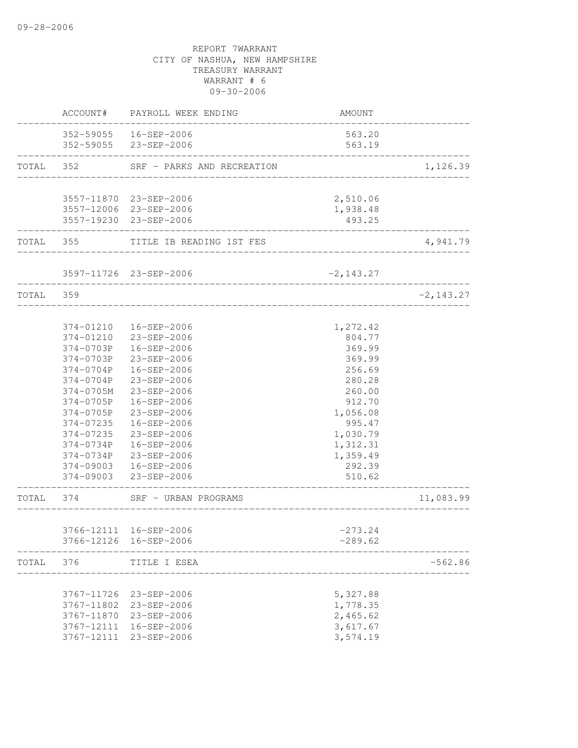|           |                   | ACCOUNT# PAYROLL WEEK ENDING       | <b>AMOUNT</b>              |              |
|-----------|-------------------|------------------------------------|----------------------------|--------------|
|           |                   | 352-59055   16-SEP-2006            | 563.20                     |              |
|           |                   | 352-59055 23-SEP-2006              | 563.19                     |              |
| TOTAL 352 |                   | SRF - PARKS AND RECREATION         | __________________________ | 1,126.39     |
|           |                   |                                    |                            |              |
|           |                   | 3557-11870 23-SEP-2006             | 2,510.06                   |              |
|           |                   | 3557-12006 23-SEP-2006             | 1,938.48                   |              |
|           | ----------------- | 3557-19230 23-SEP-2006             | 493.25                     |              |
|           |                   | TOTAL 355 TITLE IB READING 1ST FES |                            | 4,941.79     |
|           |                   | 3597-11726 23-SEP-2006             | $-2, 143.27$               |              |
| TOTAL 359 |                   | _______________________            |                            | $-2, 143.27$ |
|           |                   | _______________________            |                            |              |
|           |                   | 374-01210  16-SEP-2006             | 1,272.42                   |              |
|           |                   | 374-01210 23-SEP-2006              | 804.77                     |              |
|           |                   | 374-0703P  16-SEP-2006             | 369.99                     |              |
|           |                   | 374-0703P 23-SEP-2006              | 369.99                     |              |
|           | 374-0704P         | 16-SEP-2006                        | 256.69                     |              |
|           | 374-0704P         | $23 - SEP - 2006$                  | 280.28                     |              |
|           | 374-0705M         | 23-SEP-2006                        | 260.00                     |              |
|           | 374-0705P         | 16-SEP-2006                        | 912.70                     |              |
|           | 374-0705P         | 23-SEP-2006                        | 1,056.08                   |              |
|           | 374-07235         | 16-SEP-2006                        | 995.47                     |              |
|           | 374-07235         | 23-SEP-2006                        | 1,030.79                   |              |
|           |                   | 374-0734P  16-SEP-2006             | 1,312.31                   |              |
|           |                   | 374-0734P 23-SEP-2006              | 1,359.49                   |              |
|           |                   | 374-09003  16-SEP-2006             | 292.39                     |              |
|           |                   | 374-09003 23-SEP-2006              | 510.62                     |              |
| TOTAL 374 |                   | SRF - URBAN PROGRAMS               | ---------------            | 11,083.99    |
|           |                   |                                    |                            |              |
|           |                   | 3766-12111 16-SEP-2006             | $-273.24$                  |              |
|           |                   | 3766-12126 16-SEP-2006             | $-289.62$                  |              |
| TOTAL     | 376               | TITLE I ESEA                       |                            | $-562.86$    |
|           |                   |                                    |                            |              |
|           | 3767-11726        | 23-SEP-2006                        | 5,327.88                   |              |
|           | 3767-11802        | 23-SEP-2006                        | 1,778.35                   |              |
|           | 3767-11870        | 23-SEP-2006                        | 2,465.62                   |              |
|           | 3767-12111        | 16-SEP-2006                        | 3,617.67                   |              |
|           | 3767-12111        | 23-SEP-2006                        | 3,574.19                   |              |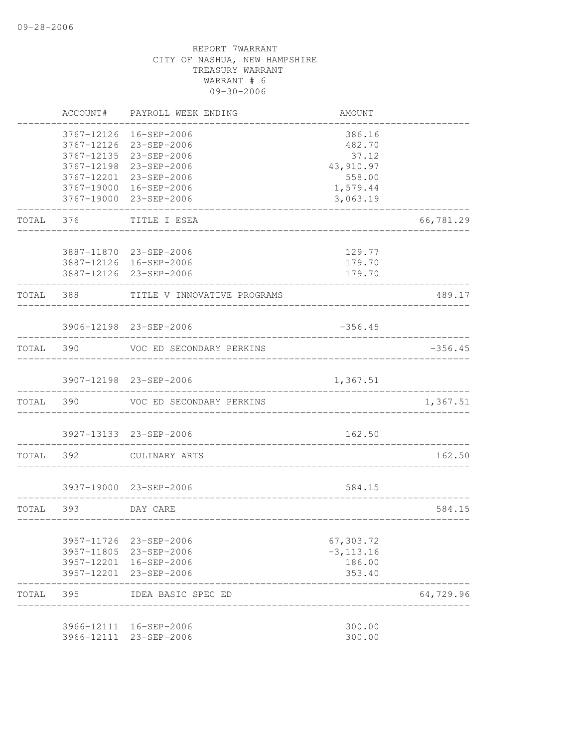|           | ACCOUNT#                               | PAYROLL WEEK ENDING                                                 | AMOUNT                                 |           |
|-----------|----------------------------------------|---------------------------------------------------------------------|----------------------------------------|-----------|
|           | 3767-12126<br>3767-12126<br>3767-12135 | 16-SEP-2006<br>23-SEP-2006<br>23-SEP-2006<br>3767-12198 23-SEP-2006 | 386.16<br>482.70<br>37.12<br>43,910.97 |           |
|           |                                        | 3767-12201 23-SEP-2006                                              | 558.00                                 |           |
|           |                                        | 3767-19000 16-SEP-2006                                              | 1,579.44                               |           |
|           |                                        | 3767-19000 23-SEP-2006                                              | 3,063.19                               |           |
| TOTAL     | 376                                    | TITLE I ESEA                                                        |                                        | 66,781.29 |
|           |                                        |                                                                     |                                        |           |
|           |                                        | 3887-11870 23-SEP-2006<br>3887-12126 16-SEP-2006                    | 129.77<br>179.70                       |           |
|           |                                        | 3887-12126 23-SEP-2006                                              | 179.70                                 |           |
| TOTAL 388 |                                        | TITLE V INNOVATIVE PROGRAMS                                         |                                        | 489.17    |
|           |                                        | 3906-12198 23-SEP-2006                                              | $-356.45$                              |           |
|           |                                        |                                                                     |                                        |           |
| TOTAL     | 390                                    | VOC ED SECONDARY PERKINS                                            |                                        | $-356.45$ |
|           |                                        | 3907-12198 23-SEP-2006                                              | 1,367.51                               |           |
|           |                                        |                                                                     |                                        |           |
| TOTAL     | 390                                    | VOC ED SECONDARY PERKINS                                            |                                        | 1,367.51  |
|           |                                        | 3927-13133 23-SEP-2006                                              | 162.50                                 |           |
|           |                                        |                                                                     |                                        |           |
| TOTAL     | 392                                    | CULINARY ARTS                                                       |                                        | 162.50    |
|           |                                        | 3937-19000 23-SEP-2006                                              | 584.15                                 |           |
|           |                                        |                                                                     |                                        |           |
| TOTAL 393 |                                        | DAY CARE                                                            | ___________________________            | 584.15    |
|           | 3957-11726                             | 23-SEP-2006                                                         | 67,303.72                              |           |
|           |                                        | 3957-11805 23-SEP-2006                                              | $-3, 113.16$                           |           |
|           |                                        | 3957-12201 16-SEP-2006                                              | 186.00                                 |           |
|           | 3957-12201                             | 23-SEP-2006                                                         | 353.40                                 |           |
| TOTAL     | 395                                    | IDEA BASIC SPEC ED                                                  |                                        | 64,729.96 |
|           |                                        | 3966-12111 16-SEP-2006                                              | 300.00                                 |           |
|           | 3966-12111                             | 23-SEP-2006                                                         | 300.00                                 |           |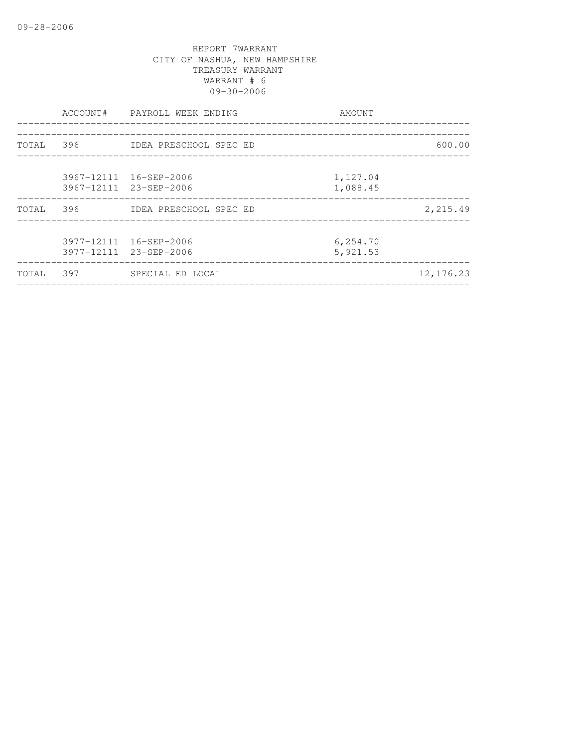| 600.00    |
|-----------|
|           |
| 2,215.49  |
|           |
| 12,176.23 |
|           |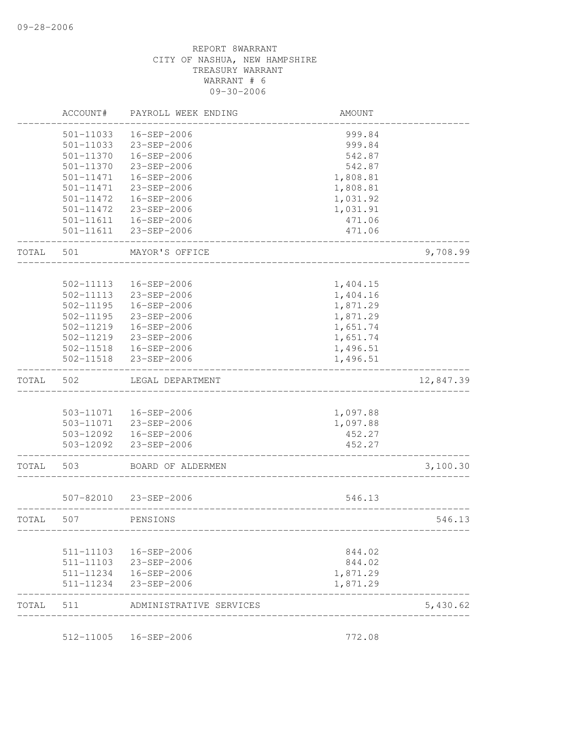| TOTAL | 511                    | ADMINISTRATIVE SERVICES    |                      | 5,430.62  |
|-------|------------------------|----------------------------|----------------------|-----------|
|       |                        |                            |                      |           |
|       | 511-11234              | 23-SEP-2006                | 1,871.29             |           |
|       | 511-11103<br>511-11234 | 23-SEP-2006<br>16-SEP-2006 | 844.02<br>1,871.29   |           |
|       | 511-11103              | 16-SEP-2006                | 844.02               |           |
|       |                        |                            |                      |           |
| TOTAL | 507                    | PENSIONS                   |                      | 546.13    |
|       | 507-82010              | 23-SEP-2006                | 546.13               |           |
| TOTAL | 503                    | BOARD OF ALDERMEN          |                      | 3,100.30  |
|       | 503-12092              | 23-SEP-2006                | 452.27               |           |
|       |                        | 503-12092  16-SEP-2006     | 452.27               |           |
|       | 503-11071              | 23-SEP-2006                | 1,097.88             |           |
|       | 503-11071              | 16-SEP-2006                | 1,097.88             |           |
| TOTAL | 502                    | LEGAL DEPARTMENT           |                      | 12,847.39 |
|       | 502-11518              | 23-SEP-2006                | 1,496.51             |           |
|       | 502-11518              | 16-SEP-2006                | 1,496.51             |           |
|       | 502-11219              | 23-SEP-2006                | 1,651.74             |           |
|       | 502-11219              | 16-SEP-2006                | 1,651.74             |           |
|       | 502-11195              | 23-SEP-2006                | 1,871.29             |           |
|       | $502 - 11195$          | 16-SEP-2006                | 1,871.29             |           |
|       | 502-11113<br>502-11113 | 16-SEP-2006<br>23-SEP-2006 | 1,404.15<br>1,404.16 |           |
| TOTAL | 501                    | MAYOR'S OFFICE             |                      | 9,708.99  |
|       | 501-11611              | 23-SEP-2006                | 471.06               |           |
|       | 501-11611              | 16-SEP-2006                | 471.06               |           |
|       | 501-11472              | 23-SEP-2006                | 1,031.91             |           |
|       | 501-11472              | 16-SEP-2006                | 1,031.92             |           |
|       | 501-11471              | 23-SEP-2006                | 1,808.81             |           |
|       | 501-11471              | 16-SEP-2006                | 1,808.81             |           |
|       | 501-11370              | 23-SEP-2006                | 542.87               |           |
|       | 501-11370              | 16-SEP-2006                | 542.87               |           |
|       | 501-11033              | 23-SEP-2006                | 999.84               |           |
|       | 501-11033              | 16-SEP-2006                | 999.84               |           |
|       | ACCOUNT#               | PAYROLL WEEK ENDING        | <b>AMOUNT</b>        |           |

512-11005 16-SEP-2006 772.08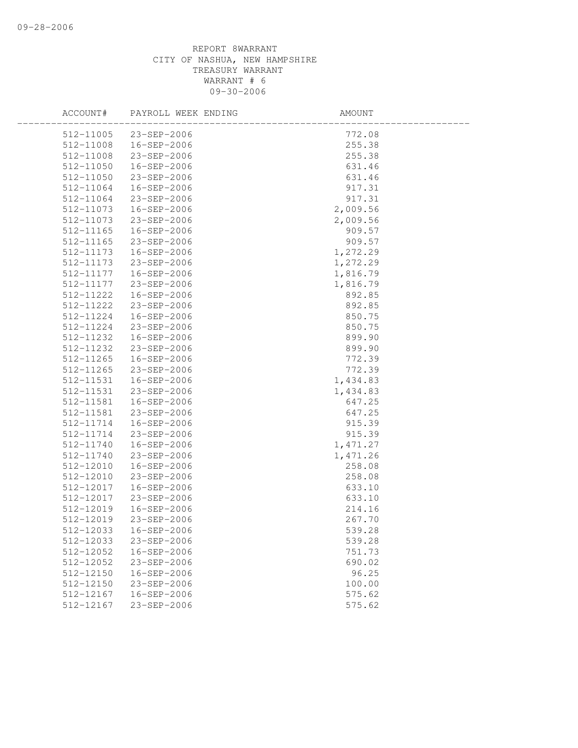|           | ACCOUNT# PAYROLL WEEK ENDING | AMOUNT                                                                                                                                                                                          |  |
|-----------|------------------------------|-------------------------------------------------------------------------------------------------------------------------------------------------------------------------------------------------|--|
|           | 512-11005 23-SEP-2006        | 772.08                                                                                                                                                                                          |  |
|           | 512-11008  16-SEP-2006       | 255.38                                                                                                                                                                                          |  |
| 512-11008 | 23-SEP-2006                  | 255.38                                                                                                                                                                                          |  |
| 512-11050 | 16-SEP-2006                  | 631.46                                                                                                                                                                                          |  |
| 512-11050 | 23-SEP-2006                  | 631.46                                                                                                                                                                                          |  |
| 512-11064 | 16-SEP-2006                  | 917.31                                                                                                                                                                                          |  |
| 512-11064 | 23-SEP-2006                  | 917.31                                                                                                                                                                                          |  |
| 512-11073 | 16-SEP-2006                  | 2,009.56                                                                                                                                                                                        |  |
| 512-11073 | 23-SEP-2006                  | 2,009.56                                                                                                                                                                                        |  |
| 512-11165 | 16-SEP-2006                  | 909.57                                                                                                                                                                                          |  |
| 512-11165 | 23-SEP-2006                  |                                                                                                                                                                                                 |  |
| 512-11173 | 16-SEP-2006                  |                                                                                                                                                                                                 |  |
| 512-11173 | 23-SEP-2006                  |                                                                                                                                                                                                 |  |
| 512-11177 | 16-SEP-2006                  |                                                                                                                                                                                                 |  |
| 512-11177 | 23-SEP-2006                  |                                                                                                                                                                                                 |  |
| 512-11222 | 16-SEP-2006                  |                                                                                                                                                                                                 |  |
| 512-11222 | 23-SEP-2006                  |                                                                                                                                                                                                 |  |
| 512-11224 | 16-SEP-2006                  |                                                                                                                                                                                                 |  |
| 512-11224 | 23-SEP-2006                  |                                                                                                                                                                                                 |  |
| 512-11232 | 16-SEP-2006                  |                                                                                                                                                                                                 |  |
| 512-11232 | 23-SEP-2006                  |                                                                                                                                                                                                 |  |
| 512-11265 | 16-SEP-2006                  |                                                                                                                                                                                                 |  |
| 512-11265 | 23-SEP-2006                  | 909.57<br>909.57<br>1, 272.29<br>1, 272.29<br>1, 816.79<br>1, 816.79<br>892.85<br>892.85<br>850.75<br>850.75<br>850.75<br>899.90<br>899.90<br>772.39<br>772.39<br>1, 434.83<br>434.83<br>647.25 |  |
| 512-11531 | 16-SEP-2006                  |                                                                                                                                                                                                 |  |
| 512-11531 | 23-SEP-2006                  |                                                                                                                                                                                                 |  |
| 512-11581 | 16-SEP-2006                  | 647.25                                                                                                                                                                                          |  |
| 512-11581 | 23-SEP-2006                  | 647.25                                                                                                                                                                                          |  |
| 512-11714 | 16-SEP-2006                  | 915.39                                                                                                                                                                                          |  |
| 512-11714 | 23-SEP-2006                  | 915.39                                                                                                                                                                                          |  |
| 512-11740 | 16-SEP-2006                  | 1,471.27                                                                                                                                                                                        |  |
| 512-11740 | 23-SEP-2006                  | 1,471.26                                                                                                                                                                                        |  |
| 512-12010 | 16-SEP-2006                  | 258.08                                                                                                                                                                                          |  |
| 512-12010 | 23-SEP-2006                  | 258.08                                                                                                                                                                                          |  |
| 512-12017 | 16-SEP-2006                  | 633.10                                                                                                                                                                                          |  |
| 512-12017 | 23-SEP-2006                  | 633.10                                                                                                                                                                                          |  |
| 512-12019 | 16-SEP-2006                  | 214.16                                                                                                                                                                                          |  |
| 512-12019 | 23-SEP-2006                  | 267.70                                                                                                                                                                                          |  |
| 512-12033 | 16-SEP-2006                  | 539.28                                                                                                                                                                                          |  |
| 512-12033 | 23-SEP-2006                  | 539.28                                                                                                                                                                                          |  |
| 512-12052 | 16-SEP-2006                  | 751.73                                                                                                                                                                                          |  |
| 512-12052 | 23-SEP-2006                  | 690.02                                                                                                                                                                                          |  |
| 512-12150 | 16-SEP-2006                  | 96.25                                                                                                                                                                                           |  |
| 512-12150 | 23-SEP-2006                  | 100.00                                                                                                                                                                                          |  |
| 512-12167 | $16 - SEP - 2006$            | 575.62                                                                                                                                                                                          |  |
| 512-12167 | $23 - SEP - 2006$            | 575.62                                                                                                                                                                                          |  |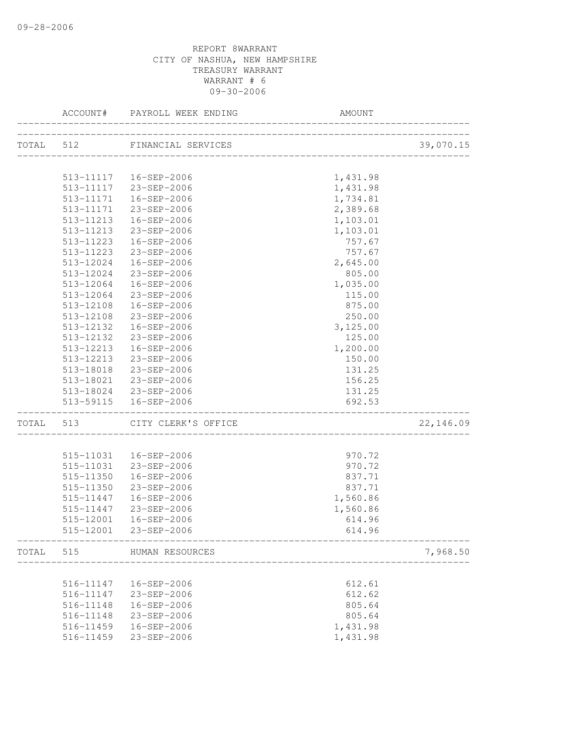|           | ACCOUNT#      | PAYROLL WEEK ENDING          | AMOUNT                      |           |
|-----------|---------------|------------------------------|-----------------------------|-----------|
|           |               | TOTAL 512 FINANCIAL SERVICES |                             | 39,070.15 |
|           |               |                              | ________________________    |           |
|           |               | 513-11117  16-SEP-2006       | 1,431.98                    |           |
|           |               | 513-11117 23-SEP-2006        | 1,431.98                    |           |
|           | 513-11171     | 16-SEP-2006                  | 1,734.81                    |           |
|           | 513-11171     | 23-SEP-2006                  | 2,389.68                    |           |
|           | 513-11213     | 16-SEP-2006                  | 1,103.01                    |           |
|           | 513-11213     | 23-SEP-2006                  | 1,103.01                    |           |
|           | $513 - 11223$ | 16-SEP-2006                  | 757.67                      |           |
|           |               | 513-11223 23-SEP-2006        | 757.67                      |           |
|           |               | 513-12024  16-SEP-2006       |                             |           |
|           | 513-12024     | 23-SEP-2006                  | 2,645.00                    |           |
|           |               |                              | 805.00                      |           |
|           | 513-12064     | 16-SEP-2006                  | 1,035.00                    |           |
|           | 513-12064     | 23-SEP-2006                  | 115.00                      |           |
|           | 513-12108     | 16-SEP-2006                  | 875.00                      |           |
|           | 513-12108     | 23-SEP-2006                  | 250.00                      |           |
|           | 513-12132     | 16-SEP-2006                  | 3,125.00                    |           |
|           | 513-12132     | 23-SEP-2006                  | 125.00                      |           |
|           |               | 513-12213  16-SEP-2006       | 1,200.00                    |           |
|           |               | 513-12213 23-SEP-2006        | 150.00                      |           |
|           |               | 513-18018 23-SEP-2006        | 131.25                      |           |
|           |               | 513-18021 23-SEP-2006        | 156.25                      |           |
|           |               | 513-18024 23-SEP-2006        | 131.25                      |           |
|           |               | 513-59115  16-SEP-2006       | 692.53                      |           |
| TOTAL 513 |               | CITY CLERK'S OFFICE          | ___________________________ | 22,146.09 |
|           |               |                              |                             |           |
|           |               | 515-11031  16-SEP-2006       | 970.72                      |           |
|           |               | 515-11031 23-SEP-2006        | 970.72                      |           |
|           | 515-11350     | 16-SEP-2006                  | 837.71                      |           |
|           | 515-11350     | 23-SEP-2006                  | 837.71                      |           |
|           | 515-11447     | 16-SEP-2006                  | 1,560.86                    |           |
|           | 515-11447     | 23-SEP-2006                  | 1,560.86                    |           |
|           | 515-12001     | 16-SEP-2006                  | 614.96                      |           |
|           | 515-12001     | 23-SEP-2006                  | 614.96                      |           |
| TOTAL     | 515           | HUMAN RESOURCES              |                             | 7,968.50  |
|           |               |                              |                             |           |
|           |               | 516-11147  16-SEP-2006       | 612.61                      |           |
|           | 516-11147     | 23-SEP-2006                  | 612.62                      |           |
|           | 516-11148     | 16-SEP-2006                  | 805.64                      |           |
|           | 516-11148     | 23-SEP-2006                  | 805.64                      |           |
|           | 516-11459     | 16-SEP-2006                  | 1,431.98                    |           |
|           | 516-11459     | 23-SEP-2006                  | 1,431.98                    |           |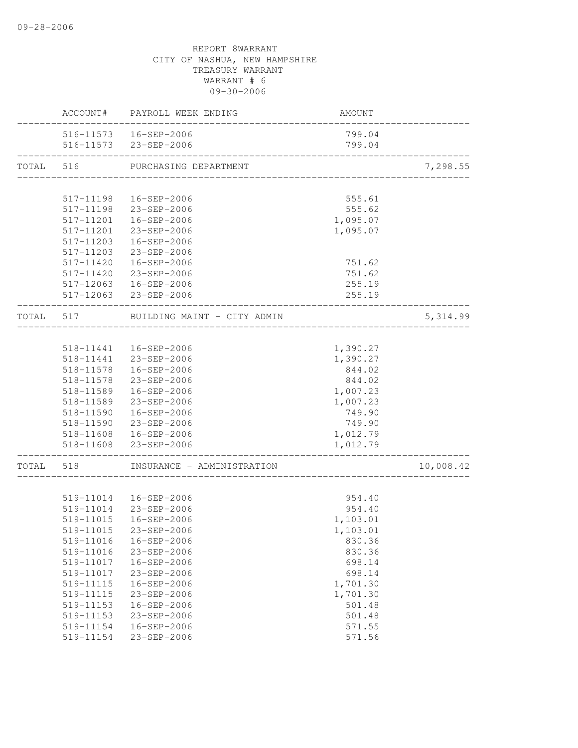|           |           | ACCOUNT# PAYROLL WEEK ENDING | AMOUNT   |           |
|-----------|-----------|------------------------------|----------|-----------|
|           |           | 516-11573  16-SEP-2006       | 799.04   |           |
|           |           | 516-11573 23-SEP-2006        | 799.04   |           |
| TOTAL 516 |           | PURCHASING DEPARTMENT        |          | 7,298.55  |
|           |           |                              |          |           |
|           | 517-11198 | 16-SEP-2006                  | 555.61   |           |
|           | 517-11198 | 23-SEP-2006                  | 555.62   |           |
|           | 517-11201 | 16-SEP-2006                  | 1,095.07 |           |
|           |           | 517-11201 23-SEP-2006        | 1,095.07 |           |
|           | 517-11203 | 16-SEP-2006                  |          |           |
|           |           | 517-11203 23-SEP-2006        |          |           |
|           |           | 517-11420  16-SEP-2006       | 751.62   |           |
|           |           | 517-11420 23-SEP-2006        | 751.62   |           |
|           |           | 517-12063  16-SEP-2006       | 255.19   |           |
|           |           | 517-12063 23-SEP-2006        | 255.19   |           |
| TOTAL 517 |           | BUILDING MAINT - CITY ADMIN  |          | 5, 314.99 |
|           |           |                              |          |           |
|           |           | 518-11441  16-SEP-2006       | 1,390.27 |           |
|           |           | 518-11441 23-SEP-2006        | 1,390.27 |           |
|           | 518-11578 | 16-SEP-2006                  | 844.02   |           |
|           | 518-11578 | 23-SEP-2006                  | 844.02   |           |
|           | 518-11589 | 16-SEP-2006                  | 1,007.23 |           |
|           | 518-11589 | 23-SEP-2006                  | 1,007.23 |           |
|           | 518-11590 | 16-SEP-2006                  | 749.90   |           |
|           |           | 518-11590 23-SEP-2006        | 749.90   |           |
|           |           | 518-11608  16-SEP-2006       | 1,012.79 |           |
|           |           | 518-11608 23-SEP-2006        | 1,012.79 |           |
| TOTAL     | 518       | INSURANCE - ADMINISTRATION   |          | 10,008.42 |
|           |           |                              |          |           |
|           |           | 519-11014  16-SEP-2006       | 954.40   |           |
|           |           | 519-11014 23-SEP-2006        | 954.40   |           |
|           | 519-11015 | 16-SEP-2006                  | 1,103.01 |           |
|           |           | 519-11015 23-SEP-2006        | 1,103.01 |           |
|           | 519-11016 | 16-SEP-2006                  | 830.36   |           |
|           | 519-11016 | 23-SEP-2006                  | 830.36   |           |
|           | 519-11017 | 16-SEP-2006                  | 698.14   |           |
|           | 519-11017 | 23-SEP-2006                  | 698.14   |           |
|           | 519-11115 | 16-SEP-2006                  | 1,701.30 |           |
|           | 519-11115 | $23 - SEP - 2006$            | 1,701.30 |           |
|           | 519-11153 | 16-SEP-2006                  | 501.48   |           |
|           | 519-11153 | 23-SEP-2006                  | 501.48   |           |
|           | 519-11154 | $16 - SEP - 2006$            | 571.55   |           |
|           | 519-11154 | 23-SEP-2006                  | 571.56   |           |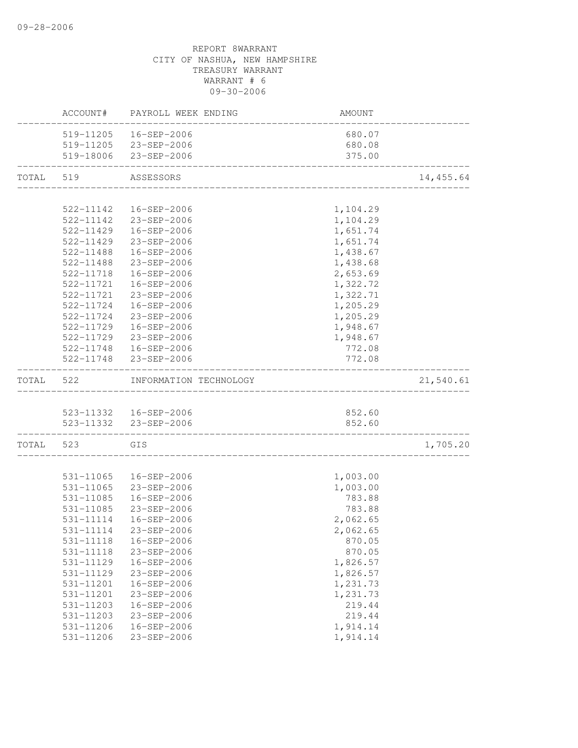|       | ACCOUNT#  | PAYROLL WEEK ENDING    | AMOUNT   |           |
|-------|-----------|------------------------|----------|-----------|
|       |           | 519-11205  16-SEP-2006 | 680.07   |           |
|       |           | 519-11205 23-SEP-2006  | 680.08   |           |
|       |           | 519-18006 23-SEP-2006  | 375.00   |           |
| TOTAL | 519       | ASSESSORS              |          | 14,455.64 |
|       |           |                        |          |           |
|       | 522-11142 | 16-SEP-2006            | 1,104.29 |           |
|       |           | 522-11142 23-SEP-2006  | 1,104.29 |           |
|       |           | 522-11429  16-SEP-2006 | 1,651.74 |           |
|       | 522-11429 | $23 - SEP - 2006$      | 1,651.74 |           |
|       | 522-11488 | 16-SEP-2006            | 1,438.67 |           |
|       | 522-11488 | 23-SEP-2006            | 1,438.68 |           |
|       | 522-11718 | 16-SEP-2006            | 2,653.69 |           |
|       | 522-11721 | 16-SEP-2006            | 1,322.72 |           |
|       | 522-11721 | 23-SEP-2006            | 1,322.71 |           |
|       | 522-11724 | 16-SEP-2006            | 1,205.29 |           |
|       | 522-11724 | 23-SEP-2006            | 1,205.29 |           |
|       | 522-11729 | 16-SEP-2006            | 1,948.67 |           |
|       |           | 522-11729 23-SEP-2006  | 1,948.67 |           |
|       |           | 522-11748  16-SEP-2006 | 772.08   |           |
|       |           | 522-11748 23-SEP-2006  | 772.08   |           |
| TOTAL | 522       | INFORMATION TECHNOLOGY |          | 21,540.61 |
|       |           |                        |          |           |
|       |           | 523-11332  16-SEP-2006 | 852.60   |           |
|       |           | 523-11332 23-SEP-2006  | 852.60   |           |
| TOTAL | 523       | GIS                    |          | 1,705.20  |
|       |           |                        |          |           |
|       | 531-11065 | 16-SEP-2006            | 1,003.00 |           |
|       | 531-11065 | 23-SEP-2006            | 1,003.00 |           |
|       | 531-11085 | 16-SEP-2006            | 783.88   |           |
|       | 531-11085 | $23 - SEP - 2006$      | 783.88   |           |
|       | 531-11114 | 16-SEP-2006            | 2,062.65 |           |
|       | 531-11114 | 23-SEP-2006            | 2,062.65 |           |
|       | 531-11118 | 16-SEP-2006            | 870.05   |           |
|       | 531-11118 | 23-SEP-2006            | 870.05   |           |
|       | 531-11129 | 16-SEP-2006            | 1,826.57 |           |
|       | 531-11129 | $23 - SEP - 2006$      | 1,826.57 |           |
|       | 531-11201 | 16-SEP-2006            | 1,231.73 |           |
|       | 531-11201 | 23-SEP-2006            | 1,231.73 |           |
|       | 531-11203 | 16-SEP-2006            | 219.44   |           |
|       | 531-11203 | 23-SEP-2006            | 219.44   |           |
|       | 531-11206 | $16 - SEP - 2006$      | 1,914.14 |           |
|       | 531-11206 | $23 - SEP - 2006$      | 1,914.14 |           |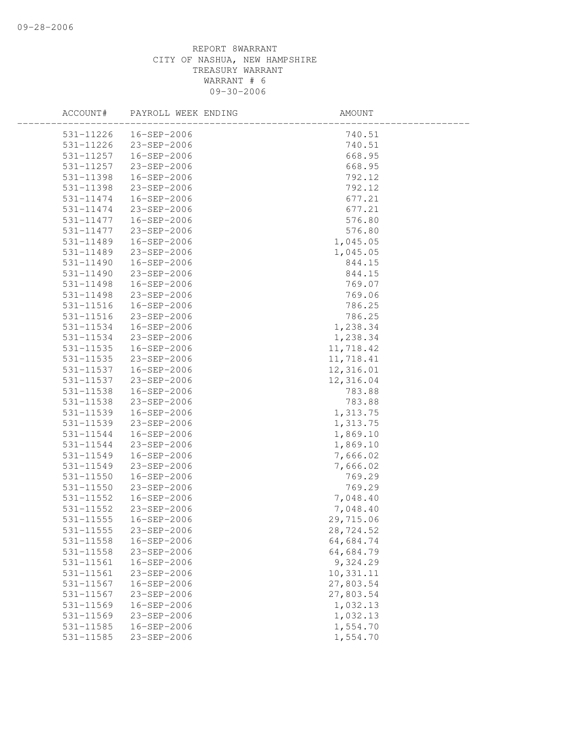| ACCOUNT#      | PAYROLL WEEK ENDING   | AMOUNT    |  |
|---------------|-----------------------|-----------|--|
|               |                       | 740.51    |  |
|               | 531-11226 23-SEP-2006 | 740.51    |  |
| 531-11257     | 16-SEP-2006           | 668.95    |  |
| 531-11257     | 23-SEP-2006           | 668.95    |  |
| 531-11398     | 16-SEP-2006           | 792.12    |  |
| 531-11398     | 23-SEP-2006           | 792.12    |  |
| 531-11474     | 16-SEP-2006           | 677.21    |  |
| 531-11474     | 23-SEP-2006           | 677.21    |  |
| 531-11477     | 16-SEP-2006           | 576.80    |  |
| 531-11477     | 23-SEP-2006           | 576.80    |  |
| 531-11489     | 16-SEP-2006           | 1,045.05  |  |
| 531-11489     | 23-SEP-2006           | 1,045.05  |  |
| 531-11490     | 16-SEP-2006           | 844.15    |  |
| 531-11490     | 23-SEP-2006           | 844.15    |  |
| 531-11498     | 16-SEP-2006           | 769.07    |  |
| 531-11498     | 23-SEP-2006           | 769.06    |  |
| 531-11516     | 16-SEP-2006           | 786.25    |  |
| 531-11516     | 23-SEP-2006           | 786.25    |  |
| 531-11534     | 16-SEP-2006           | 1,238.34  |  |
| 531-11534     | 23-SEP-2006           | 1,238.34  |  |
| 531-11535     | 16-SEP-2006           | 11,718.42 |  |
| 531-11535     | 23-SEP-2006           | 11,718.41 |  |
| 531-11537     | 16-SEP-2006           | 12,316.01 |  |
| 531-11537     | 23-SEP-2006           | 12,316.04 |  |
| 531-11538     | 16-SEP-2006           | 783.88    |  |
| 531-11538     | 23-SEP-2006           | 783.88    |  |
| 531-11539     | 16-SEP-2006           | 1,313.75  |  |
| 531-11539     | 23-SEP-2006           | 1,313.75  |  |
| 531-11544     | 16-SEP-2006           | 1,869.10  |  |
| 531-11544     | 23-SEP-2006           | 1,869.10  |  |
| 531-11549     | 16-SEP-2006           | 7,666.02  |  |
| 531-11549     | 23-SEP-2006           | 7,666.02  |  |
| 531-11550     | 16-SEP-2006           | 769.29    |  |
| 531-11550     | 23-SEP-2006           | 769.29    |  |
| 531-11552     | 16-SEP-2006           | 7,048.40  |  |
| 531-11552     | 23-SEP-2006           | 7,048.40  |  |
| $531 - 11555$ | 16-SEP-2006           | 29,715.06 |  |
| 531-11555     | 23-SEP-2006           | 28,724.52 |  |
| 531-11558     | 16-SEP-2006           | 64,684.74 |  |
| 531-11558     | 23-SEP-2006           | 64,684.79 |  |
| 531-11561     | $16 - SEP - 2006$     | 9,324.29  |  |
| 531-11561     | 23-SEP-2006           | 10,331.11 |  |
| 531-11567     | $16 - SEP - 2006$     | 27,803.54 |  |
| 531-11567     | 23-SEP-2006           | 27,803.54 |  |
| 531-11569     | $16 - SEP - 2006$     | 1,032.13  |  |
| 531-11569     | $23 - SEP - 2006$     | 1,032.13  |  |
| 531-11585     | 16-SEP-2006           | 1,554.70  |  |
| 531-11585     | $23 - SEP - 2006$     | 1,554.70  |  |
|               |                       |           |  |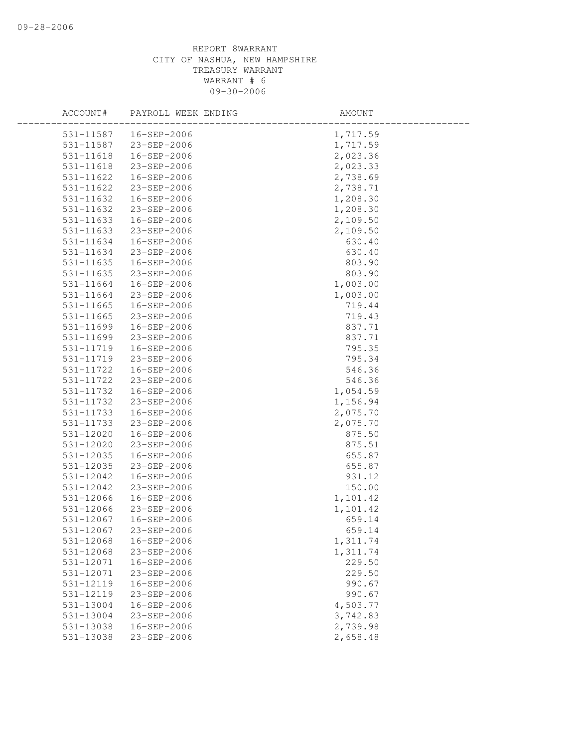| ACCOUNT#  | PAYROLL WEEK ENDING    | AMOUNT   |
|-----------|------------------------|----------|
|           | 531-11587  16-SEP-2006 | 1,717.59 |
|           | 531-11587 23-SEP-2006  | 1,717.59 |
| 531-11618 | 16-SEP-2006            | 2,023.36 |
| 531-11618 | 23-SEP-2006            | 2,023.33 |
| 531-11622 | 16-SEP-2006            | 2,738.69 |
| 531-11622 | 23-SEP-2006            | 2,738.71 |
| 531-11632 | 16-SEP-2006            | 1,208.30 |
| 531-11632 | 23-SEP-2006            | 1,208.30 |
| 531-11633 | 16-SEP-2006            | 2,109.50 |
| 531-11633 | 23-SEP-2006            | 2,109.50 |
| 531-11634 | 16-SEP-2006            | 630.40   |
| 531-11634 | 23-SEP-2006            | 630.40   |
| 531-11635 | 16-SEP-2006            | 803.90   |
| 531-11635 | 23-SEP-2006            | 803.90   |
| 531-11664 | 16-SEP-2006            | 1,003.00 |
| 531-11664 | 23-SEP-2006            | 1,003.00 |
| 531-11665 | 16-SEP-2006            | 719.44   |
| 531-11665 | 23-SEP-2006            | 719.43   |
| 531-11699 | 16-SEP-2006            | 837.71   |
| 531-11699 | 23-SEP-2006            | 837.71   |
| 531-11719 | 16-SEP-2006            | 795.35   |
| 531-11719 | 23-SEP-2006            | 795.34   |
| 531-11722 | 16-SEP-2006            | 546.36   |
| 531-11722 | 23-SEP-2006            | 546.36   |
| 531-11732 | 16-SEP-2006            | 1,054.59 |
| 531-11732 | 23-SEP-2006            | 1,156.94 |
| 531-11733 | 16-SEP-2006            | 2,075.70 |
| 531-11733 | 23-SEP-2006            | 2,075.70 |
| 531-12020 | 16-SEP-2006            | 875.50   |
| 531-12020 | 23-SEP-2006            | 875.51   |
| 531-12035 | 16-SEP-2006            | 655.87   |
| 531-12035 | 23-SEP-2006            | 655.87   |
| 531-12042 | 16-SEP-2006            | 931.12   |
| 531-12042 | 23-SEP-2006            | 150.00   |
| 531-12066 | 16-SEP-2006            | 1,101.42 |
| 531-12066 | 23-SEP-2006            | 1,101.42 |
| 531-12067 | 16-SEP-2006            | 659.14   |
| 531-12067 | 23-SEP-2006            | 659.14   |
| 531-12068 | 16-SEP-2006            | 1,311.74 |
| 531-12068 | 23-SEP-2006            | 1,311.74 |
| 531-12071 | 16-SEP-2006            | 229.50   |
| 531-12071 | 23-SEP-2006            | 229.50   |
| 531-12119 | 16-SEP-2006            | 990.67   |
| 531-12119 | 23-SEP-2006            | 990.67   |
| 531-13004 | 16-SEP-2006            | 4,503.77 |
| 531-13004 | 23-SEP-2006            | 3,742.83 |
| 531-13038 | 16-SEP-2006            | 2,739.98 |
| 531-13038 | 23-SEP-2006            | 2,658.48 |
|           |                        |          |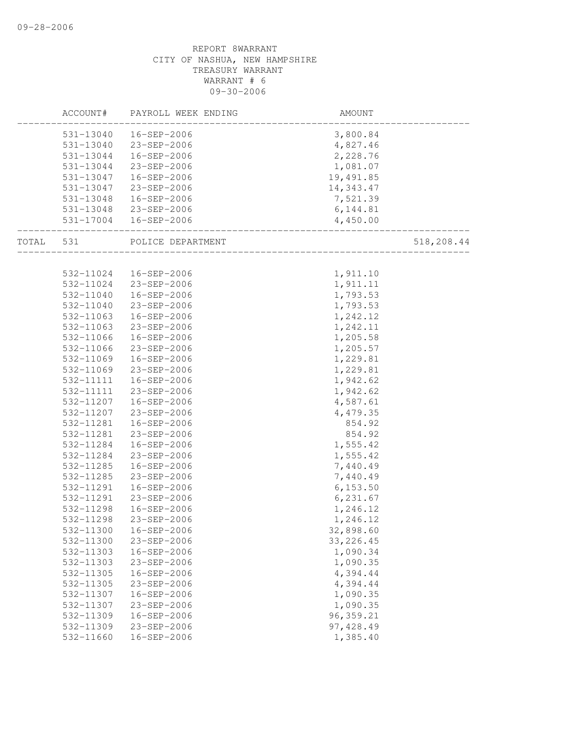|       |           | ACCOUNT# PAYROLL WEEK ENDING | AMOUNT     |            |
|-------|-----------|------------------------------|------------|------------|
|       |           | 531-13040  16-SEP-2006       | 3,800.84   |            |
|       |           | 531-13040 23-SEP-2006        | 4,827.46   |            |
|       |           | 531-13044  16-SEP-2006       | 2,228.76   |            |
|       | 531-13044 | 23-SEP-2006                  | 1,081.07   |            |
|       | 531-13047 | 16-SEP-2006                  | 19,491.85  |            |
|       | 531-13047 | 23-SEP-2006                  | 14,343.47  |            |
|       | 531-13048 | 16-SEP-2006                  | 7,521.39   |            |
|       |           | 531-13048 23-SEP-2006        | 6, 144.81  |            |
|       |           | 531-17004  16-SEP-2006       | 4,450.00   |            |
| TOTAL | 531       | POLICE DEPARTMENT            |            | 518,208.44 |
|       |           |                              |            |            |
|       |           | 532-11024  16-SEP-2006       | 1,911.10   |            |
|       | 532-11024 | 23-SEP-2006                  | 1,911.11   |            |
|       | 532-11040 | 16-SEP-2006                  | 1,793.53   |            |
|       | 532-11040 | 23-SEP-2006                  | 1,793.53   |            |
|       | 532-11063 | 16-SEP-2006                  | 1,242.12   |            |
|       |           | 532-11063 23-SEP-2006        | 1,242.11   |            |
|       | 532-11066 | 16-SEP-2006                  | 1,205.58   |            |
|       | 532-11066 | 23-SEP-2006                  | 1,205.57   |            |
|       | 532-11069 | 16-SEP-2006                  | 1,229.81   |            |
|       | 532-11069 | 23-SEP-2006                  | 1,229.81   |            |
|       | 532-11111 | 16-SEP-2006                  | 1,942.62   |            |
|       | 532-11111 | 23-SEP-2006                  | 1,942.62   |            |
|       | 532-11207 | 16-SEP-2006                  | 4,587.61   |            |
|       | 532-11207 | 23-SEP-2006                  | 4,479.35   |            |
|       | 532-11281 | 16-SEP-2006                  | 854.92     |            |
|       | 532-11281 | 23-SEP-2006                  | 854.92     |            |
|       | 532-11284 | 16-SEP-2006                  | 1,555.42   |            |
|       | 532-11284 | 23-SEP-2006                  | 1,555.42   |            |
|       | 532-11285 | 16-SEP-2006                  | 7,440.49   |            |
|       | 532-11285 | 23-SEP-2006                  | 7,440.49   |            |
|       | 532-11291 | 16-SEP-2006                  | 6, 153.50  |            |
|       | 532-11291 | 23-SEP-2006                  | 6, 231.67  |            |
|       | 532-11298 | 16-SEP-2006                  | 1,246.12   |            |
|       | 532-11298 | 23-SEP-2006                  | 1,246.12   |            |
|       | 532-11300 | 16-SEP-2006                  | 32,898.60  |            |
|       | 532-11300 | 23-SEP-2006                  | 33, 226.45 |            |
|       | 532-11303 | 16-SEP-2006                  | 1,090.34   |            |
|       | 532-11303 | 23-SEP-2006                  | 1,090.35   |            |
|       | 532-11305 | 16-SEP-2006                  | 4,394.44   |            |
|       | 532-11305 | 23-SEP-2006                  | 4,394.44   |            |
|       | 532-11307 | 16-SEP-2006                  | 1,090.35   |            |
|       | 532-11307 | 23-SEP-2006                  | 1,090.35   |            |
|       | 532-11309 | 16-SEP-2006                  | 96, 359.21 |            |
|       | 532-11309 | 23-SEP-2006                  | 97,428.49  |            |
|       | 532-11660 | $16 - SEP - 2006$            | 1,385.40   |            |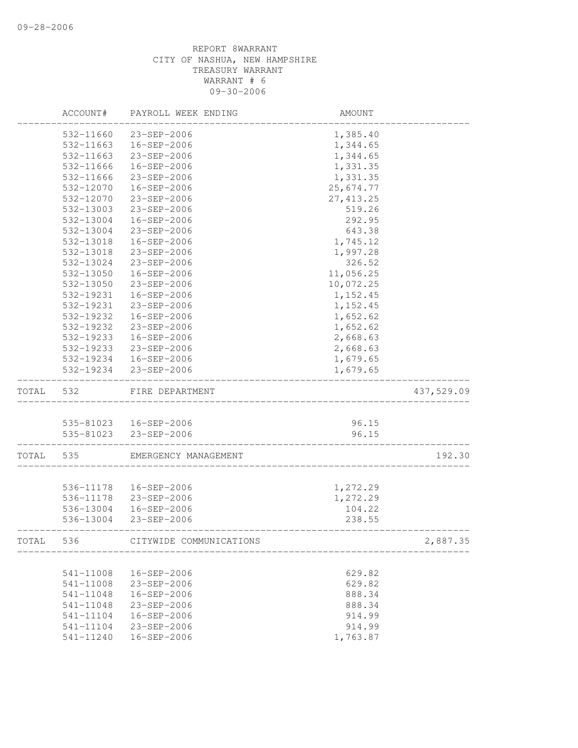|           | ACCOUNT#  | PAYROLL WEEK ENDING     | AMOUNT                           |            |
|-----------|-----------|-------------------------|----------------------------------|------------|
|           | 532-11660 | 23-SEP-2006             | 1,385.40                         |            |
|           | 532-11663 | 16-SEP-2006             | 1,344.65                         |            |
|           | 532-11663 | 23-SEP-2006             | 1,344.65                         |            |
|           | 532-11666 | 16-SEP-2006             | 1,331.35                         |            |
|           | 532-11666 | 23-SEP-2006             | 1,331.35                         |            |
|           | 532-12070 | 16-SEP-2006             | 25,674.77                        |            |
|           | 532-12070 | 23-SEP-2006             | 27, 413.25                       |            |
|           | 532-13003 | 23-SEP-2006             | 519.26                           |            |
|           | 532-13004 | 16-SEP-2006             | 292.95                           |            |
|           | 532-13004 | 23-SEP-2006             | 643.38                           |            |
|           | 532-13018 | 16-SEP-2006             | 1,745.12                         |            |
|           | 532-13018 | 23-SEP-2006             | 1,997.28                         |            |
|           | 532-13024 | 23-SEP-2006             | 326.52                           |            |
|           | 532-13050 | 16-SEP-2006             | 11,056.25                        |            |
|           | 532-13050 | 23-SEP-2006             | 10,072.25                        |            |
|           | 532-19231 | 16-SEP-2006             | 1,152.45                         |            |
|           | 532-19231 | 23-SEP-2006             | 1,152.45                         |            |
|           | 532-19232 | 16-SEP-2006             | 1,652.62                         |            |
|           | 532-19232 | $23 - SEP - 2006$       | 1,652.62                         |            |
|           | 532-19233 | 16-SEP-2006             | 2,668.63                         |            |
|           | 532-19233 | 23-SEP-2006             | 2,668.63                         |            |
|           |           | 532-19234 16-SEP-2006   | 1,679.65                         |            |
|           |           | 532-19234 23-SEP-2006   | 1,679.65                         |            |
| TOTAL 532 |           | FIRE DEPARTMENT         |                                  | 437,529.09 |
|           |           |                         |                                  |            |
|           |           | 535-81023  16-SEP-2006  | 96.15                            |            |
|           |           | 535-81023 23-SEP-2006   | 96.15<br>_______________________ |            |
| TOTAL 535 |           | EMERGENCY MANAGEMENT    |                                  | 192.30     |
|           |           |                         |                                  |            |
|           |           | 536-11178  16-SEP-2006  | 1,272.29                         |            |
|           | 536-11178 | 23-SEP-2006             | 1,272.29                         |            |
|           | 536-13004 | 16-SEP-2006             | 104.22                           |            |
|           | 536-13004 | 23-SEP-2006             | 238.55                           |            |
| TOTAL     | 536       | CITYWIDE COMMUNICATIONS |                                  | 2,887.35   |
|           |           |                         |                                  |            |
|           | 541-11008 | 16-SEP-2006             | 629.82                           |            |
|           | 541-11008 | 23-SEP-2006             | 629.82                           |            |
|           | 541-11048 | 16-SEP-2006             | 888.34                           |            |
|           | 541-11048 | 23-SEP-2006             | 888.34                           |            |
|           | 541-11104 | 16-SEP-2006             | 914.99                           |            |
|           | 541-11104 | 23-SEP-2006             | 914.99                           |            |
|           | 541-11240 | 16-SEP-2006             | 1,763.87                         |            |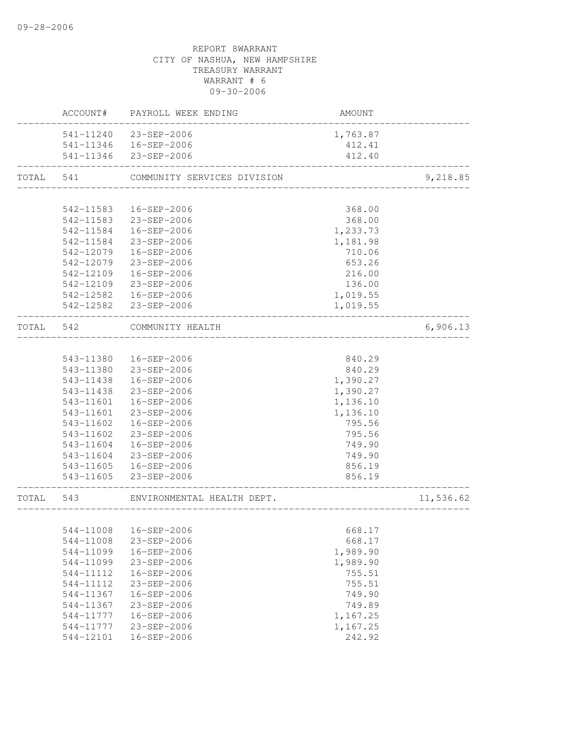|           |           | ACCOUNT# PAYROLL WEEK ENDING | AMOUNT   |           |
|-----------|-----------|------------------------------|----------|-----------|
|           |           | 541-11240 23-SEP-2006        | 1,763.87 |           |
|           |           | 541-11346  16-SEP-2006       | 412.41   |           |
|           |           | 541-11346 23-SEP-2006        | 412.40   |           |
| TOTAL 541 |           | COMMUNITY SERVICES DIVISION  |          | 9,218.85  |
|           |           |                              |          |           |
|           | 542-11583 | 16-SEP-2006                  | 368.00   |           |
|           |           | 542-11583 23-SEP-2006        | 368.00   |           |
|           | 542-11584 | 16-SEP-2006                  | 1,233.73 |           |
|           | 542-11584 | 23-SEP-2006                  | 1,181.98 |           |
|           | 542-12079 | 16-SEP-2006                  | 710.06   |           |
|           | 542-12079 | 23-SEP-2006                  | 653.26   |           |
|           | 542-12109 | 16-SEP-2006                  | 216.00   |           |
|           | 542-12109 | 23-SEP-2006                  | 136.00   |           |
|           |           | 542-12582  16-SEP-2006       | 1,019.55 |           |
|           |           | 542-12582 23-SEP-2006        | 1,019.55 |           |
| TOTAL 542 |           | COMMUNITY HEALTH             |          | 6,906.13  |
|           |           |                              |          |           |
|           | 543-11380 | 16-SEP-2006                  | 840.29   |           |
|           |           | 543-11380 23-SEP-2006        | 840.29   |           |
|           | 543-11438 | 16-SEP-2006                  | 1,390.27 |           |
|           | 543-11438 | 23-SEP-2006                  | 1,390.27 |           |
|           | 543-11601 | 16-SEP-2006                  | 1,136.10 |           |
|           | 543-11601 | 23-SEP-2006                  | 1,136.10 |           |
|           | 543-11602 | 16-SEP-2006                  | 795.56   |           |
|           | 543-11602 | 23-SEP-2006                  | 795.56   |           |
|           | 543-11604 | 16-SEP-2006                  | 749.90   |           |
|           | 543-11604 | 23-SEP-2006                  | 749.90   |           |
|           |           | 543-11605  16-SEP-2006       | 856.19   |           |
|           |           | 543-11605 23-SEP-2006        | 856.19   |           |
| TOTAL 543 |           | ENVIRONMENTAL HEALTH DEPT.   |          | 11,536.62 |
|           |           |                              |          |           |
|           |           | 544-11008  16-SEP-2006       | 668.17   |           |
|           | 544-11008 | 23-SEP-2006                  | 668.17   |           |
|           | 544-11099 | 16-SEP-2006                  | 1,989.90 |           |
|           | 544-11099 | 23-SEP-2006                  | 1,989.90 |           |
|           | 544-11112 | 16-SEP-2006                  | 755.51   |           |
|           | 544-11112 | 23-SEP-2006                  | 755.51   |           |
|           | 544-11367 | 16-SEP-2006                  | 749.90   |           |
|           | 544-11367 | 23-SEP-2006                  | 749.89   |           |
|           | 544-11777 | 16-SEP-2006                  | 1,167.25 |           |
|           | 544-11777 | 23-SEP-2006                  | 1,167.25 |           |
|           | 544-12101 | 16-SEP-2006                  | 242.92   |           |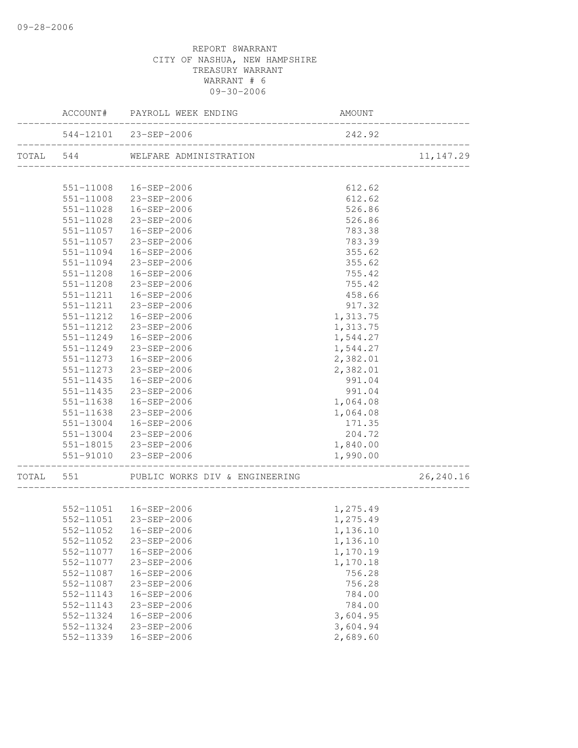|                        | ACCOUNT# PAYROLL WEEK ENDING                    | AMOUNT           |            |
|------------------------|-------------------------------------------------|------------------|------------|
|                        | 544-12101 23-SEP-2006                           | 242.92           |            |
|                        |                                                 |                  | 11, 147.29 |
|                        |                                                 |                  |            |
|                        | 551-11008  16-SEP-2006                          | 612.62           |            |
|                        | 551-11008 23-SEP-2006                           | 612.62           |            |
|                        | 551-11028  16-SEP-2006<br>551-11028 23-SEP-2006 | 526.86<br>526.86 |            |
|                        | 551-11057  16-SEP-2006                          |                  |            |
|                        |                                                 | 783.38           |            |
|                        | 551-11057 23-SEP-2006                           | 783.39<br>355.62 |            |
| 551-11094              | 551-11094  16-SEP-2006<br>23-SEP-2006           | 355.62           |            |
| 551-11208              | 16-SEP-2006                                     | 755.42           |            |
| 551-11208              | 23-SEP-2006                                     | 755.42           |            |
| 551-11211              | 16-SEP-2006                                     | 458.66           |            |
| 551-11211              | 23-SEP-2006                                     | 917.32           |            |
| 551-11212              | 16-SEP-2006                                     | 1,313.75         |            |
| 551-11212              | 23-SEP-2006                                     | 1,313.75         |            |
|                        | 551-11249  16-SEP-2006                          | 1,544.27         |            |
| 551-11249              | 23-SEP-2006                                     | 1,544.27         |            |
| 551-11273              | 16-SEP-2006                                     | 2,382.01         |            |
| 551-11273              | 23-SEP-2006                                     | 2,382.01         |            |
| 551-11435              | 16-SEP-2006                                     | 991.04           |            |
| 551-11435              | 23-SEP-2006                                     | 991.04           |            |
| 551-11638              | 16-SEP-2006                                     | 1,064.08         |            |
| 551-11638              | 23-SEP-2006                                     | 1,064.08         |            |
|                        | 551-13004 16-SEP-2006                           | 171.35           |            |
|                        | 551-13004 23-SEP-2006                           | 204.72           |            |
|                        | 551-18015 23-SEP-2006                           | 1,840.00         |            |
|                        | 551-91010 23-SEP-2006                           | 1,990.00         |            |
| ______________________ | TOTAL 551 PUBLIC WORKS DIV & ENGINEERING        |                  | 26,240.16  |
|                        |                                                 |                  |            |
|                        | 552-11051  16-SEP-2006                          | 1,275.49         |            |
|                        | 552-11051 23-SEP-2006                           | 1,275.49         |            |
|                        | 552-11052  16-SEP-2006                          | 1,136.10         |            |
| 552-11052              | 23-SEP-2006                                     | 1,136.10         |            |
| 552-11077              | 16-SEP-2006                                     | 1,170.19         |            |
| 552-11077              | 23-SEP-2006                                     | 1,170.18         |            |
| 552-11087              | 16-SEP-2006                                     | 756.28           |            |
| 552-11087              | 23-SEP-2006                                     | 756.28           |            |
| 552-11143              | 16-SEP-2006                                     | 784.00           |            |
| 552-11143              | 23-SEP-2006                                     | 784.00           |            |
| 552-11324              | $16 - SEP - 2006$                               | 3,604.95         |            |
| 552-11324              | 23-SEP-2006                                     | 3,604.94         |            |
| 552-11339              | 16-SEP-2006                                     | 2,689.60         |            |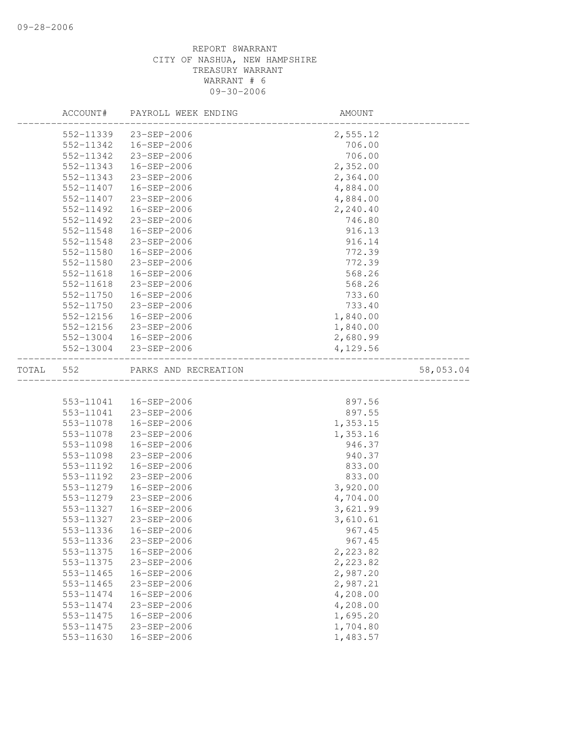|       | ACCOUNT#               | PAYROLL WEEK ENDING              | AMOUNT               |           |
|-------|------------------------|----------------------------------|----------------------|-----------|
|       | 552-11339              | 23-SEP-2006                      | 2,555.12             |           |
|       | 552-11342              | 16-SEP-2006                      | 706.00               |           |
|       | 552-11342              | 23-SEP-2006                      | 706.00               |           |
|       | 552-11343              | $16 - SEP - 2006$                | 2,352.00             |           |
|       | 552-11343              | 23-SEP-2006                      | 2,364.00             |           |
|       | 552-11407              | 16-SEP-2006                      | 4,884.00             |           |
|       | 552-11407              | 23-SEP-2006                      | 4,884.00             |           |
|       | 552-11492              | 16-SEP-2006                      | 2,240.40             |           |
|       | 552-11492              | 23-SEP-2006                      | 746.80               |           |
|       | 552-11548              | 16-SEP-2006                      | 916.13               |           |
|       | 552-11548              | 23-SEP-2006                      | 916.14               |           |
|       | 552-11580              | 16-SEP-2006                      | 772.39               |           |
|       | 552-11580              | 23-SEP-2006                      | 772.39               |           |
|       | 552-11618              | 16-SEP-2006                      | 568.26               |           |
|       | 552-11618              | 23-SEP-2006                      | 568.26               |           |
|       | 552-11750              | 16-SEP-2006                      | 733.60               |           |
|       | 552-11750              | 23-SEP-2006                      | 733.40               |           |
|       | 552-12156              | 16-SEP-2006                      | 1,840.00             |           |
|       | 552-12156              | 23-SEP-2006                      | 1,840.00             |           |
|       | 552-13004              | 16-SEP-2006                      | 2,680.99             |           |
|       | 552-13004              | 23-SEP-2006                      | 4,129.56             |           |
| TOTAL | 552                    | PARKS AND RECREATION             |                      | 58,053.04 |
|       |                        |                                  |                      |           |
|       |                        | 553-11041  16-SEP-2006           | 897.56               |           |
|       | 553-11041              | 23-SEP-2006                      | 897.55               |           |
|       | 553-11078              | 16-SEP-2006                      | 1,353.15             |           |
|       | 553-11078              | 23-SEP-2006                      | 1,353.16             |           |
|       | 553-11098              | 16-SEP-2006                      | 946.37               |           |
|       | 553-11098              | 23-SEP-2006                      | 940.37               |           |
|       | 553-11192              | 16-SEP-2006                      | 833.00               |           |
|       | 553-11192              | 23-SEP-2006                      | 833.00               |           |
|       | 553-11279              | 16-SEP-2006                      | 3,920.00             |           |
|       | 553-11279              | 23-SEP-2006                      | 4,704.00             |           |
|       | 553-11327              | 16-SEP-2006                      | 3,621.99             |           |
|       | 553-11327              | $23 - SEP - 2006$                | 3,610.61             |           |
|       |                        | 553-11336 16-SEP-2006            | 967.45               |           |
|       | 553-11336              | $23 - SEP - 2006$                | 967.45               |           |
|       | 553-11375              | 16-SEP-2006                      | 2,223.82             |           |
|       | 553-11375              | 23-SEP-2006                      | 2,223.82             |           |
|       | 553-11465              | 16-SEP-2006                      | 2,987.20             |           |
|       | 553-11465              | 23-SEP-2006                      | 2,987.21             |           |
|       | 553-11474              | 16-SEP-2006                      | 4,208.00             |           |
|       | 553-11474              | $23 - SEP - 2006$                | 4,208.00             |           |
|       | 553-11475              | 16-SEP-2006                      | 1,695.20             |           |
|       | 553-11475<br>553-11630 | $23 - SEP - 2006$<br>16-SEP-2006 | 1,704.80<br>1,483.57 |           |
|       |                        |                                  |                      |           |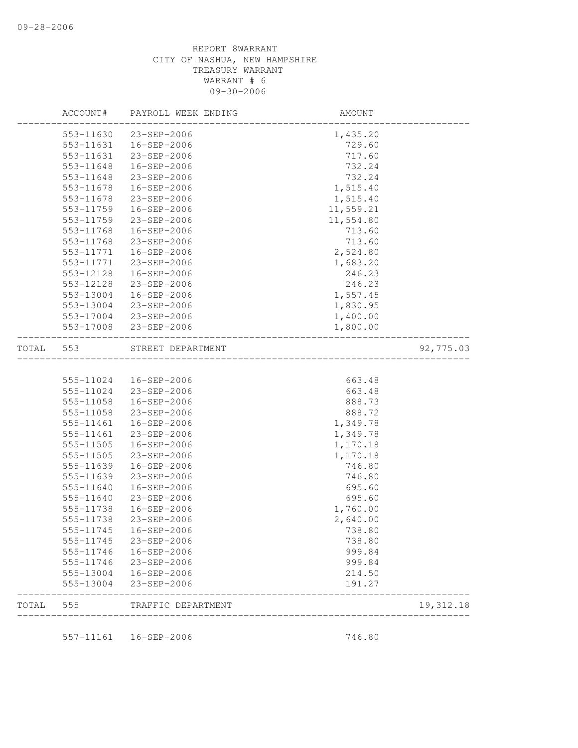|       | ACCOUNT#  | PAYROLL WEEK ENDING | AMOUNT           |           |
|-------|-----------|---------------------|------------------|-----------|
|       | 553-11630 | 23-SEP-2006         | 1,435.20         |           |
|       | 553-11631 | 16-SEP-2006         | 729.60           |           |
|       | 553-11631 | 23-SEP-2006         | 717.60           |           |
|       | 553-11648 | 16-SEP-2006         | 732.24           |           |
|       | 553-11648 | 23-SEP-2006         | 732.24           |           |
|       | 553-11678 | 16-SEP-2006         | 1,515.40         |           |
|       | 553-11678 | 23-SEP-2006         | 1,515.40         |           |
|       | 553-11759 | 16-SEP-2006         | 11,559.21        |           |
|       | 553-11759 | 23-SEP-2006         | 11,554.80        |           |
|       | 553-11768 | 16-SEP-2006         | 713.60           |           |
|       | 553-11768 | 23-SEP-2006         | 713.60           |           |
|       | 553-11771 | 16-SEP-2006         | 2,524.80         |           |
|       | 553-11771 | 23-SEP-2006         | 1,683.20         |           |
|       | 553-12128 | 16-SEP-2006         | 246.23           |           |
|       | 553-12128 | 23-SEP-2006         | 246.23           |           |
|       | 553-13004 | 16-SEP-2006         | 1,557.45         |           |
|       | 553-13004 | 23-SEP-2006         | 1,830.95         |           |
|       | 553-17004 | 23-SEP-2006         | 1,400.00         |           |
|       | 553-17008 | 23-SEP-2006         | 1,800.00         |           |
|       |           |                     |                  |           |
| TOTAL | 553       | STREET DEPARTMENT   |                  | 92,775.03 |
|       |           |                     |                  |           |
|       | 555-11024 | 16-SEP-2006         | 663.48           |           |
|       | 555-11024 | 23-SEP-2006         | 663.48           |           |
|       | 555-11058 | 16-SEP-2006         | 888.73           |           |
|       | 555-11058 | 23-SEP-2006         | 888.72           |           |
|       | 555-11461 | 16-SEP-2006         | 1,349.78         |           |
|       | 555-11461 | 23-SEP-2006         | 1,349.78         |           |
|       | 555-11505 | $16 - SEP - 2006$   | 1,170.18         |           |
|       | 555-11505 | 23-SEP-2006         | 1,170.18         |           |
|       | 555-11639 | 16-SEP-2006         | 746.80           |           |
|       | 555-11639 | 23-SEP-2006         | 746.80           |           |
|       | 555-11640 | 16-SEP-2006         | 695.60           |           |
|       | 555-11640 | 23-SEP-2006         | 695.60           |           |
|       | 555-11738 | 16-SEP-2006         | 1,760.00         |           |
|       | 555-11738 | $23 - SEP - 2006$   | 2,640.00         |           |
|       | 555-11745 | 16-SEP-2006         | 738.80           |           |
|       | 555-11745 | 23-SEP-2006         | 738.80           |           |
|       | 555-11746 |                     |                  |           |
|       |           | 16-SEP-2006         | 999.84           |           |
|       | 555-11746 | 23-SEP-2006         | 999.84<br>214.50 |           |
|       |           |                     |                  |           |
|       | 555-13004 | 16-SEP-2006         |                  |           |
|       | 555-13004 | 23-SEP-2006         | 191.27           |           |

557-11161 16-SEP-2006 746.80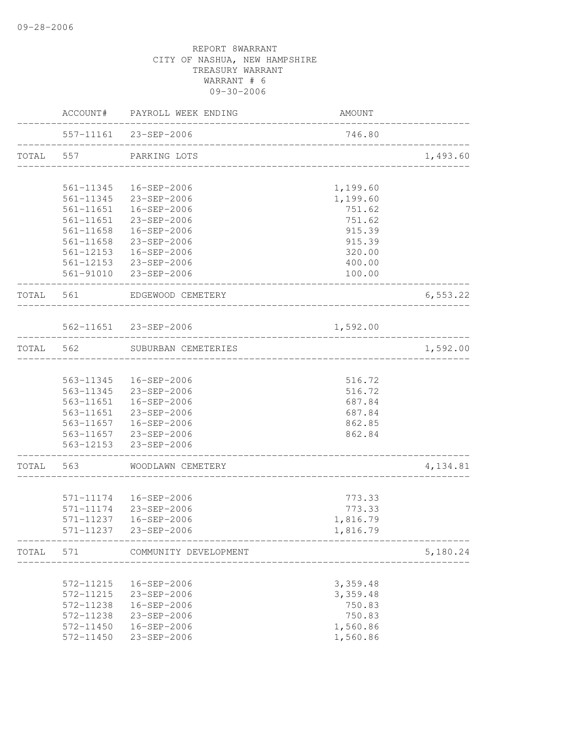|       |           | ACCOUNT# PAYROLL WEEK ENDING                                | <b>AMOUNT</b>                     |                             |
|-------|-----------|-------------------------------------------------------------|-----------------------------------|-----------------------------|
|       |           | 557-11161 23-SEP-2006<br>__________________________________ | 746.80                            |                             |
|       |           | TOTAL 557 PARKING LOTS                                      |                                   | 1,493.60                    |
|       | 561-11345 | 16-SEP-2006                                                 | 1,199.60                          |                             |
|       |           | 561-11345 23-SEP-2006                                       | 1,199.60                          |                             |
|       |           | 561-11651  16-SEP-2006                                      | 751.62                            |                             |
|       |           | 561-11651 23-SEP-2006                                       | 751.62                            |                             |
|       |           | 561-11658  16-SEP-2006                                      | 915.39                            |                             |
|       |           | 561-11658 23-SEP-2006                                       | 915.39                            |                             |
|       |           | 561-12153  16-SEP-2006                                      | 320.00                            |                             |
|       |           | 561-12153 23-SEP-2006<br>561-91010 23-SEP-2006              | 400.00<br>100.00                  |                             |
|       |           | TOTAL 561 EDGEWOOD CEMETERY                                 |                                   | 6, 553.22                   |
|       |           | ______________________                                      |                                   |                             |
|       |           | 562-11651 23-SEP-2006<br>_________________________________  | 1,592.00                          | . _ _ _ _ _ _ _ _ _ _ _ _ . |
|       |           | TOTAL 562 SUBURBAN CEMETERIES                               | _________________________________ | 1,592.00                    |
|       |           |                                                             |                                   |                             |
|       |           | 563-11345  16-SEP-2006                                      | 516.72                            |                             |
|       |           | 563-11345 23-SEP-2006                                       | 516.72                            |                             |
|       |           | 563-11651  16-SEP-2006                                      | 687.84                            |                             |
|       |           | 563-11651 23-SEP-2006                                       | 687.84                            |                             |
|       |           | 563-11657  16-SEP-2006                                      | 862.85                            |                             |
|       |           | 563-11657 23-SEP-2006                                       | 862.84                            |                             |
|       |           | 563-12153 23-SEP-2006                                       |                                   |                             |
|       |           | TOTAL 563 WOODLAWN CEMETERY                                 |                                   | 4,134.81                    |
|       |           | 571-11174  16-SEP-2006                                      | 773.33                            |                             |
|       |           | 571-11174 23-SEP-2006                                       | 773.33                            |                             |
|       |           | 571-11237  16-SEP-2006                                      | 1,816.79                          |                             |
|       |           | 571-11237 23-SEP-2006                                       | 1,816.79                          |                             |
| TOTAL | 571       | _________________________________<br>COMMUNITY DEVELOPMENT  | . <u>.</u> .                      | 5,180.24                    |
|       | 572-11215 | 16-SEP-2006                                                 | 3,359.48                          |                             |
|       | 572-11215 | 23-SEP-2006                                                 | 3,359.48                          |                             |
|       | 572-11238 | 16-SEP-2006                                                 | 750.83                            |                             |
|       | 572-11238 | 23-SEP-2006                                                 | 750.83                            |                             |
|       | 572-11450 | 16-SEP-2006                                                 | 1,560.86                          |                             |
|       | 572-11450 | 23-SEP-2006                                                 | 1,560.86                          |                             |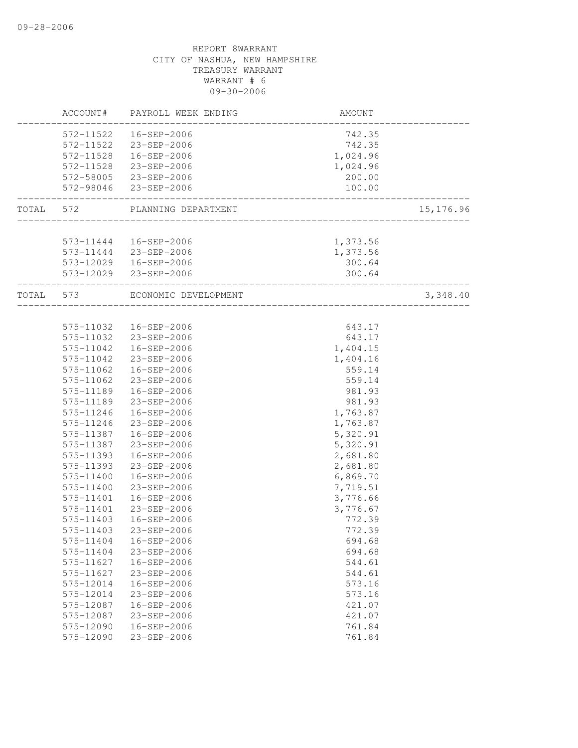| ACCOUNT#               | PAYROLL WEEK ENDING                             | AMOUNT                   |           |
|------------------------|-------------------------------------------------|--------------------------|-----------|
|                        | 572-11522  16-SEP-2006<br>572-11522 23-SEP-2006 | 742.35<br>742.35         |           |
|                        | 572-11528  16-SEP-2006                          | 1,024.96                 |           |
|                        | 572-11528 23-SEP-2006                           | 1,024.96                 |           |
|                        | 572-58005 23-SEP-2006<br>572-98046 23-SEP-2006  | 200.00<br>100.00         |           |
|                        |                                                 | ______________________   |           |
|                        | TOTAL 572 PLANNING DEPARTMENT                   | ________________________ | 15,176.96 |
|                        |                                                 |                          |           |
|                        | 573-11444  16-SEP-2006                          | 1,373.56                 |           |
|                        | 573-11444 23-SEP-2006                           | 1,373.56                 |           |
|                        | 573-12029  16-SEP-2006                          | 300.64                   |           |
|                        | 573-12029 23-SEP-2006                           | 300.64                   |           |
| TOTAL 573              | ECONOMIC DEVELOPMENT                            | ____________________     | 3,348.40  |
|                        |                                                 |                          |           |
|                        | 575-11032  16-SEP-2006                          | 643.17                   |           |
|                        | 575-11032 23-SEP-2006                           | 643.17                   |           |
|                        | 575-11042  16-SEP-2006                          | 1,404.15                 |           |
| 575-11042              | 23-SEP-2006                                     | 1,404.16                 |           |
| 575-11062              | 16-SEP-2006                                     | 559.14                   |           |
| 575-11062<br>575-11189 | 23-SEP-2006<br>16-SEP-2006                      | 559.14<br>981.93         |           |
| 575-11189              | 23-SEP-2006                                     | 981.93                   |           |
| 575-11246              | 16-SEP-2006                                     | 1,763.87                 |           |
| 575-11246              | 23-SEP-2006                                     | 1,763.87                 |           |
|                        | 575-11387  16-SEP-2006                          | 5,320.91                 |           |
| 575-11387              | 23-SEP-2006                                     | 5,320.91                 |           |
| 575-11393              | 16-SEP-2006                                     | 2,681.80                 |           |
| 575-11393              | 23-SEP-2006                                     | 2,681.80                 |           |
| 575-11400              | 16-SEP-2006                                     | 6,869.70                 |           |
| 575-11400              | 23-SEP-2006                                     | 7,719.51                 |           |
| 575-11401              | 16-SEP-2006                                     | 3,776.66                 |           |
|                        | 575-11401 23-SEP-2006                           | 3,776.67                 |           |
| 575-11403              | 16-SEP-2006                                     | 772.39                   |           |
| 575-11403              | 23-SEP-2006                                     | 772.39                   |           |
| 575-11404              | 16-SEP-2006                                     | 694.68                   |           |
| 575-11404              | 23-SEP-2006                                     | 694.68                   |           |
| 575-11627              | 16-SEP-2006                                     | 544.61                   |           |
| 575-11627              | 23-SEP-2006                                     | 544.61                   |           |
| 575-12014              | 16-SEP-2006                                     | 573.16                   |           |
| 575-12014              | 23-SEP-2006                                     | 573.16                   |           |
| 575-12087              | $16 - SEP - 2006$                               | 421.07                   |           |
| 575-12087              | 23-SEP-2006                                     | 421.07                   |           |
| 575-12090              | $16 - SEP - 2006$                               | 761.84                   |           |
| 575-12090              | $23 - SEP - 2006$                               | 761.84                   |           |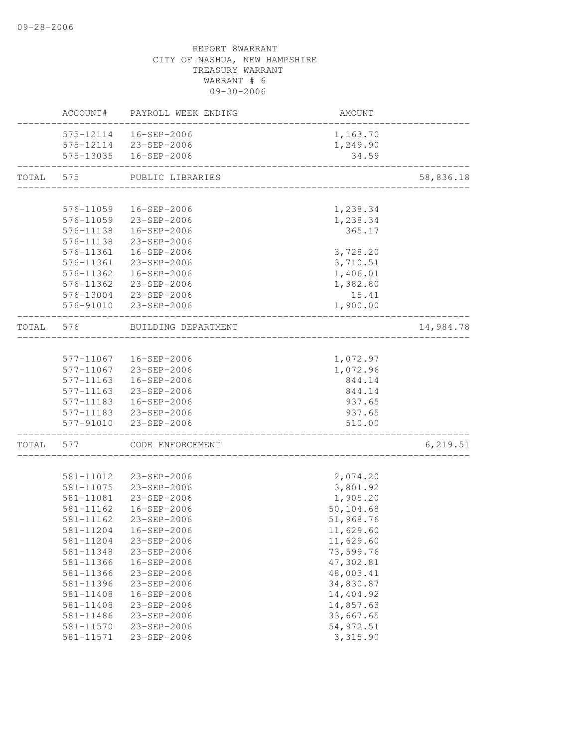|       | ACCOUNT#  | PAYROLL WEEK ENDING                            | AMOUNT                          |           |
|-------|-----------|------------------------------------------------|---------------------------------|-----------|
|       |           | 575-12114  16-SEP-2006                         | 1,163.70                        |           |
|       |           | 575-12114 23-SEP-2006                          | 1,249.90                        |           |
|       |           | 575-13035  16-SEP-2006                         | 34.59                           |           |
| TOTAL | 575       | PUBLIC LIBRARIES                               | _______________________________ | 58,836.18 |
|       |           |                                                |                                 |           |
|       | 576-11059 | 16-SEP-2006                                    | 1,238.34                        |           |
|       |           | 576-11059 23-SEP-2006                          | 1,238.34                        |           |
|       |           | 576-11138  16-SEP-2006                         | 365.17                          |           |
|       |           | 576-11138 23-SEP-2006                          |                                 |           |
|       | 576-11361 | 16-SEP-2006                                    | 3,728.20                        |           |
|       | 576-11361 | 23-SEP-2006                                    | 3,710.51                        |           |
|       | 576-11362 | 16-SEP-2006                                    | 1,406.01                        |           |
|       | 576-11362 | 23-SEP-2006                                    | 1,382.80                        |           |
|       | 576-13004 | 23-SEP-2006                                    | 15.41                           |           |
|       | 576-91010 | 23-SEP-2006                                    | 1,900.00                        |           |
| TOTAL | 576       | BUILDING DEPARTMENT                            |                                 | 14,984.78 |
|       |           |                                                |                                 |           |
|       |           | 577-11067  16-SEP-2006                         | 1,072.97                        |           |
|       |           | 577-11067 23-SEP-2006                          | 1,072.96                        |           |
|       | 577-11163 | 16-SEP-2006                                    | 844.14                          |           |
|       | 577-11163 | 23-SEP-2006                                    | 844.14                          |           |
|       |           | 577-11183  16-SEP-2006                         | 937.65                          |           |
|       |           | 577-11183 23-SEP-2006<br>577-91010 23-SEP-2006 | 937.65<br>510.00                |           |
| TOTAL | 577       | CODE ENFORCEMENT                               |                                 | 6, 219.51 |
|       |           |                                                |                                 |           |
|       | 581-11012 | 23-SEP-2006                                    | 2,074.20                        |           |
|       | 581-11075 | 23-SEP-2006                                    | 3,801.92                        |           |
|       | 581-11081 | 23-SEP-2006                                    | 1,905.20                        |           |
|       | 581-11162 | 16-SEP-2006                                    | 50,104.68                       |           |
|       | 581-11162 | 23-SEP-2006                                    | 51,968.76                       |           |
|       | 581-11204 | 16-SEP-2006                                    | 11,629.60                       |           |
|       | 581-11204 | 23-SEP-2006                                    | 11,629.60                       |           |
|       | 581-11348 | 23-SEP-2006                                    | 73,599.76                       |           |
|       | 581-11366 | 16-SEP-2006                                    | 47,302.81                       |           |
|       | 581-11366 | 23-SEP-2006                                    | 48,003.41                       |           |
|       | 581-11396 | 23-SEP-2006                                    | 34,830.87                       |           |
|       | 581-11408 | 16-SEP-2006                                    | 14,404.92                       |           |
|       | 581-11408 | 23-SEP-2006                                    | 14,857.63                       |           |
|       | 581-11486 | 23-SEP-2006                                    | 33,667.65                       |           |
|       | 581-11570 | 23-SEP-2006                                    | 54, 972.51                      |           |
|       | 581-11571 | 23-SEP-2006                                    | 3,315.90                        |           |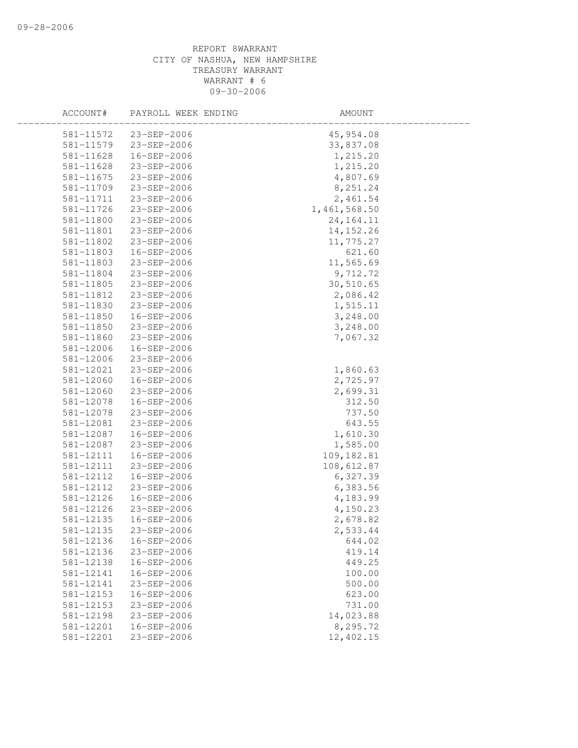| ACCOUNT#  | PAYROLL WEEK ENDING | AMOUNT       |  |
|-----------|---------------------|--------------|--|
| 581-11572 | $23 - SEP - 2006$   | 45,954.08    |  |
| 581-11579 | 23-SEP-2006         | 33,837.08    |  |
| 581-11628 | 16-SEP-2006         | 1,215.20     |  |
| 581-11628 | 23-SEP-2006         | 1,215.20     |  |
| 581-11675 | 23-SEP-2006         | 4,807.69     |  |
| 581-11709 | 23-SEP-2006         | 8,251.24     |  |
| 581-11711 | 23-SEP-2006         | 2,461.54     |  |
| 581-11726 | 23-SEP-2006         | 1,461,568.50 |  |
| 581-11800 | 23-SEP-2006         | 24, 164. 11  |  |
| 581-11801 | 23-SEP-2006         | 14, 152. 26  |  |
| 581-11802 | 23-SEP-2006         | 11,775.27    |  |
| 581-11803 | 16-SEP-2006         | 621.60       |  |
| 581-11803 | 23-SEP-2006         | 11,565.69    |  |
| 581-11804 | 23-SEP-2006         | 9,712.72     |  |
| 581-11805 | 23-SEP-2006         | 30,510.65    |  |
| 581-11812 | 23-SEP-2006         | 2,086.42     |  |
| 581-11830 | 23-SEP-2006         | 1,515.11     |  |
| 581-11850 | 16-SEP-2006         | 3,248.00     |  |
| 581-11850 | 23-SEP-2006         | 3,248.00     |  |
| 581-11860 | 23-SEP-2006         | 7,067.32     |  |
| 581-12006 | 16-SEP-2006         |              |  |
| 581-12006 | 23-SEP-2006         |              |  |
| 581-12021 | 23-SEP-2006         | 1,860.63     |  |
| 581-12060 | 16-SEP-2006         | 2,725.97     |  |
| 581-12060 | 23-SEP-2006         | 2,699.31     |  |
| 581-12078 | 16-SEP-2006         | 312.50       |  |
| 581-12078 | 23-SEP-2006         | 737.50       |  |
| 581-12081 | 23-SEP-2006         | 643.55       |  |
| 581-12087 | 16-SEP-2006         | 1,610.30     |  |
| 581-12087 | 23-SEP-2006         | 1,585.00     |  |
| 581-12111 | 16-SEP-2006         | 109, 182.81  |  |
| 581-12111 | 23-SEP-2006         | 108,612.87   |  |
| 581-12112 | 16-SEP-2006         | 6,327.39     |  |
| 581-12112 | 23-SEP-2006         | 6,383.56     |  |
| 581-12126 | 16-SEP-2006         | 4,183.99     |  |
| 581-12126 | 23-SEP-2006         | 4,150.23     |  |
| 581-12135 | 16-SEP-2006         | 2,678.82     |  |
| 581-12135 | 23-SEP-2006         | 2,533.44     |  |
| 581-12136 | 16-SEP-2006         | 644.02       |  |
| 581-12136 | $23 - SEP - 2006$   | 419.14       |  |
| 581-12138 | 16-SEP-2006         | 449.25       |  |
| 581-12141 | 16-SEP-2006         | 100.00       |  |
| 581-12141 | 23-SEP-2006         | 500.00       |  |
| 581-12153 | 16-SEP-2006         | 623.00       |  |
| 581-12153 | 23-SEP-2006         | 731.00       |  |
| 581-12198 | 23-SEP-2006         | 14,023.88    |  |
| 581-12201 | 16-SEP-2006         | 8,295.72     |  |
| 581-12201 | 23-SEP-2006         | 12,402.15    |  |
|           |                     |              |  |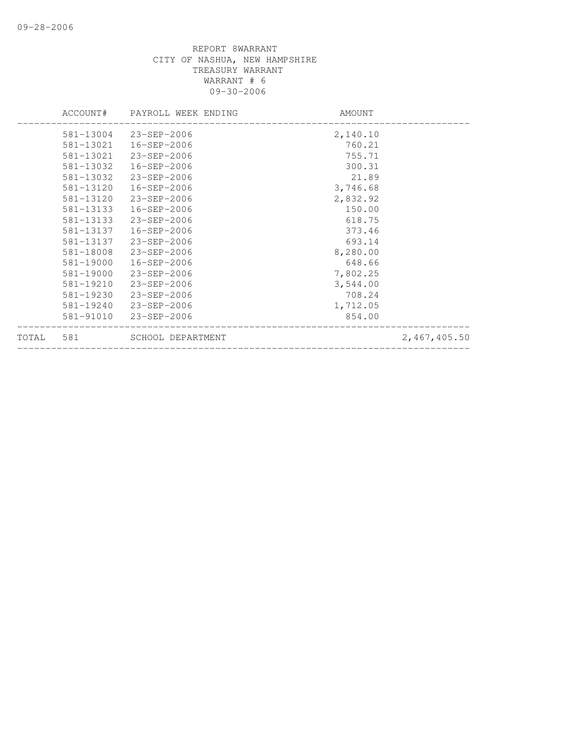|       |           | ACCOUNT# PAYROLL WEEK ENDING | AMOUNT   |              |
|-------|-----------|------------------------------|----------|--------------|
|       |           | 581-13004 23-SEP-2006        | 2,140.10 |              |
|       |           | 581-13021  16-SEP-2006       | 760.21   |              |
|       | 581-13021 | 23-SEP-2006                  | 755.71   |              |
|       | 581-13032 | 16-SEP-2006                  | 300.31   |              |
|       | 581-13032 | 23-SEP-2006                  | 21.89    |              |
|       | 581-13120 | 16-SEP-2006                  | 3,746.68 |              |
|       | 581-13120 | 23-SEP-2006                  | 2,832.92 |              |
|       | 581-13133 | 16-SEP-2006                  | 150.00   |              |
|       | 581-13133 | 23-SEP-2006                  | 618.75   |              |
|       | 581-13137 | 16-SEP-2006                  | 373.46   |              |
|       | 581-13137 | 23-SEP-2006                  | 693.14   |              |
|       | 581-18008 | 23-SEP-2006                  | 8,280.00 |              |
|       | 581-19000 | 16-SEP-2006                  | 648.66   |              |
|       | 581-19000 | 23-SEP-2006                  | 7,802.25 |              |
|       | 581-19210 | 23-SEP-2006                  | 3,544.00 |              |
|       | 581-19230 | 23-SEP-2006                  | 708.24   |              |
|       | 581-19240 | 23-SEP-2006                  | 1,712.05 |              |
|       | 581-91010 | 23-SEP-2006                  | 854.00   |              |
| TOTAL | 581       | SCHOOL DEPARTMENT            |          | 2,467,405.50 |
|       |           |                              |          |              |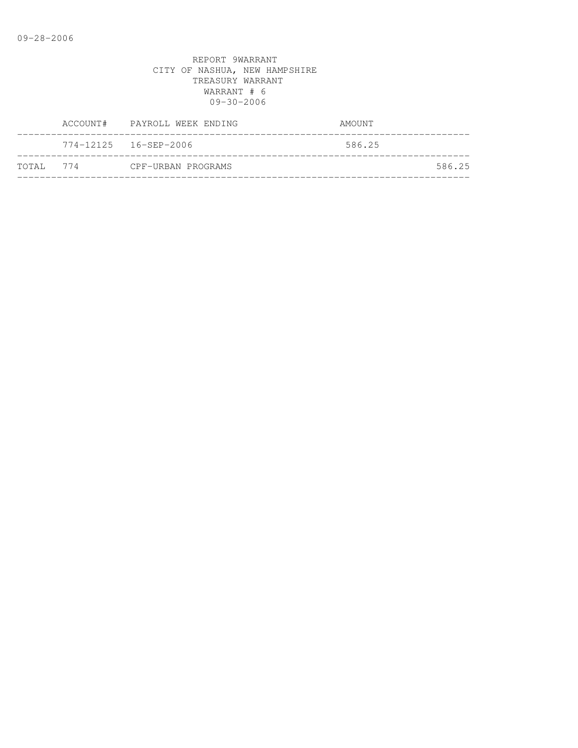|            | ACCOUNT# PAYROLL WEEK ENDING |                    | AMOUNT |
|------------|------------------------------|--------------------|--------|
|            |                              |                    | 586.25 |
| тотат. 774 |                              | CPF-URBAN PROGRAMS | 586.25 |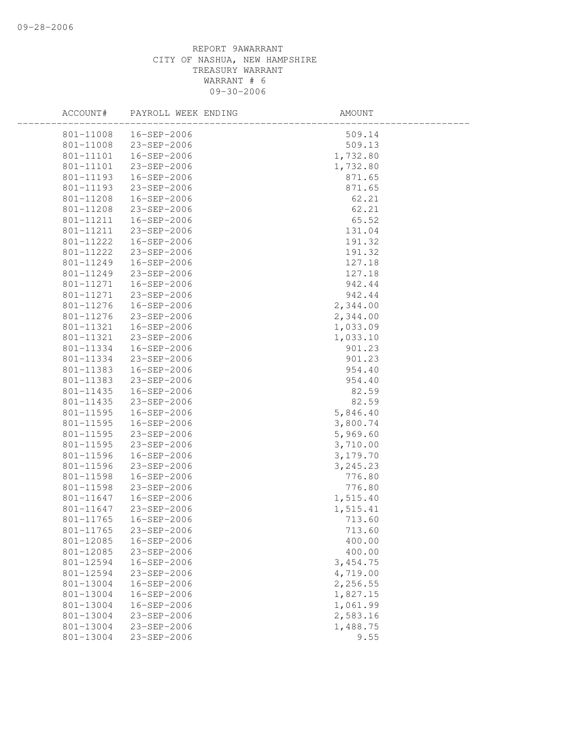| 801-11008  16-SEP-2006         | 509.14   |  |
|--------------------------------|----------|--|
| 801-11008 23-SEP-2006          | 509.13   |  |
| 801-11101<br>16-SEP-2006       | 1,732.80 |  |
| 801-11101<br>23-SEP-2006       | 1,732.80 |  |
| 801-11193<br>16-SEP-2006       | 871.65   |  |
| 801-11193<br>23-SEP-2006       | 871.65   |  |
| 801-11208<br>16-SEP-2006       | 62.21    |  |
| 801-11208<br>23-SEP-2006       | 62.21    |  |
| 801-11211<br>16-SEP-2006       | 65.52    |  |
| 801-11211<br>23-SEP-2006       | 131.04   |  |
| 801-11222<br>16-SEP-2006       | 191.32   |  |
| 801-11222<br>23-SEP-2006       | 191.32   |  |
| 801-11249<br>16-SEP-2006       | 127.18   |  |
| 801-11249<br>23-SEP-2006       | 127.18   |  |
| 801-11271<br>16-SEP-2006       | 942.44   |  |
| 801-11271<br>23-SEP-2006       | 942.44   |  |
| 16-SEP-2006<br>801-11276       | 2,344.00 |  |
| 23-SEP-2006<br>801-11276       | 2,344.00 |  |
| 801-11321<br>16-SEP-2006       | 1,033.09 |  |
| 801-11321<br>23-SEP-2006       | 1,033.10 |  |
| 801-11334<br>16-SEP-2006       | 901.23   |  |
| 801-11334<br>23-SEP-2006       | 901.23   |  |
| 801-11383<br>16-SEP-2006       | 954.40   |  |
| 801-11383<br>23-SEP-2006       | 954.40   |  |
| 801-11435<br>16-SEP-2006       | 82.59    |  |
| 801-11435<br>23-SEP-2006       | 82.59    |  |
| 16-SEP-2006<br>801-11595       | 5,846.40 |  |
| 801-11595<br>16-SEP-2006       | 3,800.74 |  |
| 801-11595<br>23-SEP-2006       | 5,969.60 |  |
| 801-11595<br>23-SEP-2006       | 3,710.00 |  |
| 801-11596<br>16-SEP-2006       | 3,179.70 |  |
| 801-11596<br>23-SEP-2006       | 3,245.23 |  |
| 801-11598<br>16-SEP-2006       | 776.80   |  |
| 801-11598<br>23-SEP-2006       | 776.80   |  |
| 801-11647<br>16-SEP-2006       | 1,515.40 |  |
| 23-SEP-2006<br>801-11647       | 1,515.41 |  |
| 801-11765<br>16-SEP-2006       | 713.60   |  |
| 801-11765<br>23-SEP-2006       | 713.60   |  |
| 801-12085<br>16-SEP-2006       | 400.00   |  |
| 801-12085<br>23-SEP-2006       | 400.00   |  |
| 801-12594<br>$16 - SEP - 2006$ | 3,454.75 |  |
| 801-12594<br>23-SEP-2006       | 4,719.00 |  |
| 16-SEP-2006<br>801-13004       | 2,256.55 |  |
| 801-13004<br>16-SEP-2006       | 1,827.15 |  |
| 801-13004<br>16-SEP-2006       | 1,061.99 |  |
| 801-13004<br>23-SEP-2006       | 2,583.16 |  |
| 801-13004<br>23-SEP-2006       | 1,488.75 |  |
| $23 - SEP - 2006$<br>801-13004 | 9.55     |  |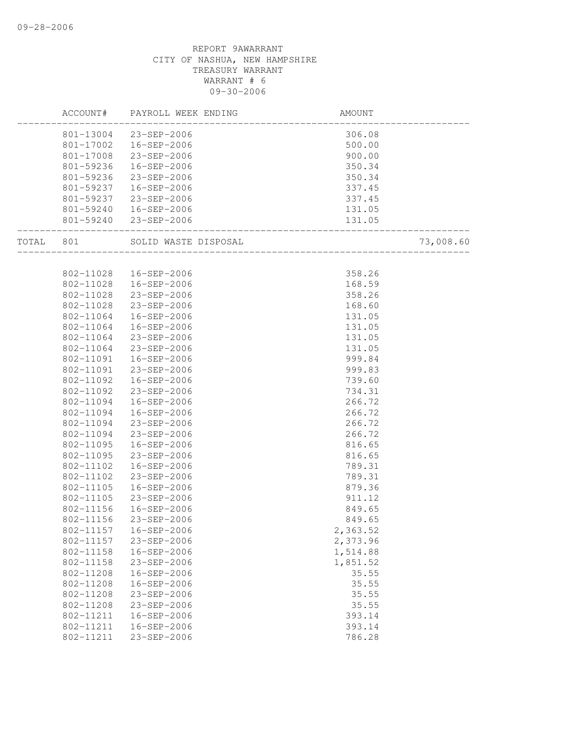|       |           | ACCOUNT# PAYROLL WEEK ENDING | AMOUNT                           |           |
|-------|-----------|------------------------------|----------------------------------|-----------|
|       |           | 801-13004 23-SEP-2006        | 306.08                           |           |
|       |           | 801-17002  16-SEP-2006       | 500.00                           |           |
|       |           | 801-17008 23-SEP-2006        | 900.00                           |           |
|       | 801-59236 | 16-SEP-2006                  | 350.34                           |           |
|       | 801-59236 | 23-SEP-2006                  | 350.34                           |           |
|       | 801-59237 | 16-SEP-2006                  | 337.45                           |           |
|       | 801-59237 | 23-SEP-2006                  | 337.45                           |           |
|       |           | 801-59240  16-SEP-2006       | 131.05                           |           |
|       |           | 801-59240 23-SEP-2006        | 131.05<br>______________________ |           |
| TOTAL | 801       | SOLID WASTE DISPOSAL         | __________________               | 73,008.60 |
|       |           |                              |                                  |           |
|       |           | 802-11028  16-SEP-2006       | 358.26                           |           |
|       | 802-11028 | 16-SEP-2006                  | 168.59                           |           |
|       | 802-11028 | 23-SEP-2006                  | 358.26                           |           |
|       | 802-11028 | 23-SEP-2006                  | 168.60                           |           |
|       | 802-11064 | 16-SEP-2006                  | 131.05                           |           |
|       | 802-11064 | 16-SEP-2006                  | 131.05                           |           |
|       | 802-11064 | 23-SEP-2006                  | 131.05                           |           |
|       | 802-11064 | 23-SEP-2006                  | 131.05                           |           |
|       | 802-11091 | 16-SEP-2006                  | 999.84                           |           |
|       | 802-11091 | 23-SEP-2006                  | 999.83                           |           |
|       | 802-11092 | 16-SEP-2006                  | 739.60                           |           |
|       | 802-11092 | 23-SEP-2006                  | 734.31                           |           |
|       | 802-11094 | 16-SEP-2006                  | 266.72                           |           |
|       | 802-11094 | 16-SEP-2006                  | 266.72                           |           |
|       | 802-11094 | 23-SEP-2006                  | 266.72                           |           |
|       | 802-11094 | 23-SEP-2006                  | 266.72                           |           |
|       | 802-11095 | 16-SEP-2006                  | 816.65                           |           |
|       | 802-11095 | 23-SEP-2006                  | 816.65                           |           |
|       | 802-11102 | 16-SEP-2006                  | 789.31                           |           |
|       | 802-11102 | 23-SEP-2006                  | 789.31                           |           |
|       | 802-11105 | 16-SEP-2006                  | 879.36                           |           |
|       | 802-11105 | 23-SEP-2006                  | 911.12                           |           |
|       | 802-11156 | 16-SEP-2006                  | 849.65                           |           |
|       | 802-11156 | 23-SEP-2006                  | 849.65                           |           |
|       | 802-11157 | 16-SEP-2006                  | 2,363.52                         |           |
|       | 802-11157 | 23-SEP-2006                  | 2,373.96                         |           |
|       | 802-11158 | 16-SEP-2006                  | 1,514.88                         |           |
|       | 802-11158 | 23-SEP-2006                  | 1,851.52                         |           |
|       | 802-11208 | $16 - SEP - 2006$            | 35.55                            |           |
|       | 802-11208 | 16-SEP-2006                  | 35.55                            |           |
|       | 802-11208 | 23-SEP-2006                  | 35.55                            |           |
|       | 802-11208 | $23 - SEP - 2006$            | 35.55                            |           |
|       | 802-11211 | 16-SEP-2006                  | 393.14                           |           |
|       | 802-11211 | 16-SEP-2006                  | 393.14                           |           |
|       | 802-11211 | 23-SEP-2006                  | 786.28                           |           |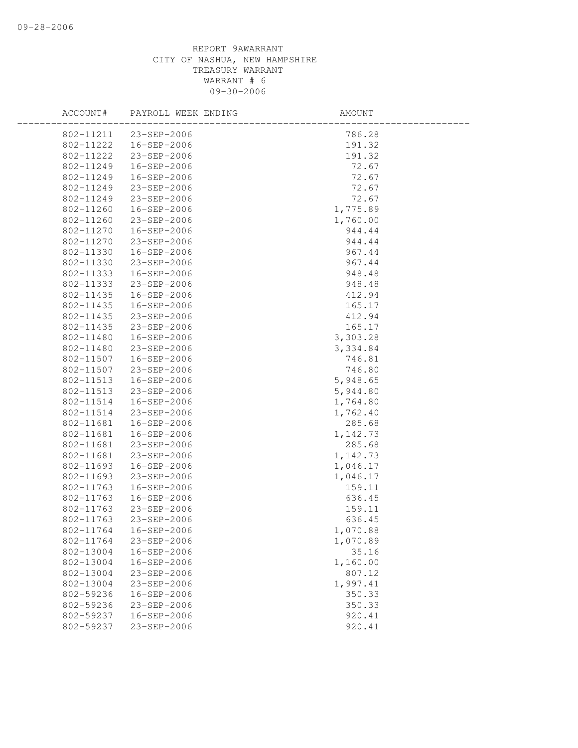| ACCOUNT#               | PAYROLL WEEK ENDING              | AMOUNT            |  |
|------------------------|----------------------------------|-------------------|--|
|                        | 802-11211 23-SEP-2006            | 786.28            |  |
| 802-11222              | 16-SEP-2006                      | 191.32            |  |
| 802-11222              | 23-SEP-2006                      | 191.32            |  |
| 802-11249              | 16-SEP-2006                      | 72.67             |  |
| 802-11249              | 16-SEP-2006                      | 72.67             |  |
| 802-11249              | 23-SEP-2006                      | 72.67             |  |
| 802-11249              | 23-SEP-2006                      | 72.67             |  |
| 802-11260              | 16-SEP-2006                      | 1,775.89          |  |
| 802-11260              | 23-SEP-2006                      | 1,760.00          |  |
| 802-11270              | 16-SEP-2006                      | 944.44            |  |
| 802-11270              | 23-SEP-2006                      | 944.44            |  |
| 802-11330              | 16-SEP-2006                      | 967.44            |  |
| 802-11330              | 23-SEP-2006                      | 967.44            |  |
| 802-11333              | 16-SEP-2006                      | 948.48            |  |
| 802-11333              | 23-SEP-2006                      | 948.48            |  |
| 802-11435              | 16-SEP-2006                      | 412.94            |  |
| 802-11435              | 16-SEP-2006                      | 165.17            |  |
| 802-11435              | 23-SEP-2006                      | 412.94            |  |
| 802-11435              | 23-SEP-2006                      | 165.17            |  |
| 802-11480              | 16-SEP-2006                      | 3,303.28          |  |
| 802-11480              | 23-SEP-2006                      | 3,334.84          |  |
| 802-11507              | 16-SEP-2006                      | 746.81            |  |
| 802-11507              | 23-SEP-2006                      | 746.80            |  |
| 802-11513              | 16-SEP-2006                      | 5,948.65          |  |
| 802-11513              | 23-SEP-2006                      | 5,944.80          |  |
| 802-11514              | 16-SEP-2006                      | 1,764.80          |  |
| 802-11514              | 23-SEP-2006                      | 1,762.40          |  |
| 802-11681              | 16-SEP-2006                      | 285.68            |  |
| 802-11681              | 16-SEP-2006                      | 1,142.73          |  |
| 802-11681              | 23-SEP-2006                      | 285.68            |  |
| 802-11681              | 23-SEP-2006                      | 1,142.73          |  |
| 802-11693              | 16-SEP-2006                      | 1,046.17          |  |
| 802-11693              | 23-SEP-2006                      | 1,046.17          |  |
| 802-11763              | 16-SEP-2006                      | 159.11            |  |
| 802-11763              | 16-SEP-2006                      | 636.45            |  |
| 802-11763              | 23-SEP-2006                      | 159.11            |  |
| 802-11763              | 23-SEP-2006                      | 636.45            |  |
| 802-11764              | 16-SEP-2006                      | 1,070.88          |  |
| 802-11764<br>802-13004 | 23-SEP-2006<br>$16 - SEP - 2006$ | 1,070.89          |  |
| 802-13004              | $16 - SEP - 2006$                | 35.16<br>1,160.00 |  |
| 802-13004              | 23-SEP-2006                      | 807.12            |  |
| 802-13004              | 23-SEP-2006                      | 1,997.41          |  |
| 802-59236              | 16-SEP-2006                      | 350.33            |  |
| 802-59236              | 23-SEP-2006                      | 350.33            |  |
| 802-59237              | 16-SEP-2006                      | 920.41            |  |
| 802-59237              | 23-SEP-2006                      | 920.41            |  |
|                        |                                  |                   |  |